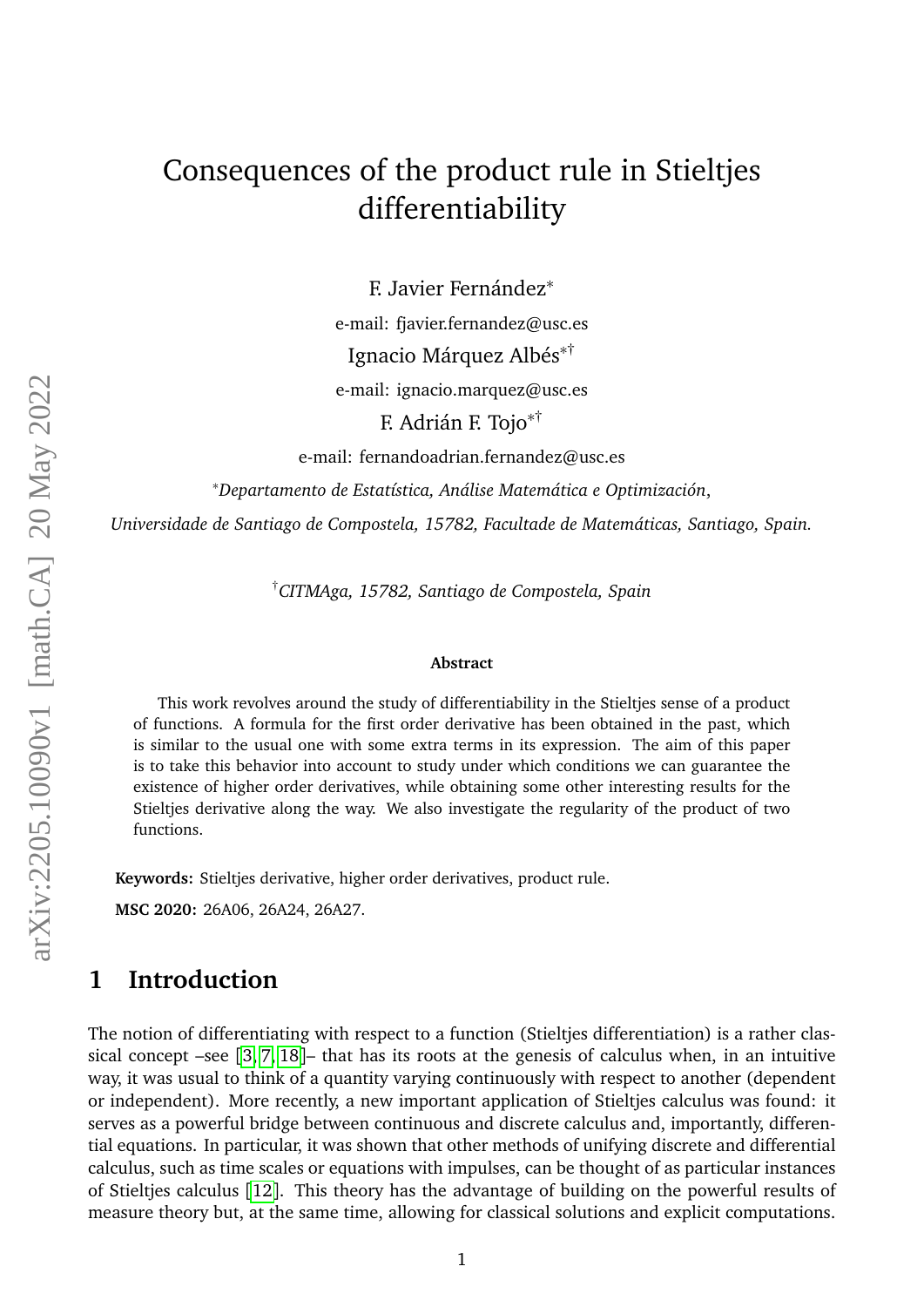# Consequences of the product rule in Stieltjes differentiability

F. Javier Fernández<sup>∗</sup>

e-mail: fjavier.fernandez@usc.es

Ignacio Márquez Albés<sup>∗</sup>†

e-mail: ignacio.marquez@usc.es

F. Adrián F. Tojo<sup>∗</sup>†

e-mail: fernandoadrian.fernandez@usc.es

<sup>∗</sup>*Departamento de Estatística, Análise Matemática e Optimización*,

*Universidade de Santiago de Compostela, 15782, Facultade de Matemáticas, Santiago, Spain.*

†*CITMAga, 15782, Santiago de Compostela, Spain*

#### **Abstract**

This work revolves around the study of differentiability in the Stieltjes sense of a product of functions. A formula for the first order derivative has been obtained in the past, which is similar to the usual one with some extra terms in its expression. The aim of this paper is to take this behavior into account to study under which conditions we can guarantee the existence of higher order derivatives, while obtaining some other interesting results for the Stieltjes derivative along the way. We also investigate the regularity of the product of two functions.

**Keywords:** Stieltjes derivative, higher order derivatives, product rule.

**MSC 2020:** 26A06, 26A24, 26A27.

### **1 Introduction**

The notion of differentiating with respect to a function (Stieltjes differentiation) is a rather classical concept –see [[3,](#page-27-0) [7,](#page-27-1) [18](#page-28-0)]– that has its roots at the genesis of calculus when, in an intuitive way, it was usual to think of a quantity varying continuously with respect to another (dependent or independent). More recently, a new important application of Stieltjes calculus was found: it serves as a powerful bridge between continuous and discrete calculus and, importantly, differential equations. In particular, it was shown that other methods of unifying discrete and differential calculus, such as time scales or equations with impulses, can be thought of as particular instances of Stieltjes calculus [[12](#page-27-2)]. This theory has the advantage of building on the powerful results of measure theory but, at the same time, allowing for classical solutions and explicit computations.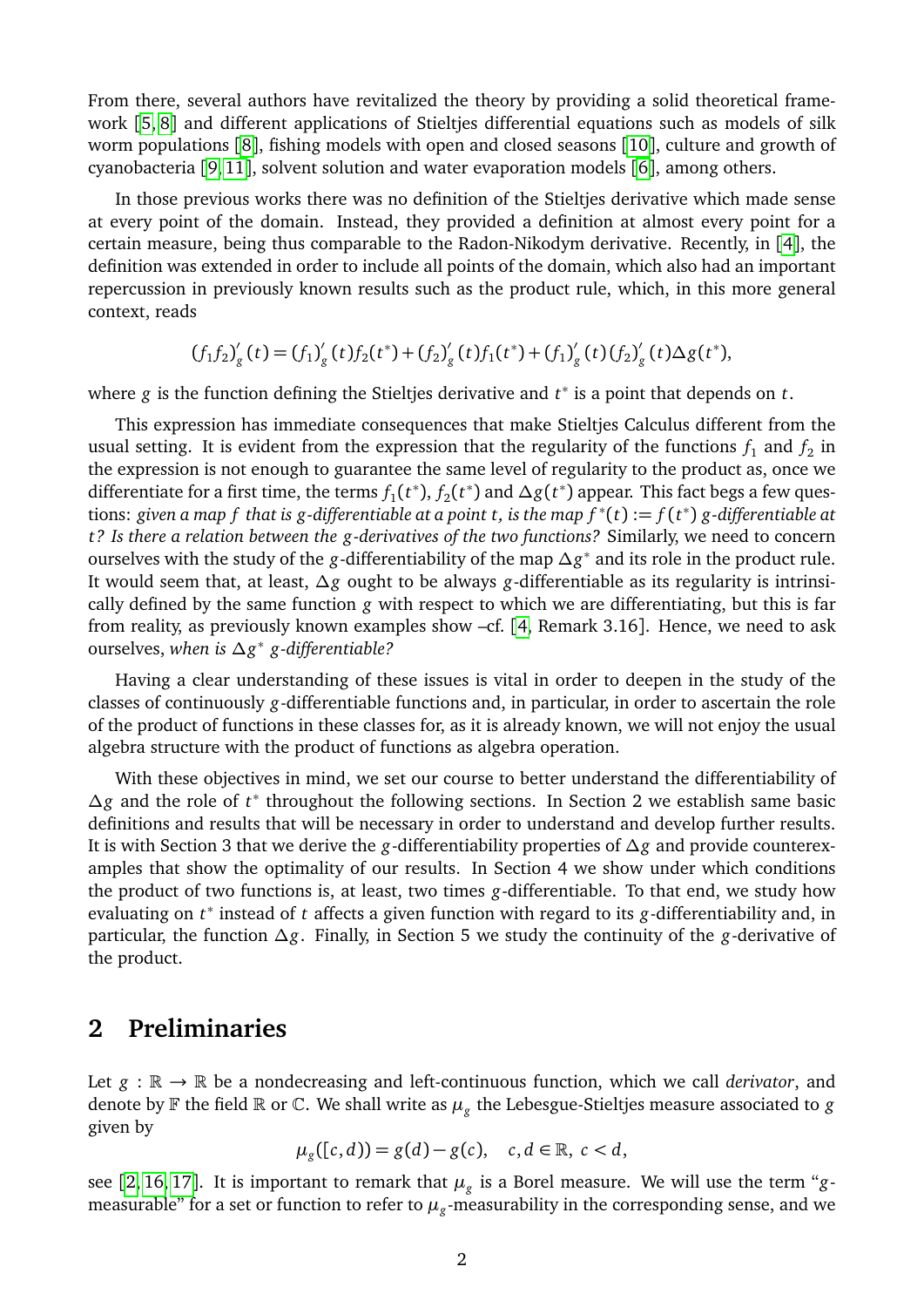From there, several authors have revitalized the theory by providing a solid theoretical framework [[5,](#page-27-3) [8](#page-27-4)] and different applications of Stieltjes differential equations such as models of silk worm populations [[8](#page-27-4)], fishing models with open and closed seasons [[10](#page-27-5)], culture and growth of cyanobacteria [[9,](#page-27-6) [11](#page-27-7)], solvent solution and water evaporation models [[6](#page-27-8)], among others.

In those previous works there was no definition of the Stieltjes derivative which made sense at every point of the domain. Instead, they provided a definition at almost every point for a certain measure, being thus comparable to the Radon-Nikodym derivative. Recently, in [[4](#page-27-9)], the definition was extended in order to include all points of the domain, which also had an important repercussion in previously known results such as the product rule, which, in this more general context, reads

$$
(f_1f_2)'_g(t) = (f_1)'_g(t)f_2(t^*) + (f_2)'_g(t)f_1(t^*) + (f_1)'_g(t)(f_2)'_g(t)\Delta g(t^*),
$$

where *g* is the function defining the Stieltjes derivative and *t* ∗ is a point that depends on *t*.

This expression has immediate consequences that make Stieltjes Calculus different from the usual setting. It is evident from the expression that the regularity of the functions  $f_1$  and  $f_2$  in the expression is not enough to guarantee the same level of regularity to the product as, once we differentiate for a first time, the terms  $f_1(t^*), f_2(t^*)$  and  $\Delta g(t^*)$  appear. This fact begs a few questions: given a map  $f$  that is g-differentiable at a point  $t$ , is the map  $f^*(t) := f(t^*)$  g-differentiable at *t? Is there a relation between the g-derivatives of the two functions?* Similarly, we need to concern ourselves with the study of the *g*-differentiability of the map *∆g* ∗ and its role in the product rule. It would seem that, at least, *∆g* ought to be always *g*-differentiable as its regularity is intrinsically defined by the same function *g* with respect to which we are differentiating, but this is far from reality, as previously known examples show –cf. [[4,](#page-27-9) Remark 3.16]. Hence, we need to ask ourselves, *when is ∆g* ∗ *g-differentiable?*

Having a clear understanding of these issues is vital in order to deepen in the study of the classes of continuously *g*-differentiable functions and, in particular, in order to ascertain the role of the product of functions in these classes for, as it is already known, we will not enjoy the usual algebra structure with the product of functions as algebra operation.

With these objectives in mind, we set our course to better understand the differentiability of *∆g* and the role of *t* ∗ throughout the following sections. In Section 2 we establish same basic definitions and results that will be necessary in order to understand and develop further results. It is with Section 3 that we derive the *g*-differentiability properties of *∆g* and provide counterexamples that show the optimality of our results. In Section 4 we show under which conditions the product of two functions is, at least, two times *g*-differentiable. To that end, we study how evaluating on *t* ∗ instead of *t* affects a given function with regard to its *g*-differentiability and, in particular, the function *∆g*. Finally, in Section 5 we study the continuity of the *g*-derivative of the product.

#### **2 Preliminaries**

Let  $g : \mathbb{R} \to \mathbb{R}$  be a nondecreasing and left-continuous function, which we call *derivator*, and denote by  $\mathbb F$  the field  $\mathbb R$  or  $\mathbb C$ . We shall write as  $\mu_g$  the Lebesgue-Stieltjes measure associated to  $g$ given by

$$
\mu_g([c,d)) = g(d) - g(c), \quad c, d \in \mathbb{R}, \ c < d,
$$

see [[2,](#page-27-10) [16,](#page-28-1) [17](#page-28-2)]. It is important to remark that  $\mu_g$  is a Borel measure. We will use the term "gmeasurable" for a set or function to refer to  $\mu_{g}$ -measurability in the corresponding sense, and we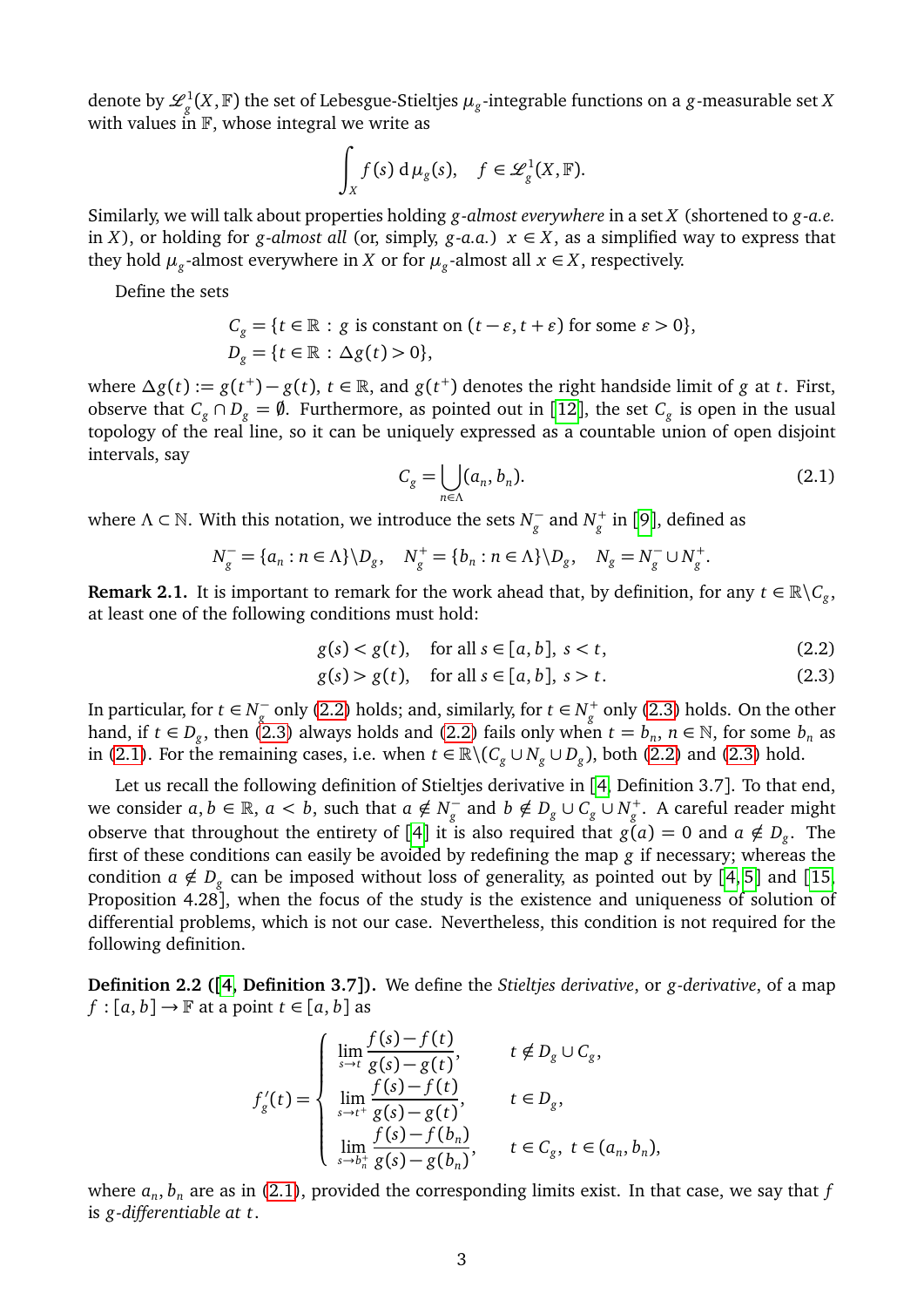denote by  $\mathscr{L}^1_g(X,\mathbb{F})$  the set of Lebesgue-Stieltjes  $\mu_g$ -integrable functions on a  $g$ -measurable set *X* with values in  $\mathbb{F}$ , whose integral we write as

$$
\int_X f(s) d\mu_g(s), \quad f \in \mathscr{L}^1_g(X, \mathbb{F}).
$$

Similarly, we will talk about properties holding *g-almost everywhere* in a set *X* (shortened to *g-a.e.* in *X*), or holding for *g-almost all* (or, simply, *g-a.a.*)  $x \in X$ , as a simplified way to express that they hold  $\mu_g$ -almost everywhere in *X* or for  $\mu_g$ -almost all  $x \in X$ , respectively.

Define the sets

$$
C_g = \{t \in \mathbb{R} : g \text{ is constant on } (t - \varepsilon, t + \varepsilon) \text{ for some } \varepsilon > 0\},
$$
  

$$
D_g = \{t \in \mathbb{R} : \Delta g(t) > 0\},
$$

 $\alpha$  where  $\Delta g(t) := g(t^+) - g(t)$ ,  $t \in \mathbb{R}$ , and  $g(t^+)$  denotes the right handside limit of *g* at *t*. First, observe that  $C_g \cap D_g = \emptyset$ . Furthermore, as pointed out in [[12](#page-27-2)], the set  $C_g$  is open in the usual topology of the real line, so it can be uniquely expressed as a countable union of open disjoint intervals, say

<span id="page-2-2"></span><span id="page-2-1"></span><span id="page-2-0"></span>
$$
C_g = \bigcup_{n \in \Lambda} (a_n, b_n). \tag{2.1}
$$

where  $\Lambda \subset \mathbb{N}$ . With this notation, we introduce the sets  $N_{\sigma}^ \frac{1}{g}^{-}$  and  $N_{g}^{+}$  in [[9](#page-27-6)], defined as

$$
N_g^- = \{a_n : n \in \Lambda\} \backslash D_g, \quad N_g^+ = \{b_n : n \in \Lambda\} \backslash D_g, \quad N_g = N_g^- \cup N_g^+.
$$

<span id="page-2-3"></span>**Remark 2.1.** It is important to remark for the work ahead that, by definition, for any  $t \in \mathbb{R} \backslash C_g$ , at least one of the following conditions must hold:

$$
g(s) < g(t), \quad \text{for all } s \in [a, b], \ s < t,\tag{2.2}
$$

$$
g(s) > g(t), \quad \text{for all } s \in [a, b], s > t. \tag{2.3}
$$

In particular, for  $t \in N_{\sigma}^$  $g_g$  only [\(2.2\)](#page-2-0) holds; and, similarly, for  $t \in N_g^+$  only [\(2.3\)](#page-2-1) holds. On the other hand, if  $t \in D_g$ , then [\(2.3\)](#page-2-1) always holds and [\(2.2\)](#page-2-0) fails only when  $t = b_n$ ,  $n \in \mathbb{N}$ , for some  $b_n$  as in [\(2.1\)](#page-2-2). For the remaining cases, i.e. when  $t \in \mathbb{R} \setminus (C_g \cup N_g \cup D_g)$ , both [\(2.2\)](#page-2-0) and [\(2.3\)](#page-2-1) hold.

Let us recall the following definition of Stieltjes derivative in [[4,](#page-27-9) Definition 3.7]. To that end, we consider  $a, b \in \mathbb{R}$ ,  $a < b$ , such that  $a \notin N_a^$ *g*<sup>−</sup> and *b* ∉ *D<sub>g</sub>* ∪ *C<sub>g</sub>* ∪ *N<sub>g</sub>*<sup>+</sup>. A careful reader might observe that throughout the entirety of [[4](#page-27-9)] it is also required that  $g(a) = 0$  and  $a \notin D_g$ . The first of these conditions can easily be avoided by redefining the map *g* if necessary; whereas the condition  $a \notin D_g$  can be imposed without loss of generality, as pointed out by [[4,](#page-27-9) [5](#page-27-3)] and [[15,](#page-28-3) Proposition 4.28], when the focus of the study is the existence and uniqueness of solution of differential problems, which is not our case. Nevertheless, this condition is not required for the following definition.

**Definition 2.2 ([[4,](#page-27-9) Definition 3.7]).** We define the *Stieltjes derivative*, or *g-derivative*, of a map  $f : [a, b] \rightarrow \mathbb{F}$  at a point  $t \in [a, b]$  as

$$
f'_{g}(t) = \begin{cases} \n\lim_{s \to t} \frac{f(s) - f(t)}{g(s) - g(t)}, & t \notin D_{g} \cup C_{g}, \\
\lim_{s \to t^{+}} \frac{f(s) - f(t)}{g(s) - g(t)}, & t \in D_{g}, \\
\lim_{s \to b_{n}^{+}} \frac{f(s) - f(b_{n})}{g(s) - g(b_{n})}, & t \in C_{g}, t \in (a_{n}, b_{n}),\n\end{cases}
$$

where *a<sup>n</sup>* , *b<sup>n</sup>* are as in [\(2.1\)](#page-2-2), provided the corresponding limits exist. In that case, we say that *f* is *g-differentiable at t*.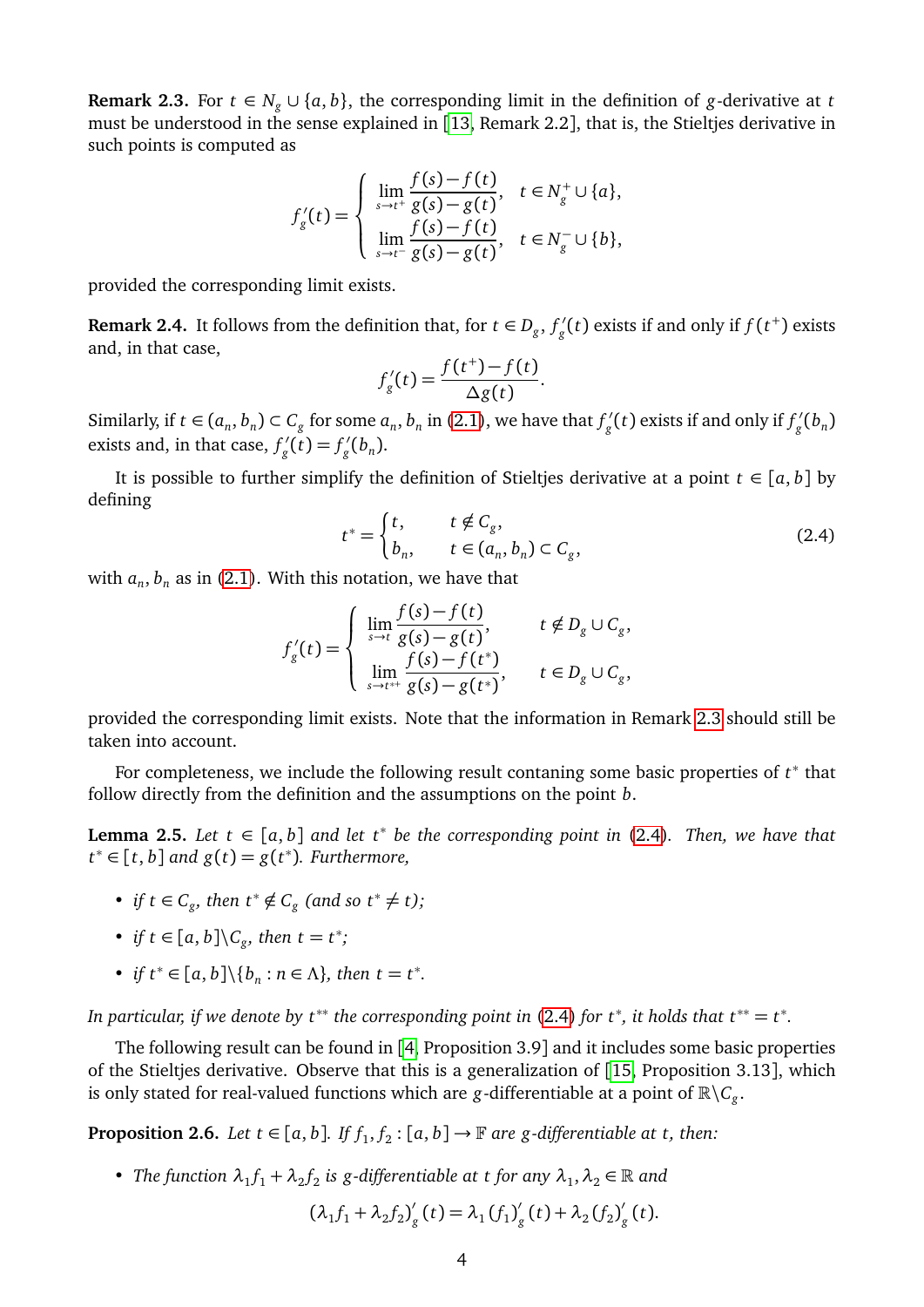<span id="page-3-0"></span>**Remark 2.3.** For *t* ∈  $N_g$  ∪ { $a, b$ }, the corresponding limit in the definition of *g*-derivative at *t* must be understood in the sense explained in [[13,](#page-27-11) Remark 2.2], that is, the Stieltjes derivative in such points is computed as

$$
f'_{g}(t) = \begin{cases} \lim_{s \to t^{+}} \frac{f(s) - f(t)}{g(s) - g(t)}, & t \in N_{g}^{+} \cup \{a\}, \\ \lim_{s \to t^{-}} \frac{f(s) - f(t)}{g(s) - g(t)}, & t \in N_{g}^{-} \cup \{b\}, \end{cases}
$$

provided the corresponding limit exists.

<span id="page-3-3"></span>**Remark 2.4.** It follows from the definition that, for  $t \in D_g$ ,  $f'_g$  $g_{g}^{\prime}(t)$  exists if and only if  $f(t^{+})$  exists and, in that case,

$$
f'_{g}(t) = \frac{f(t^{+}) - f(t)}{\Delta g(t)}.
$$

Similarly, if  $t \in (a_n, b_n) \subset C_g$  for some  $a_n, b_n$  in [\(2.1\)](#page-2-2), we have that  $f'_g$  $g'$ <sub>g</sub> $(t)$  exists if and only if  $f'_g$  $\int_{g}^{\prime}(b_n)$ exists and, in that case,  $f'_\text{o}$  $g'(\tilde{t}) = f'_{g}$  $\int_{g}^{\prime}(b_n)$ .

It is possible to further simplify the definition of Stieltjes derivative at a point  $t \in [a, b]$  by defining

<span id="page-3-1"></span>
$$
t^* = \begin{cases} t, & t \notin C_g, \\ b_n, & t \in (a_n, b_n) \subset C_g, \end{cases}
$$
 (2.4)

with  $a_n$ ,  $b_n$  as in [\(2.1\)](#page-2-2). With this notation, we have that

$$
f'_{g}(t) = \begin{cases} \lim_{s \to t} \frac{f(s) - f(t)}{g(s) - g(t)}, & t \notin D_{g} \cup C_{g}, \\ \lim_{s \to t^{*+}} \frac{f(s) - f(t^{*})}{g(s) - g(t^{*})}, & t \in D_{g} \cup C_{g}, \end{cases}
$$

provided the corresponding limit exists. Note that the information in Remark [2.3](#page-3-0) should still be taken into account.

For completeness, we include the following result contaning some basic properties of  $t^*$  that follow directly from the definition and the assumptions on the point *b*.

**Lemma 2.5.** Let  $t \in [a, b]$  and let  $t^*$  be the corresponding point in [\(2.4\)](#page-3-1). Then, we have that *t*<sup>\*</sup> ∈ [*t*, *b*] *and*  $g(t) = g(t^*)$ *. Furthermore,* 

- *if*  $t \in C_g$ , then  $t^* \notin C_g$  (and so  $t^* \neq t$ );
- *if*  $t \in [a, b] \backslash C_g$ , then  $t = t^*$ ;
- *if*  $t^* \in [a, b] \setminus \{b_n : n \in \Lambda\}$ *, then*  $t = t^*$ *.*

*In particular, if we denote by t\*\* the corresponding point in [\(2.4\)](#page-3-1) for t\*, it holds that*  $t^{**} = t^*$ *.* 

The following result can be found in [[4,](#page-27-9) Proposition 3.9] and it includes some basic properties of the Stieltjes derivative. Observe that this is a generalization of [[15,](#page-28-3) Proposition 3.13], which is only stated for real-valued functions which are *g*-differentiable at a point of  $\mathbb{R}\backslash C_g$ .

<span id="page-3-2"></span>**Proposition 2.6.** *Let*  $t \in [a, b]$ . *If*  $f_1, f_2$ :  $[a, b] \rightarrow \mathbb{F}$  are g-differentiable at t, then:

• *The function*  $\lambda_1 f_1 + \lambda_2 f_2$  *is g-differentiable at t for any*  $\lambda_1, \lambda_2 \in \mathbb{R}$  *and* 

$$
(\lambda_1 f_1 + \lambda_2 f_2)'_g(t) = \lambda_1 (f_1)'_g(t) + \lambda_2 (f_2)'_g(t).
$$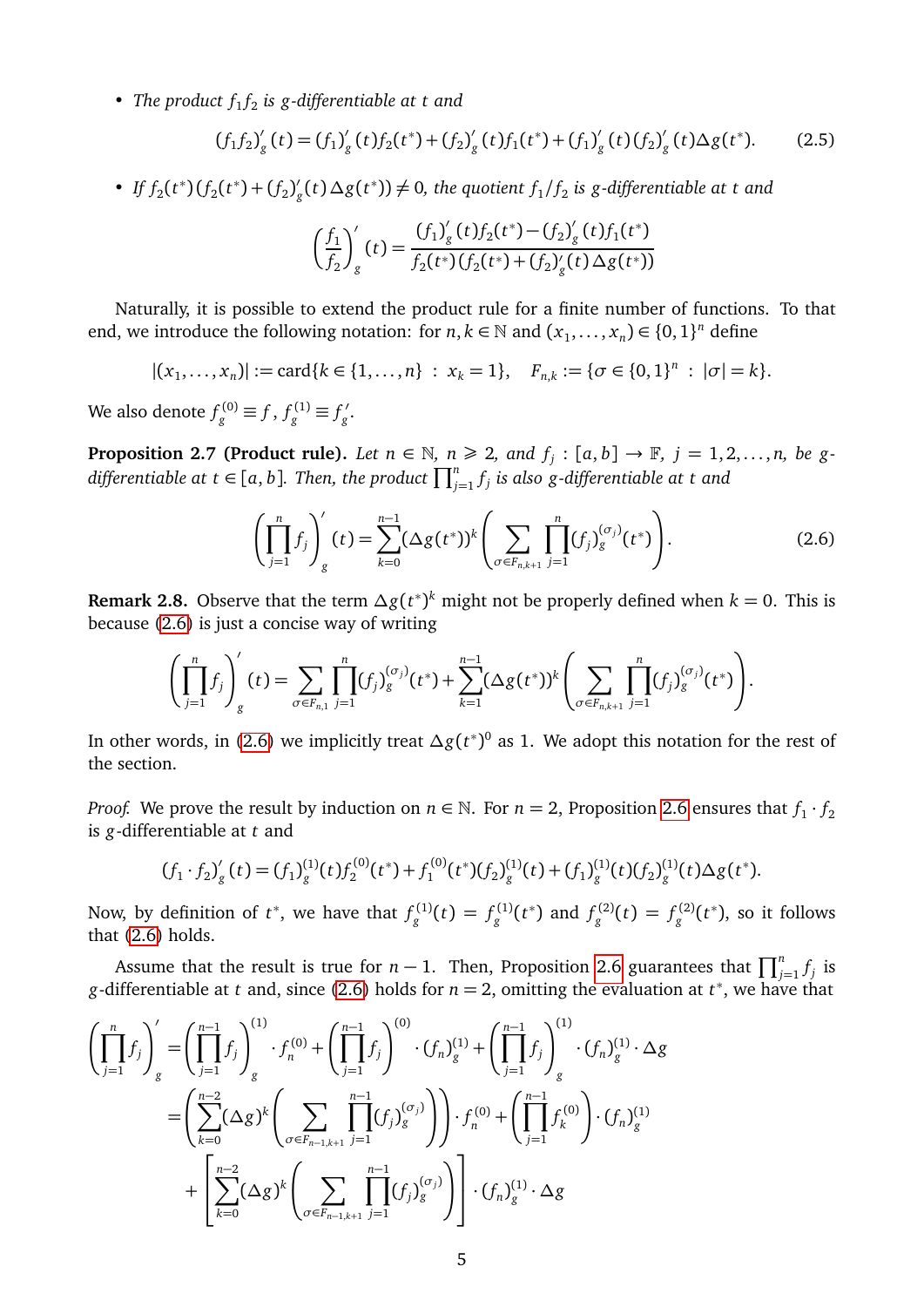• *The product*  $f_1 f_2$  *is g-differentiable at t and* 

<span id="page-4-1"></span>
$$
(f_1 f_2)'_g(t) = (f_1)'_g(t) f_2(t^*) + (f_2)'_g(t) f_1(t^*) + (f_1)'_g(t) (f_2)'_g(t) \Delta g(t^*).
$$
 (2.5)

• *If*  $f_2(t^*) (f_2(t^*) + (f_2))$  $g'$ <sub>*g*</sub>(*t*) ∆*g*(*t*<sup>\*</sup>))  $\neq$  0, the quotient  $f_1/f_2$  is *g*-differentiable at t and

$$
\left(\frac{f_1}{f_2}\right)'_g(t) = \frac{(f_1)'_g(t)f_2(t^*) - (f_2)'_g(t)f_1(t^*)}{f_2(t^*) (f_2(t^*) + (f_2)'_g(t) \Delta g(t^*))}
$$

Naturally, it is possible to extend the product rule for a finite number of functions. To that end, we introduce the following notation: for  $n, k \in \mathbb{N}$  and  $(x_1, \ldots, x_n) \in \{0, 1\}^n$  define

 $|(x_1, ..., x_n)| := \text{card}\{k \in \{1, ..., n\} : x_k = 1\}, \quad F_{n,k} := \{\sigma \in \{0, 1\}^n : |\sigma| = k\}.$ 

We also denote  $f_g^{(0)} \equiv f$  ,  $f_g^{(1)} \equiv f_g'$ *g* .

**Proposition 2.7 (Product rule).** Let  $n \in \mathbb{N}$ ,  $n \ge 2$ , and  $f_j : [a, b] \rightarrow \mathbb{F}$ ,  $j = 1, 2, ..., n$ , be gdifferentiable at  $t \in [a,b]$ . Then, the product  $\prod_{j=1}^n f_j$  is also g-differentiable at  $t$  and

<span id="page-4-0"></span>
$$
\left(\prod_{j=1}^{n}f_{j}\right)'_{g}(t) = \sum_{k=0}^{n-1} (\Delta g(t^{*}))^{k} \left(\sum_{\sigma \in F_{n,k+1}} \prod_{j=1}^{n} (f_{j})_{g}^{(\sigma_{j})}(t^{*})\right).
$$
\n(2.6)

**Remark 2.8.** Observe that the term *∆g*(*t* ∗ ) *<sup>k</sup>* might not be properly defined when *k* = 0. This is because [\(2.6\)](#page-4-0) is just a concise way of writing

$$
\left(\prod_{j=1}^n f_j\right)'_g(t) = \sum_{\sigma \in F_{n,1}} \prod_{j=1}^n (f_j)_g^{(\sigma_j)}(t^*) + \sum_{k=1}^{n-1} (\Delta g(t^*))^k \left(\sum_{\sigma \in F_{n,k+1}} \prod_{j=1}^n (f_j)_g^{(\sigma_j)}(t^*)\right).
$$

In other words, in [\(2.6\)](#page-4-0) we implicitly treat *∆g*(*t* ∗ ) 0 as 1. We adopt this notation for the rest of the section.

*Proof.* We prove the result by induction on  $n \in \mathbb{N}$ . For  $n = 2$ , Proposition [2.6](#page-3-2) ensures that  $f_1 \cdot f_2$ is *g*-differentiable at *t* and

$$
(f_1 \cdot f_2)'_g(t) = (f_1)^{(1)}_g(t) f_2^{(0)}(t^*) + f_1^{(0)}(t^*) (f_2)^{(1)}_g(t) + (f_1)^{(1)}_g(t) (f_2)^{(1)}_g(t) \Delta g(t^*).
$$

Now, by definition of  $t^*$ , we have that  $f_g^{(1)}(t) = f_g^{(1)}(t^*)$  and  $f_g^{(2)}(t) = f_g^{(2)}(t^*)$ , so it follows that [\(2.6\)](#page-4-0) holds.

Assume that the result is true for *n* − 1. Then, Proposition [2.6](#page-3-2) guarantees that  $\prod_{j=1}^{n} f_j$  is *g*-differentiable at *t* and, since [\(2.6\)](#page-4-0) holds for *n* = 2, omitting the evaluation at *t*<sup>\*</sup>, we have that

$$
\left(\prod_{j=1}^{n}f_{j}\right)'_{g} = \left(\prod_{j=1}^{n-1}f_{j}\right)_{g}^{(1)} \cdot f_{n}^{(0)} + \left(\prod_{j=1}^{n-1}f_{j}\right)^{(0)} \cdot (f_{n})_{g}^{(1)} + \left(\prod_{j=1}^{n-1}f_{j}\right)_{g}^{(1)} \cdot (f_{n})_{g}^{(1)} \cdot \Delta g
$$
\n
$$
= \left(\sum_{k=0}^{n-2}(\Delta g)^{k}\left(\sum_{\sigma \in F_{n-1,k+1}}\prod_{j=1}^{n-1}(f_{j})_{g}^{(\sigma_{j})}\right)\right) \cdot f_{n}^{(0)} + \left(\prod_{j=1}^{n-1}f_{k}^{(0)}\right) \cdot (f_{n})_{g}^{(1)}
$$
\n
$$
+ \left[\sum_{k=0}^{n-2}(\Delta g)^{k}\left(\sum_{\sigma \in F_{n-1,k+1}}\prod_{j=1}^{n-1}(f_{j})_{g}^{(\sigma_{j})}\right)\right] \cdot (f_{n})_{g}^{(1)} \cdot \Delta g
$$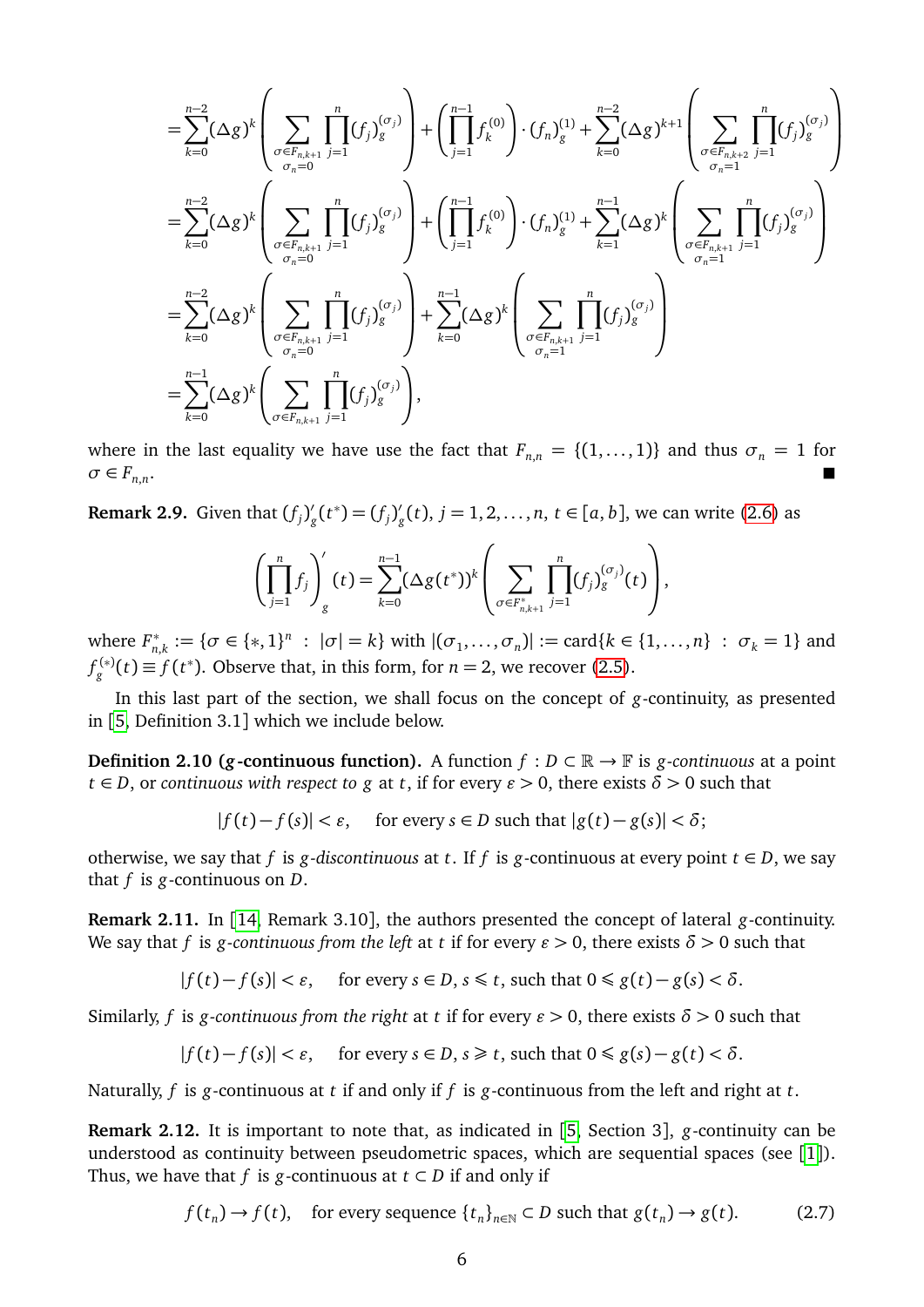$$
\begin{split}\n&= \sum_{k=0}^{n-2} (\Delta g)^k \left( \sum_{\substack{\sigma \in F_{n,k+1} \\ \sigma_n = 0}} \prod_{j=1}^n (f_j)_g^{(\sigma_j)} \right) + \left( \prod_{j=1}^{n-1} f_k^{(0)} \right) \cdot (f_n)_g^{(1)} + \sum_{k=0}^{n-2} (\Delta g)^{k+1} \left( \sum_{\substack{\sigma \in F_{n,k+2} \\ \sigma_n = 1}} \prod_{j=1}^n (f_j)_g^{(\sigma_j)} \right) \\
&= \sum_{k=0}^{n-2} (\Delta g)^k \left( \sum_{\substack{\sigma \in F_{n,k+1} \\ \sigma_n = 0}} \prod_{j=1}^n (f_j)_g^{(\sigma_j)} \right) + \left( \prod_{j=1}^{n-1} f_k^{(0)} \right) \cdot (f_n)_g^{(1)} + \sum_{k=1}^{n-1} (\Delta g)^k \left( \sum_{\substack{\sigma \in F_{n,k+1} \\ \sigma_n = 1}} \prod_{j=1}^n (f_j)_g^{(\sigma_j)} \right) \\
&= \sum_{k=0}^{n-2} (\Delta g)^k \left( \sum_{\substack{\sigma \in F_{n,k+1} \\ \sigma_n = 0}} \prod_{j=1}^n (f_j)_g^{(\sigma_j)} \right) + \sum_{k=0}^{n-1} (\Delta g)^k \left( \sum_{\substack{\sigma \in F_{n,k+1} \\ \sigma_n = 1}} \prod_{j=1}^n (f_j)_g^{(\sigma_j)} \right) \\
&= \sum_{k=0}^{n-1} (\Delta g)^k \left( \sum_{\sigma \in F_{n,k+1}} \prod_{j=1}^n (f_j)_g^{(\sigma_j)} \right),\n\end{split}
$$

where in the last equality we have use the fact that  $F_{n,n} = \{(1,\ldots,1)\}\$  and thus  $\sigma_n = 1$  for  $\sigma \in F_{n,n}$ . In the second control of the second control of the second control of the second control of the second control of

**Remark 2.9.** Given that  $(f_j)'$  $g'_{g}(t^{*}) = (f_{j})'_{g}$  $g'_{g}(t)$ ,  $j = 1, 2, ..., n$ ,  $t \in [a, b]$ , we can write [\(2.6\)](#page-4-0) as

$$
\left(\prod_{j=1}^n f_j\right)'_g(t) = \sum_{k=0}^{n-1} (\Delta g(t^*))^k \left(\sum_{\sigma \in F_{n,k+1}^*} \prod_{j=1}^n (f_j)^{( \sigma_j)}_g(t)\right),
$$

where  $F_n^*$  $n_{n,k}^* := {\sigma \in \{*, 1\}^n : |\sigma| = k}$  with  $|(\sigma_1, ..., \sigma_n)| := \text{card}\{k \in \{1, ..., n\} : \sigma_k = 1\}$  and  $f_g^{(*)}(t) \equiv f(t^*)$ . Observe that, in this form, for *n* = 2, we recover [\(2.5\)](#page-4-1).

In this last part of the section, we shall focus on the concept of *g*-continuity, as presented in [[5,](#page-27-3) Definition 3.1] which we include below.

**Definition 2.10 (***g*-continuous function). A function  $f : D \subset \mathbb{R} \to \mathbb{F}$  is *g*-continuous at a point  $t \in D$ , or *continuous with respect to g* at *t*, if for every  $\varepsilon > 0$ , there exists  $\delta > 0$  such that

 $|f(t) - f(s)| < \varepsilon$ , for every  $s \in D$  such that  $|g(t) - g(s)| < \delta$ ;

otherwise, we say that *f* is *g*-discontinuous at *t*. If *f* is *g*-continuous at every point  $t \in D$ , we say that *f* is *g*-continuous on *D*.

**Remark 2.11.** In [[14,](#page-27-12) Remark 3.10], the authors presented the concept of lateral *g*-continuity. We say that *f* is *g*-continuous from the left at *t* if for every  $\varepsilon > 0$ , there exists  $\delta > 0$  such that

$$
|f(t)-f(s)|<\varepsilon,\quad\text{ for every }s\in D,\,s\leq t\text{, such that }0\leq g(t)-g(s)<\delta.
$$

Similarly, *f* is *g*-continuous from the right at *t* if for every  $\varepsilon > 0$ , there exists  $\delta > 0$  such that

$$
|f(t) - f(s)| < \varepsilon, \quad \text{ for every } s \in D, s \ge t \text{, such that } 0 \le g(s) - g(t) < \delta.
$$

Naturally, *f* is *g*-continuous at *t* if and only if *f* is *g*-continuous from the left and right at *t*.

**Remark 2.12.** It is important to note that, as indicated in [[5,](#page-27-3) Section 3], *g*-continuity can be understood as continuity between pseudometric spaces, which are sequential spaces (see [[1](#page-27-13)]). Thus, we have that *f* is *g*-continuous at  $t \subset D$  if and only if

<span id="page-5-0"></span>
$$
f(t_n) \to f(t)
$$
, for every sequence  $\{t_n\}_{n \in \mathbb{N}} \subset D$  such that  $g(t_n) \to g(t)$ . (2.7)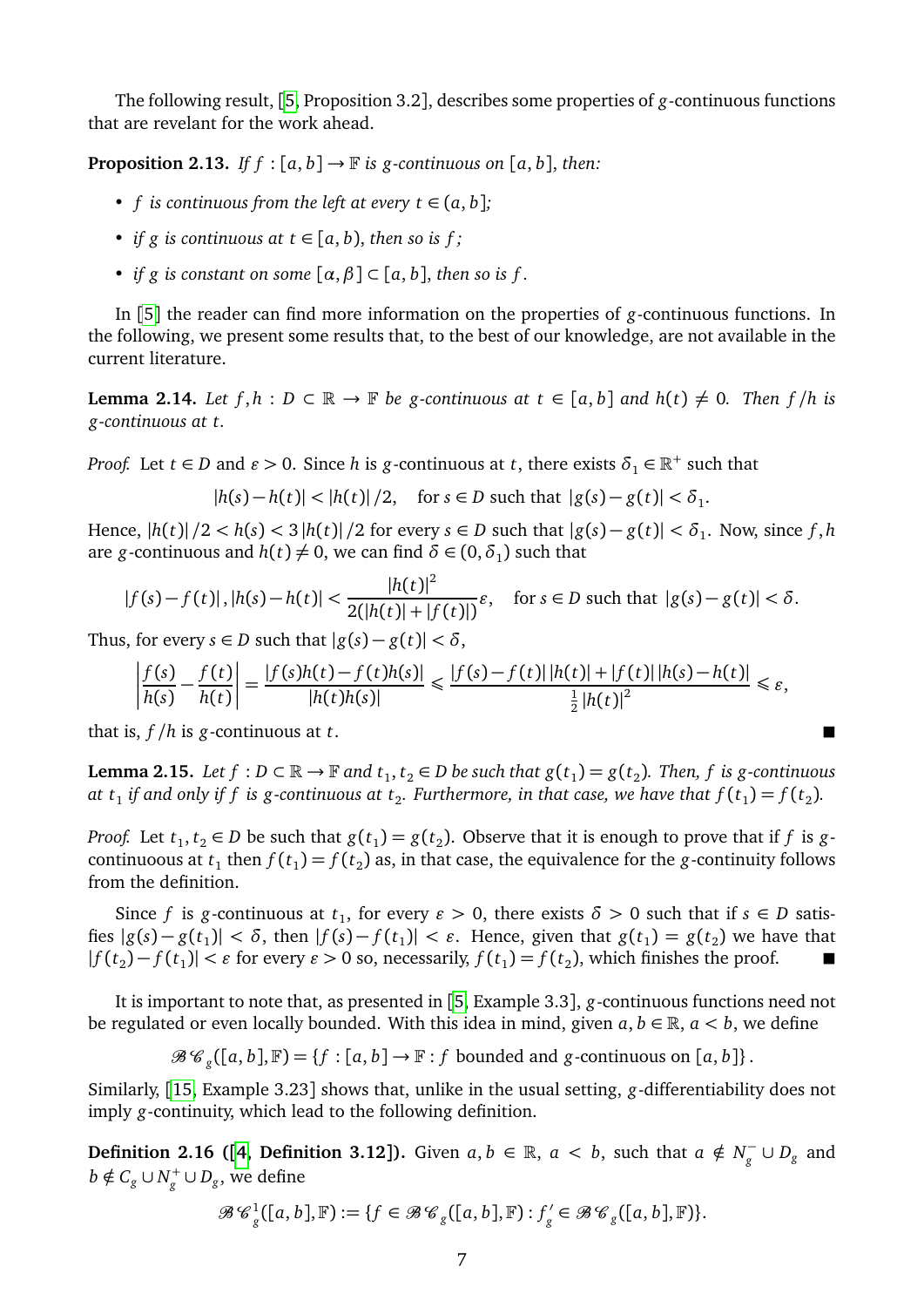The following result, [[5,](#page-27-3) Proposition 3.2], describes some properties of *g*-continuous functions that are revelant for the work ahead.

<span id="page-6-1"></span>**Proposition 2.13.** *If f* :  $[a, b] \rightarrow \mathbb{F}$  *is g-continuous on*  $[a, b]$ , *then:* 

- *f* is continuous from the left at every  $t \in (a, b]$ ;
- *if g is continuous at t*  $\in$  [a, b), *then so is f*;
- *if g is constant on some*  $[\alpha, \beta] \subset [\alpha, b]$ , *then so is f.*

In [[5](#page-27-3)] the reader can find more information on the properties of *g*-continuous functions. In the following, we present some results that, to the best of our knowledge, are not available in the current literature.

<span id="page-6-2"></span>**Lemma 2.14.** *Let*  $f, h : D \subset \mathbb{R} \to \mathbb{F}$  *be g-continuous at*  $t \in [a, b]$  *and*  $h(t) \neq 0$ *. Then*  $f/h$  *is g-continuous at t.*

*Proof.* Let  $t \in D$  and  $\varepsilon > 0$ . Since *h* is *g*-continuous at *t*, there exists  $\delta_1 \in \mathbb{R}^+$  such that

 $|h(s) - h(t)| < |h(t)|/2$ , for  $s \in D$  such that  $|g(s) - g(t)| < \delta_1$ .

Hence,  $|h(t)|/2 < h(s) < 3|h(t)|/2$  for every  $s \in D$  such that  $|g(s) - g(t)| < \delta_1$ . Now, since f, h are *g*-continuous and  $h(t) \neq 0$ , we can find  $\delta \in (0, \delta_1)$  such that

$$
|f(s)-f(t)|, |h(s)-h(t)| < \frac{|h(t)|^2}{2(|h(t)|+|f(t)|)}\varepsilon, \quad \text{for } s \in D \text{ such that } |g(s)-g(t)| < \delta.
$$

Thus, for every  $s \in D$  such that  $|g(s) - g(t)| < \delta$ ,

$$
\left|\frac{f(s)}{h(s)} - \frac{f(t)}{h(t)}\right| = \frac{|f(s)h(t) - f(t)h(s)|}{|h(t)h(s)|} \le \frac{|f(s) - f(t)| |h(t)| + |f(t)| |h(s) - h(t)|}{\frac{1}{2}|h(t)|^2} \le \varepsilon,
$$

that is, *f /h* is *g*-continuous at *t*.

<span id="page-6-0"></span>**Lemma 2.15.** Let  $f : D \subset \mathbb{R} \to \mathbb{F}$  and  $t_1, t_2 \in D$  be such that  $g(t_1) = g(t_2)$ . Then,  $f$  is g-continuous at  $t_1$  if and only if  $f$  is g-continuous at  $t_2$ . Furthermore, in that case, we have that  $f(t_1)$   $=$   $f(t_2)$ .

*Proof.* Let  $t_1, t_2 \in D$  be such that  $g(t_1) = g(t_2)$ . Observe that it is enough to prove that if *f* is *g*continuoous at  $t_1$  then  $f(t_1)$  =  $f(t_2)$  as, in that case, the equivalence for the *g*-continuity follows from the definition.

Since *f* is *g*-continuous at  $t_1$ , for every  $\varepsilon > 0$ , there exists  $\delta > 0$  such that if  $s \in D$  satisfies  $|g(s) - g(t_1)| < \delta$ , then  $|f(s) - f(t_1)| < \varepsilon$ . Hence, given that  $g(t_1) = g(t_2)$  we have that  $|f(t_2) - f(t_1)| < \varepsilon$  for every  $\varepsilon > 0$  so, necessarily,  $f(t_1) = f(t_2)$ , which finishes the proof. ■

It is important to note that, as presented in [[5,](#page-27-3) Example 3.3], *g*-continuous functions need not be regulated or even locally bounded. With this idea in mind, given  $a, b \in \mathbb{R}$ ,  $a < b$ , we define

 $\mathcal{B} \mathcal{C}_g([a, b], \mathbb{F}) = \{f : [a, b] \to \mathbb{F} : f \text{ bounded and } g\text{-continuous on } [a, b]\}.$ 

Similarly, [[15,](#page-28-3) Example 3.23] shows that, unlike in the usual setting, *g*-differentiability does not imply *g*-continuity, which lead to the following definition.

**Definition 2.16 ([[4,](#page-27-9) Definition 3.12]).** Given  $a, b \in \mathbb{R}$ ,  $a < b$ , such that  $a \notin N_{g}^{-1}$  $\frac{p}{g}$  ∪  $D_g$  and  $b \notin C_g \cup N_g^+ \cup D_g$ , we define

$$
\mathcal{B}\mathcal{C}^1_g([a,b],\mathbb{F}):=\{f\in \mathcal{B}\mathcal{C}_g([a,b],\mathbb{F}): f_g'\in \mathcal{B}\mathcal{C}_g([a,b],\mathbb{F})\}.
$$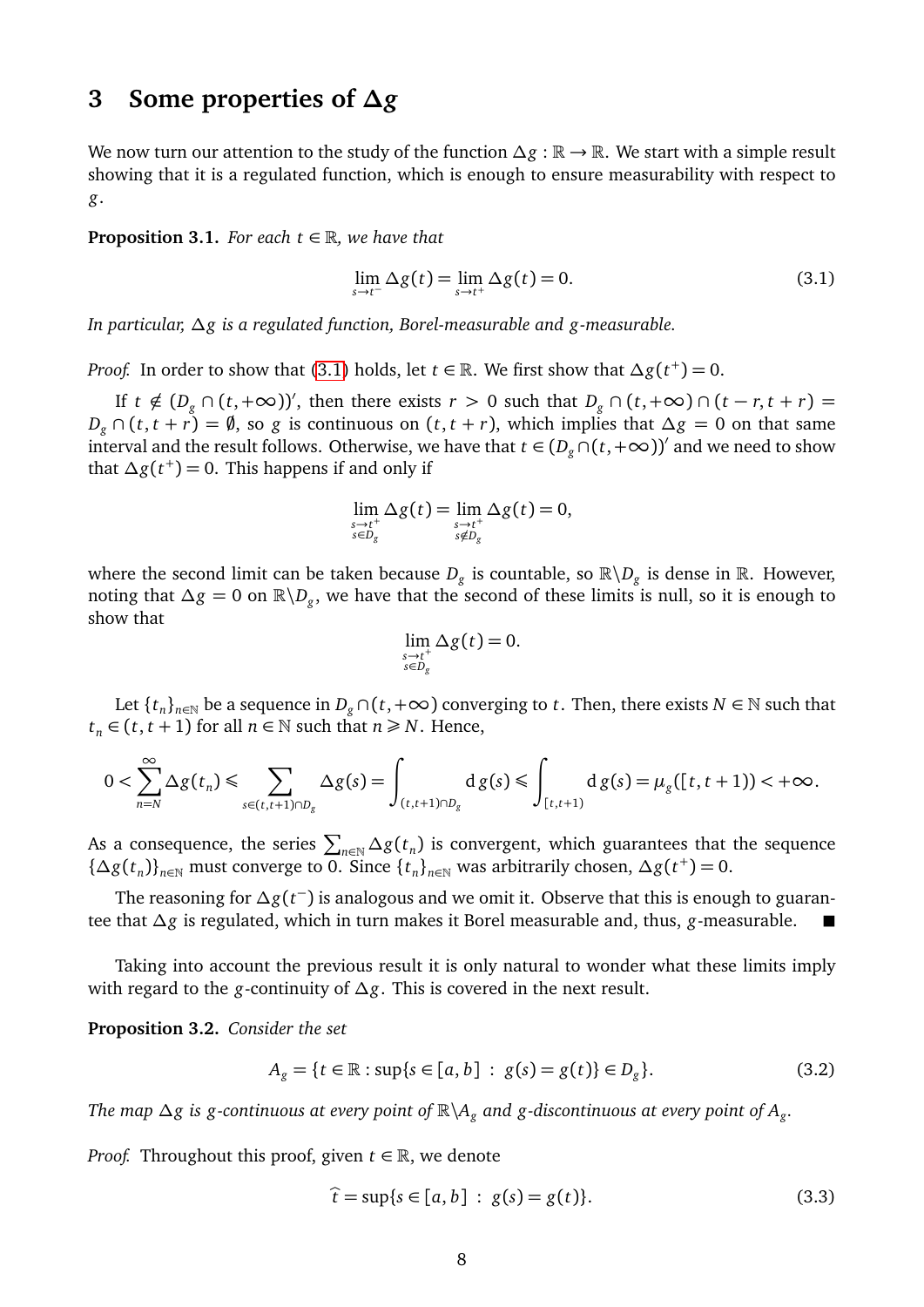#### **3 Some properties of** *∆g*

We now turn our attention to the study of the function  $\Delta g : \mathbb{R} \to \mathbb{R}$ . We start with a simple result showing that it is a regulated function, which is enough to ensure measurability with respect to *g*.

<span id="page-7-2"></span>**Proposition 3.1.** *For each*  $t \in \mathbb{R}$ *, we have that* 

<span id="page-7-0"></span>
$$
\lim_{s \to t^{-}} \Delta g(t) = \lim_{s \to t^{+}} \Delta g(t) = 0.
$$
\n(3.1)

*In particular, ∆g is a regulated function, Borel-measurable and g-measurable.*

*Proof.* In order to show that [\(3.1\)](#page-7-0) holds, let  $t \in \mathbb{R}$ . We first show that  $\Delta g(t^+) = 0$ .

If  $t \notin (D_g \cap (t, +\infty))'$ , then there exists  $r > 0$  such that  $D_g \cap (t, +\infty) \cap (t - r, t + r) =$  $D_g \cap (t, t + r) = \emptyset$ , so *g* is continuous on  $(t, t + r)$ , which implies that  $\Delta g = 0$  on that same interval and the result follows. Otherwise, we have that  $t \in (D_g \cap (t, +\infty))'$  and we need to show that  $\Delta g(t^+)$  = 0. This happens if and only if

$$
\lim_{\substack{s\to t^+\\s\in D_g}}\Delta g(t) = \lim_{\substack{s\to t^+\\s\notin D_g}}\Delta g(t) = 0,
$$

where the second limit can be taken because  $D_g$  is countable, so  $\mathbb{R}\backslash D_g$  is dense in  $\mathbb{R}$ . However, noting that  $\Delta g = 0$  on  $\mathbb{R} \backslash D_g$ , we have that the second of these limits is null, so it is enough to show that

$$
\lim_{\substack{s\to t^+\\s\in D_g}}\Delta g(t)=0.
$$

Let  $\{t_n\}_{n\in\mathbb{N}}$  be a sequence in  $D_g \cap (t,+\infty)$  converging to  $t$ . Then, there exists  $N\in\mathbb{N}$  such that *t*<sub>*n*</sub> ∈ (*t*, *t* + 1) for all *n* ∈ *N* such that *n* ≥ *N*. Hence,

$$
0<\sum_{n=N}^{\infty}\Delta g(t_n)\leq \sum_{s\in (t,t+1)\cap D_g}\Delta g(s)=\int_{(t,t+1)\cap D_g}\mathrm{d}\,g(s)\leq \int_{[t,t+1)}\mathrm{d}\,g(s)=\mu_g([t,t+1))<+\infty.
$$

As a consequence, the series  $\sum_{n\in\mathbb{N}}\Delta g(t_n)$  is convergent, which guarantees that the sequence { $\Delta g(t_n)$ }<sub>*n*∈N</sub> must converge to 0. Since { $t_n$ }<sub>*n*∈N</sub> was arbitrarily chosen,  $\Delta g(t^+) = 0$ .

The reasoning for *∆g*(*t* − ) is analogous and we omit it. Observe that this is enough to guarantee that *∆g* is regulated, which in turn makes it Borel measurable and, thus, *g*-measurable.

Taking into account the previous result it is only natural to wonder what these limits imply with regard to the *g*-continuity of *∆g*. This is covered in the next result.

<span id="page-7-3"></span>**Proposition 3.2.** *Consider the set*

<span id="page-7-4"></span>
$$
A_g = \{t \in \mathbb{R} : \sup\{s \in [a, b] : g(s) = g(t)\} \in D_g\}.
$$
 (3.2)

*The map ∆g is g-continuous at every point of* R\*A<sup>g</sup> and g-discontinuous at every point of A<sup>g</sup> .*

*Proof.* Throughout this proof, given  $t \in \mathbb{R}$ , we denote

<span id="page-7-1"></span>
$$
\hat{t} = \sup\{s \in [a, b] : g(s) = g(t)\}.
$$
\n(3.3)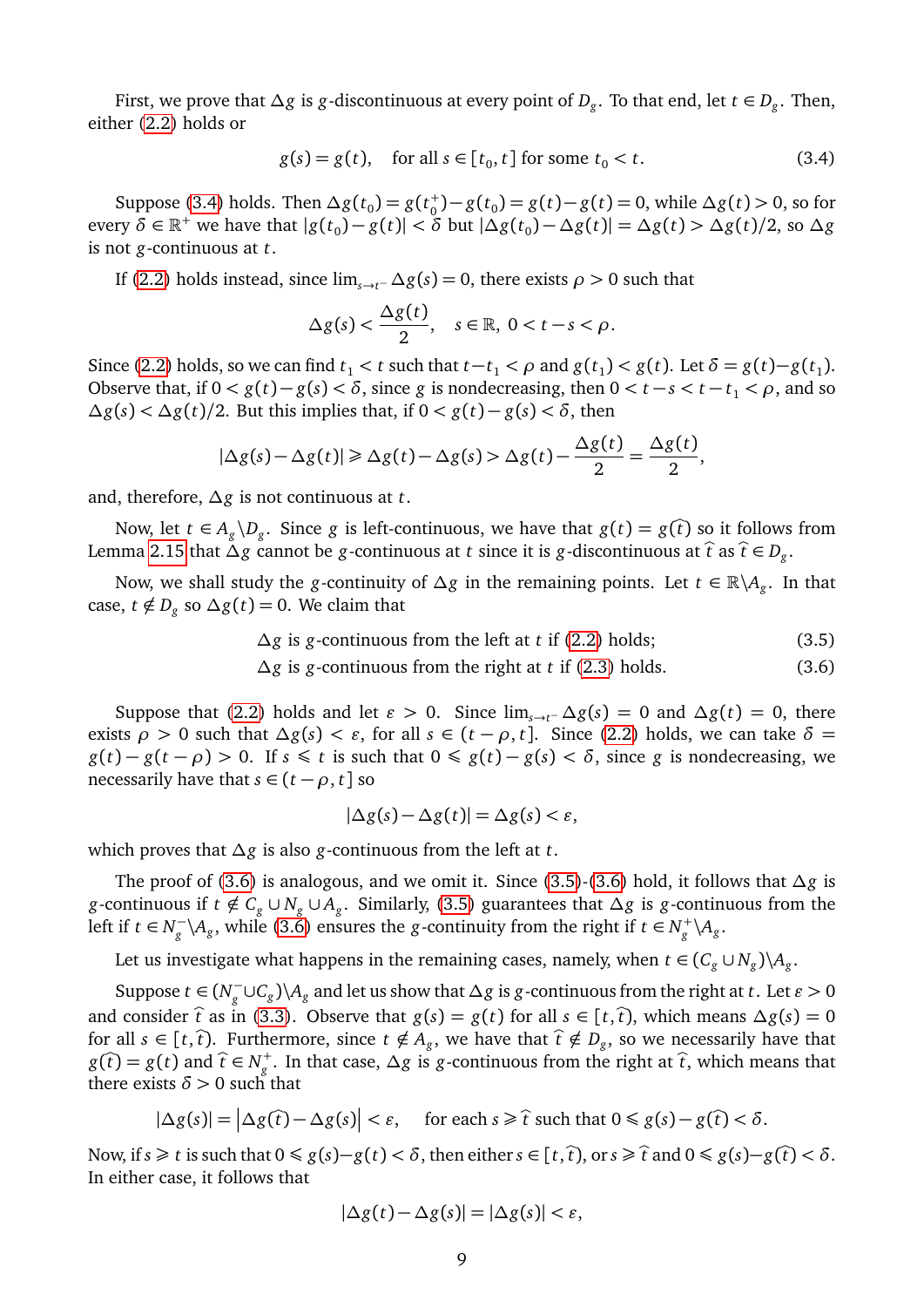First, we prove that *∆g* is *g*-discontinuous at every point of *D<sup>g</sup>* . To that end, let *t* ∈ *D<sup>g</sup>* . Then, either [\(2.2\)](#page-2-0) holds or

<span id="page-8-0"></span>
$$
g(s) = g(t), \quad \text{for all } s \in [t_0, t] \text{ for some } t_0 < t. \tag{3.4}
$$

Suppose [\(3.4\)](#page-8-0) holds. Then  $\Delta g(t_0) = g(t_0^+) - g(t_0) = g(t) - g(t) = 0$ , while  $\Delta g(t) > 0$ , so for every  $\delta \in \mathbb{R}^+$  we have that  $|g(t_0)-g(t)| < \delta$  but  $|\Delta g(t_0)-\Delta g(t)| = \Delta g(t) > \Delta g(t)/2$ , so  $\Delta g$ is not *g*-continuous at *t*.

If [\(2.2\)](#page-2-0) holds instead, since  $\lim_{s \to t^-} \Delta g(s) = 0$ , there exists  $\rho > 0$  such that

$$
\Delta g(s) < \frac{\Delta g(t)}{2}, \quad s \in \mathbb{R}, \ 0 < t - s < \rho.
$$

Since [\(2.2\)](#page-2-0) holds, so we can find  $t_1 < t$  such that  $t-t_1 < \rho$  and  $g(t_1) < g(t)$ . Let  $\delta = g(t)-g(t_1)$ . Observe that, if  $0 < g(t) - g(s) < \delta$ , since *g* is nondecreasing, then  $0 < t - s < t - t_1 < \rho$ , and so  $\Delta g(s)$  <  $\Delta g(t)$ /2. But this implies that, if 0 < *g*(*t*) − *g*(*s*) < *δ*, then

$$
|\Delta g(s) - \Delta g(t)| \ge \Delta g(t) - \Delta g(s) > \Delta g(t) - \frac{\Delta g(t)}{2} = \frac{\Delta g(t)}{2},
$$

and, therefore, *∆g* is not continuous at *t*.

Now, let  $t \in A_g \backslash D_g$ . Since *g* is left-continuous, we have that  $g(t) = g(\hat{t})$  so it follows from Lemma [2.15](#page-6-0) that  $\Delta g$  cannot be *g*-continuous at *t* since it is *g*-discontinuous at  $\hat{t}$  as  $\hat{t} \in D_g$ .

Now, we shall study the *g*-continuity of *∆g* in the remaining points. Let *t* ∈ R\*A<sup>g</sup>* . In that case,  $t \notin D_g$  so  $\Delta g(t) = 0$ . We claim that

$$
\Delta g \text{ is } g\text{-continuous from the left at } t \text{ if (2.2) holds;}
$$
\n(3.5)

*∆g* is *g*-continuous from the right at *t* if [\(2.3\)](#page-2-1) holds. (3.6)

Suppose that [\(2.2\)](#page-2-0) holds and let  $\varepsilon > 0$ . Since  $\lim_{s \to t^-} \Delta g(s) = 0$  and  $\Delta g(t) = 0$ , there exists *ρ* > 0 such that  $\Delta g(s) < ε$ , for all  $s ∈ (t − ρ, t]$ . Since [\(2.2\)](#page-2-0) holds, we can take  $\delta =$  $g(t) - g(t - \rho) > 0$ . If  $s \leq t$  is such that  $0 \leq g(t) - g(s) < \delta$ , since *g* is nondecreasing, we necessarily have that  $s \in (t - \rho, t]$  so

<span id="page-8-2"></span><span id="page-8-1"></span>
$$
|\Delta g(s) - \Delta g(t)| = \Delta g(s) < \varepsilon,
$$

which proves that *∆g* is also *g*-continuous from the left at *t*.

The proof of [\(3.6\)](#page-8-1) is analogous, and we omit it. Since [\(3.5\)](#page-8-2)-[\(3.6\)](#page-8-1) hold, it follows that *∆g* is *g*-continuous if  $t \notin C_g \cup N_g \cup A_g$ . Similarly, [\(3.5\)](#page-8-2) guarantees that  $\Delta g$  is *g*-continuous from the left if *t* ∈  $N_a^$  $g^{-1}(A_g)$ , while [\(3.6\)](#page-8-1) ensures the *g*-continuity from the right if  $t \in N_g^+ \setminus A_g$ .

Let us investigate what happens in the remaining cases, namely, when  $t \in (C_g \cup N_g) \setminus A_g$ .

Suppose  $t \in (N_g^-)$  $g^{\text{I}} \cup C_g$ )\ $A_g$  and let us show that  $\Delta g$  is *g*-continuous from the right at *t*. Let  $\varepsilon > 0$ and consider  $\hat{t}$  as in [\(3.3\)](#page-7-1). Observe that  $g(s) = g(t)$  for all  $s \in [t, \hat{t})$ , which means  $\Delta g(s) = 0$ for all  $s \in [t, \hat{t})$ . Furthermore, since  $t \notin A_g$ , we have that  $\hat{t} \notin D_g$ , so we necessarily have that *g*( $\hat{t}$ ) = *g*(*t*) and  $\hat{t}$  ∈ *N*<sup> $+$ </sup>, In that case,  $\Delta g$  is *g*-continuous from the right at  $\hat{t}$ , which means that there exists  $\delta > 0$  such that

$$
|\Delta g(s)| = |\Delta g(\hat{t}) - \Delta g(s)| < \varepsilon, \quad \text{for each } s \geq \hat{t} \text{ such that } 0 \leq g(s) - g(\hat{t}) < \delta.
$$

Now, if *s* ≥ *t* is such that  $0 \le g(s) - g(t) < δ$ , then either  $s ∈ [t, t)$ , or  $s \ge \hat{t}$  and  $0 \le g(s) - g(t) < δ$ . In either case, it follows that

$$
|\Delta g(t) - \Delta g(s)| = |\Delta g(s)| < \varepsilon,
$$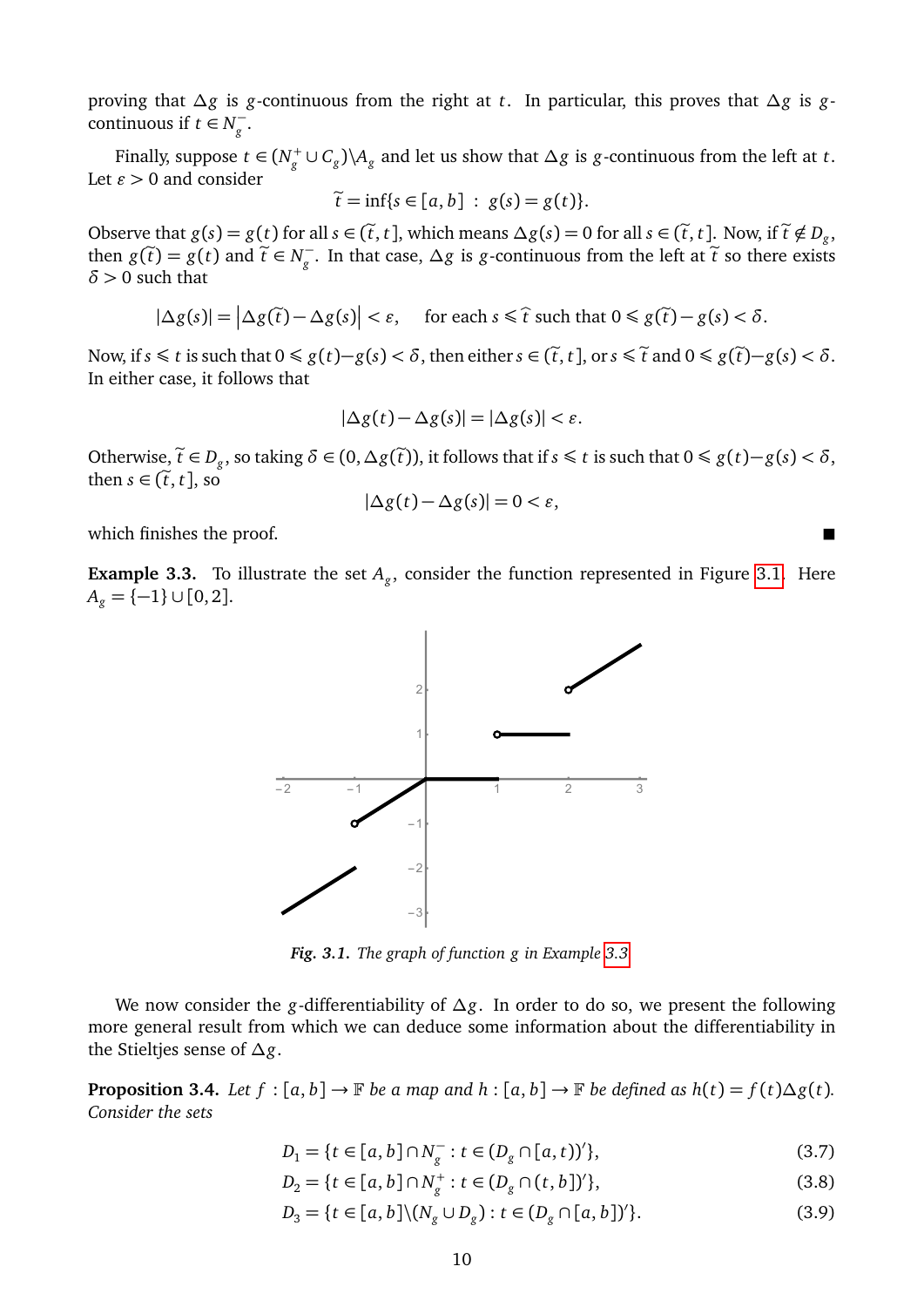proving that *∆g* is *g*-continuous from the right at *t*. In particular, this proves that *∆g* is *g*continuous if  $t \in N_\sigma^$ *g* .

Finally, suppose  $t \in (N_g^+ \cup C_g) \setminus A_g$  and let us show that  $\Delta g$  is *g*-continuous from the left at *t*. Let  $\varepsilon > 0$  and consider

$$
\widetilde{t} = \inf\{s \in [a, b] : g(s) = g(t)\}.
$$

Observe that  $g(s) = g(t)$  for all  $s \in (\tilde{t}, t]$ , which means  $\Delta g(s) = 0$  for all  $s \in (\tilde{t}, t]$ . Now, if  $\tilde{t} \notin D_g$ , then  $g(\tilde{\lambda}) = g(t)$  and  $\tilde{\lambda} \in N^-$ . In that sees  $A$  g is a sentimental from the left of  $\tilde{\lambda}$  so them then  $g(\tilde{t}) = g(t)$  and  $\tilde{t} \in N_g^ \frac{1}{g}$ . In that case,  $\Delta g$  is *g*-continuous from the left at  $\tilde{t}$  so there exists *δ >* 0 such that

$$
|\Delta g(s)| = |\Delta g(\tilde{t}) - \Delta g(s)| < \varepsilon, \quad \text{for each } s \leq \hat{t} \text{ such that } 0 \leq g(\tilde{t}) - g(s) < \delta.
$$

Now, if *s* ≤ *t* is such that  $0 \le g(t)-g(s) < δ$ , then either  $s \in (\tilde{t}, t]$ , or  $s \le \tilde{t}$  and  $0 \le g(\tilde{t})-g(s) < δ$ . In either case, it follows that

$$
|\Delta g(t) - \Delta g(s)| = |\Delta g(s)| < \varepsilon.
$$

Otherwise,  $\tilde{t} \in D_g$ , so taking  $\delta \in (0, \Delta g(\tilde{t}))$ , it follows that if  $s \leq t$  is such that  $0 \leq g(t)-g(s) < \delta$ , then  $s \in (\tilde{t}, t]$ , so

$$
|\Delta g(t) - \Delta g(s)| = 0 < \varepsilon,
$$

which finishes the proof.

<span id="page-9-1"></span><span id="page-9-0"></span>**Example 3.3.** To illustrate the set *A<sup>g</sup>* , consider the function represented in Figure [3.1.](#page-9-0) Here  $A_g = \{-1\} \cup [0, 2].$ 



*Fig. 3.1. The graph of function g in Example [3.3.](#page-9-1)*

We now consider the *g*-differentiability of *∆g*. In order to do so, we present the following more general result from which we can deduce some information about the differentiability in the Stieltjes sense of *∆g*.

<span id="page-9-2"></span>**Proposition 3.4.** *Let*  $f : [a, b] \to \mathbb{F}$  *be a map and*  $h : [a, b] \to \mathbb{F}$  *be defined as*  $h(t) = f(t) \Delta g(t)$ *. Consider the sets*

<span id="page-9-3"></span>
$$
D_1 = \{ t \in [a, b] \cap N_g^- : t \in (D_g \cap [a, t))' \},
$$
\n(3.7)

<span id="page-9-4"></span>
$$
D_2 = \{ t \in [a, b] \cap N_g^+ : t \in (D_g \cap (t, b])' \},
$$
\n(3.8)

$$
D_3 = \{ t \in [a, b] \setminus (N_g \cup D_g) : t \in (D_g \cap [a, b])' \}.
$$
\n(3.9)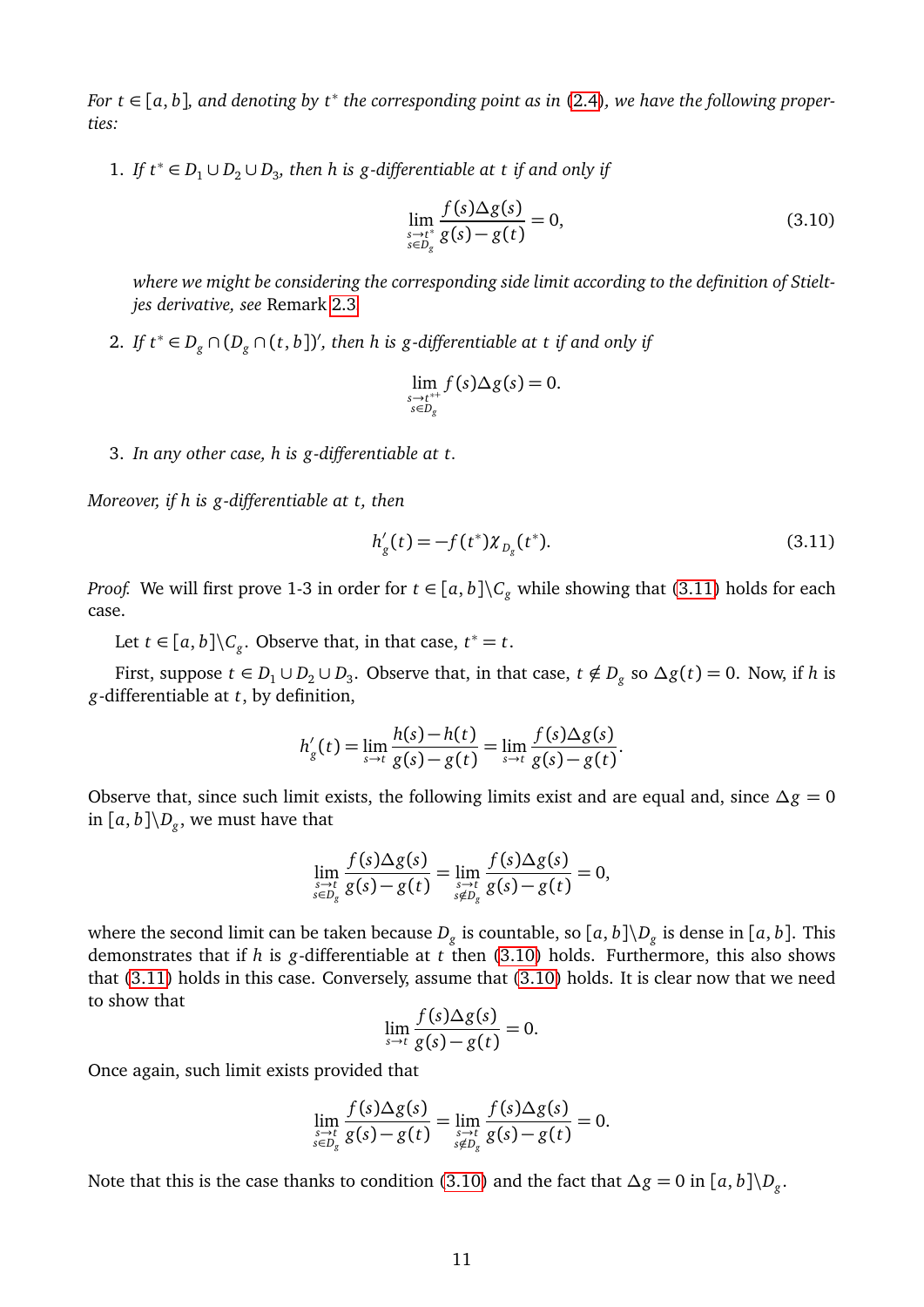*For t* <sup>∈</sup> [*a*, *<sup>b</sup>*]*, and denoting by t*<sup>∗</sup> *the corresponding point as in* [\(2.4\)](#page-3-1)*, we have the following properties:*

1. *If*  $t^*$  ∈  $D_1$  ∪  $D_2$  ∪  $D_3$ , then h is g-differentiable at t if and only if

<span id="page-10-1"></span>
$$
\lim_{\substack{s \to t^* \\ s \in D_g}} \frac{f(s) \Delta g(s)}{g(s) - g(t)} = 0,
$$
\n(3.10)

*where we might be considering the corresponding side limit according to the definition of Stieltjes derivative, see* Remark [2.3](#page-3-0)*.*

2. *If t*<sup>∗</sup> ∈  $D_g \cap (D_g \cap (t, b])'$ , then h is g-differentiable at t if and only if

$$
\lim_{\substack{s \to t^{*+} \\ s \in D_g}} f(s) \Delta g(s) = 0.
$$

3. *In any other case, h is g-differentiable at t.*

*Moreover, if h is g-differentiable at t, then*

<span id="page-10-0"></span>
$$
h'_{g}(t) = -f(t^{*})\chi_{D_{g}}(t^{*}).
$$
\n(3.11)

*Proof.* We will first prove 1-3 in order for  $t \in [a, b] \backslash C_g$  while showing that [\(3.11\)](#page-10-0) holds for each case.

Let *t*  $\in$   $[a, b] \ C_{g}$ . Observe that, in that case,  $t^* = t$ .

First, suppose  $t \in D_1 \cup D_2 \cup D_3$ . Observe that, in that case,  $t \notin D_g$  so  $\Delta g(t) = 0$ . Now, if *h* is *g*-differentiable at *t*, by definition,

$$
h'_{g}(t) = \lim_{s \to t} \frac{h(s) - h(t)}{g(s) - g(t)} = \lim_{s \to t} \frac{f(s) \Delta g(s)}{g(s) - g(t)}.
$$

Observe that, since such limit exists, the following limits exist and are equal and, since *∆g* = 0 in  $[a, b] \backslash D_g$ , we must have that

$$
\lim_{\substack{s\to t\\s\in D_g}}\frac{f(s)\Delta g(s)}{g(s)-g(t)}=\lim_{\substack{s\to t\\s\notin D_g}}\frac{f(s)\Delta g(s)}{g(s)-g(t)}=0,
$$

where the second limit can be taken because  $D_g$  is countable, so  $[a, b] \backslash D_g$  is dense in  $[a, b]$ . This demonstrates that if *h* is *g*-differentiable at *t* then [\(3.10\)](#page-10-1) holds. Furthermore, this also shows that [\(3.11\)](#page-10-0) holds in this case. Conversely, assume that [\(3.10\)](#page-10-1) holds. It is clear now that we need to show that

$$
\lim_{s \to t} \frac{f(s)\Delta g(s)}{g(s) - g(t)} = 0.
$$

Once again, such limit exists provided that

$$
\lim_{\substack{s\to t\\s\in D_g}}\frac{f(s)\Delta g(s)}{g(s)-g(t)}=\lim_{\substack{s\to t\\s\notin D_g}}\frac{f(s)\Delta g(s)}{g(s)-g(t)}=0.
$$

Note that this is the case thanks to condition [\(3.10\)](#page-10-1) and the fact that  $\Delta g = 0$  in  $[a, b]\backslash D_g$ .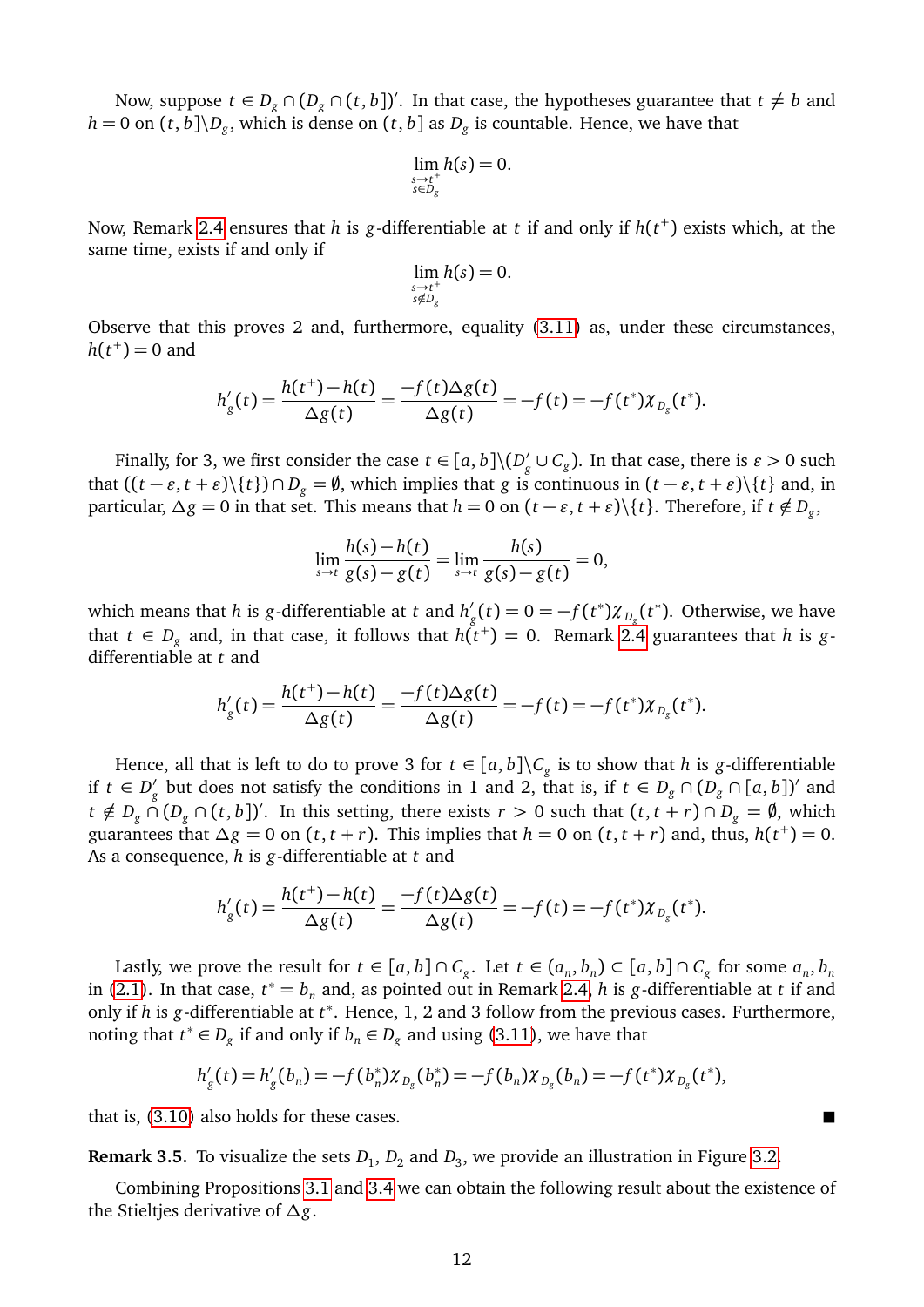Now, suppose  $t \in D_g \cap (D_g \cap (t, b])'$ . In that case, the hypotheses guarantee that  $t \neq b$  and  $h = 0$  on  $(t, b] \backslash D_g$ , which is dense on  $(t, b]$  as  $D_g$  is countable. Hence, we have that

$$
\lim_{\substack{s\to t^+\\s\in D_g}} h(s) = 0.
$$

Now, Remark [2.4](#page-3-3) ensures that *h* is *g*-differentiable at *t* if and only if *h*(*t* + ) exists which, at the same time, exists if and only if

$$
\lim_{\substack{s\to t^+\\s\notin D_g}} h(s) = 0.
$$

Observe that this proves 2 and, furthermore, equality [\(3.11\)](#page-10-0) as, under these circumstances,  $h(t^+) = 0$  and

$$
h'_{g}(t) = \frac{h(t^{+}) - h(t)}{\Delta g(t)} = \frac{-f(t)\Delta g(t)}{\Delta g(t)} = -f(t) = -f(t^{*})\chi_{D_{g}}(t^{*}).
$$

Finally, for 3, we first consider the case  $t \in [a, b] \backslash (D)$ *g*<sup> $\prime$ </sup> ∪  $C_g$ ). In that case, there is *ε* > 0 such that  $((t − \varepsilon, t + \varepsilon) \setminus \{t\}) ∩ D_g = \emptyset$ , which implies that *g* is continuous in  $(t − \varepsilon, t + \varepsilon) \setminus \{t\}$  and, in particular,  $\Delta g = 0$  in that set. This means that  $h = 0$  on  $(t - \varepsilon, t + \varepsilon) \setminus \{t\}$ . Therefore, if  $t \notin D_g$ ,

$$
\lim_{s \to t} \frac{h(s) - h(t)}{g(s) - g(t)} = \lim_{s \to t} \frac{h(s)}{g(s) - g(t)} = 0,
$$

which means that *h* is *g*-differentiable at *t* and  $h'_i$  $g'_{g}(t) = 0 = -f(t^*) \chi_{D_g}(t^*)$ . Otherwise, we have that  $t \in D_g$  and, in that case, it follows that  $h(t^+) = 0$ . Remark [2.4](#page-3-3) guarantees that  $h$  is  $g$ differentiable at *t* and

$$
h'_{g}(t) = \frac{h(t^{+}) - h(t)}{\Delta g(t)} = \frac{-f(t)\Delta g(t)}{\Delta g(t)} = -f(t) = -f(t^{*})\chi_{D_{g}}(t^{*}).
$$

Hence, all that is left to do to prove 3 for  $t \in [a, b] \backslash C_g$  is to show that *h* is *g*-differentiable if *t* ∈  $D'_a$ *g* but does not satisfy the conditions in 1 and 2, that is, if  $t \in D_g \cap (D_g \cap [a, b])'$  and  $t \notin D_g \cap (D_g \cap (t, b])'$ . In this setting, there exists  $r > 0$  such that  $(t, t + r) \cap D_g = \emptyset$ , which guarantees that  $\Delta g = 0$  on  $(t, t + r)$ . This implies that  $h = 0$  on  $(t, t + r)$  and, thus,  $h(t^+) = 0$ . As a consequence, *h* is *g*-differentiable at *t* and

$$
h'_{g}(t) = \frac{h(t^{+}) - h(t)}{\Delta g(t)} = \frac{-f(t)\Delta g(t)}{\Delta g(t)} = -f(t) = -f(t^{*})\chi_{D_{g}}(t^{*}).
$$

Lastly, we prove the result for  $t \in [a, b] \cap C_g$ . Let  $t \in (a_n, b_n) \subset [a, b] \cap C_g$  for some  $a_n, b_n$ in [\(2.1\)](#page-2-2). In that case,  $t^* = b_n$  and, as pointed out in Remark [2.4,](#page-3-3) *h* is *g*-differentiable at *t* if and only if *h* is *g*-differentiable at *t* ∗ . Hence, 1, 2 and 3 follow from the previous cases. Furthermore, noting that  $t^*$  ∈  $D_g$  if and only if  $b_n$  ∈  $D_g$  and using [\(3.11\)](#page-10-0), we have that

$$
h'_{g}(t) = h'_{g}(b_{n}) = -f(b_{n}^{*})\chi_{D_{g}}(b_{n}^{*}) = -f(b_{n})\chi_{D_{g}}(b_{n}) = -f(t^{*})\chi_{D_{g}}(t^{*}),
$$

that is, [\(3.10\)](#page-10-1) also holds for these cases.

**Remark 3.5.** To visualize the sets  $D_1$ ,  $D_2$  and  $D_3$ , we provide an illustration in Figure [3.2.](#page-12-0)

Combining Propositions [3.1](#page-7-2) and [3.4](#page-9-2) we can obtain the following result about the existence of the Stieltjes derivative of *∆g*.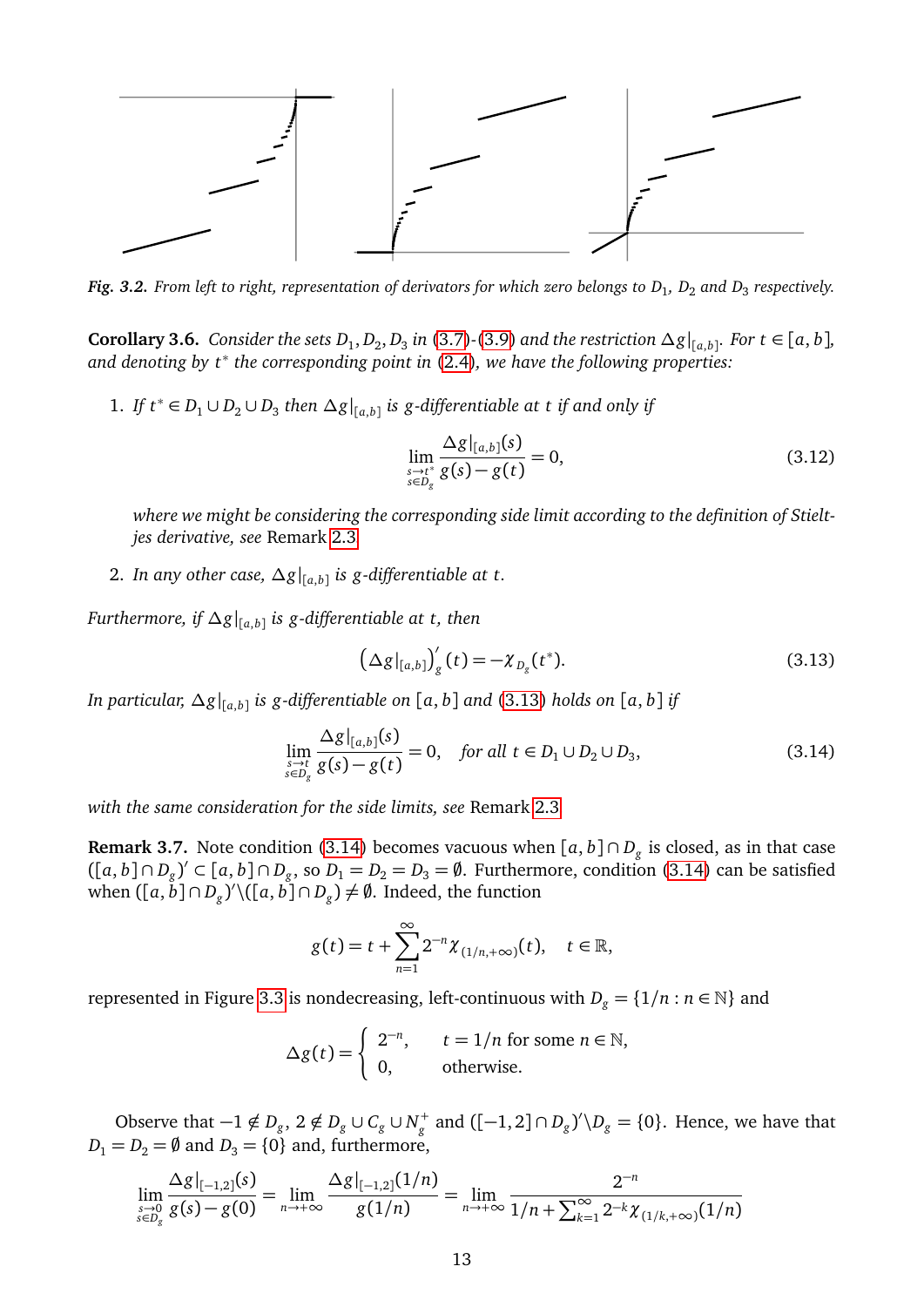<span id="page-12-0"></span>

*Fig. 3.2. From left to right, representation of derivators for which zero belongs to D*<sup>1</sup> *, D*<sup>2</sup> *and D*<sup>3</sup> *respectively.*

<span id="page-12-4"></span>**Corollary 3.6.** Consider the sets  $D_1$ ,  $D_2$ ,  $D_3$  in [\(3.7\)](#page-9-3)-[\(3.9\)](#page-9-4) and the restriction  $\Delta g|_{[a,b]}$ . For t ∈ [a, b], *and denoting by t*<sup>∗</sup> *the corresponding point in* [\(2.4\)](#page-3-1)*, we have the following properties:*

1. *If*  $t^*$  ∈  $D_1$  ∪  $D_2$  ∪  $D_3$  then  $\Delta g|_{[a,b]}$  is g-differentiable at t if and only if

<span id="page-12-5"></span>
$$
\lim_{\substack{s \to t^* \\ s \in D_g}} \frac{\Delta g|_{[a,b]}(s)}{g(s) - g(t)} = 0,
$$
\n(3.12)

*where we might be considering the corresponding side limit according to the definition of Stieltjes derivative, see* Remark [2.3](#page-3-0)*.*

2. *In any other case, ∆g*| [*a*,*b*] *is g-differentiable at t.*

*Furthermore, if ∆g*| [*a*,*b*] *is g-differentiable at t, then*

<span id="page-12-1"></span>
$$
\left(\Delta g|_{[a,b]}\right)'_{g}(t) = -\chi_{D_g}(t^*). \tag{3.13}
$$

*In particular, ∆g*| [*a*,*b*] *is g-differentiable on* [*a*, *b*] *and* [\(3.13\)](#page-12-1) *holds on* [*a*, *b*] *if*

<span id="page-12-2"></span>
$$
\lim_{\substack{s \to t \\ s \in D_g}} \frac{\Delta g|_{[a,b]}(s)}{g(s) - g(t)} = 0, \quad \text{for all } t \in D_1 \cup D_2 \cup D_3,
$$
\n(3.14)

*with the same consideration for the side limits, see* Remark [2.3](#page-3-0)*.*

<span id="page-12-3"></span>**Remark 3.7.** Note condition [\(3.14\)](#page-12-2) becomes vacuous when [*a*, *b*] ∩ *D<sup>g</sup>* is closed, as in that case  $([a, b] \cap D_g)' \subset [a, b] \cap D_g$ , so  $D_1 = D_2 = D_3 = \emptyset$ . Furthermore, condition [\(3.14\)](#page-12-2) can be satisfied when  $([a, \overset{\circ}{b}]\cap D_{g})'\backslash ([a, \overset{\circ}{b}]\cap D_{g})\neq\emptyset.$  Indeed, the function

$$
g(t)=t+\sum_{n=1}^{\infty}2^{-n}\chi_{(1/n,+\infty)}(t),\quad t\in\mathbb{R},
$$

represented in Figure [3.3](#page-13-0) is nondecreasing, left-continuous with  $D_g = \{1/n : n \in \mathbb{N}\}\$  and

$$
\Delta g(t) = \begin{cases} 2^{-n}, & t = 1/n \text{ for some } n \in \mathbb{N}, \\ 0, & \text{otherwise.} \end{cases}
$$

Observe that  $-1 \notin D_g$ ,  $2 \notin D_g \cup C_g \cup N_g^+$  and  $([-1,2] \cap D_g)' \backslash D_g = \{0\}$ . Hence, we have that  $D_1 = D_2 = \emptyset$  and  $D_3 = \{0\}$  and, furthermore,

$$
\lim_{\substack{s\to 0\\s\in D_g}}\frac{\Delta g|_{[-1,2]}(s)}{g(s)-g(0)}=\lim_{n\to+\infty}\frac{\Delta g|_{[-1,2]}(1/n)}{g(1/n)}=\lim_{n\to+\infty}\frac{2^{-n}}{1/n+\sum_{k=1}^{\infty}2^{-k}\chi_{(1/k,+\infty)}(1/n)}
$$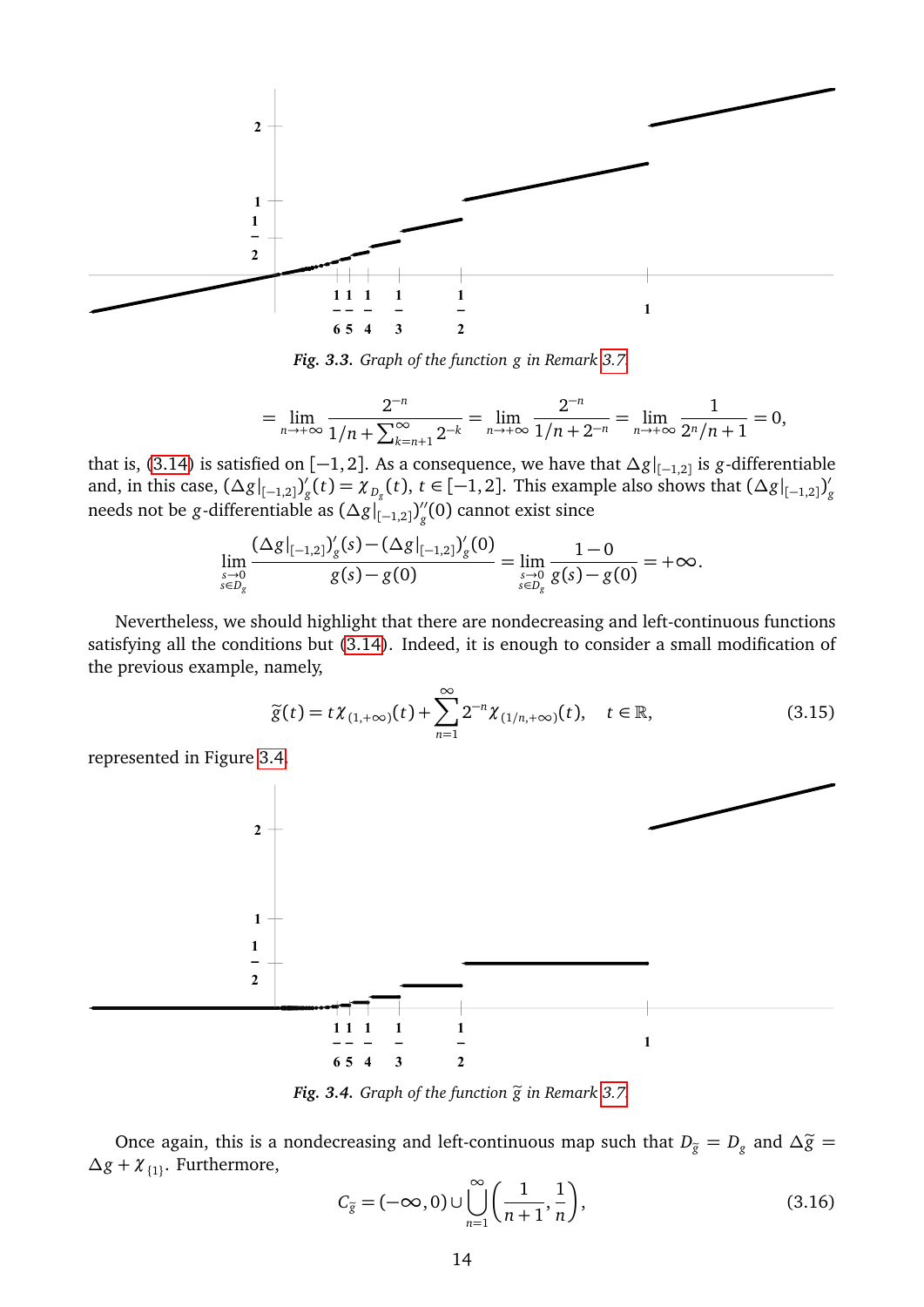<span id="page-13-0"></span>

*Fig. 3.3. Graph of the function g in Remark [3.7.](#page-12-3)*

$$
= \lim_{n \to +\infty} \frac{2^{-n}}{1/n + \sum_{k=n+1}^{\infty} 2^{-k}} = \lim_{n \to +\infty} \frac{2^{-n}}{1/n + 2^{-n}} = \lim_{n \to +\infty} \frac{1}{2^n/n + 1} = 0,
$$

that is, [\(3.14\)](#page-12-2) is satisfied on [−1, 2]. As a consequence, we have that *∆g*| [−1,2] is *g*-differentiable and, in this case,  $(\Delta g|_{[-1,2]})'$  $g(t) = \chi_{D_g}(t)$ ,  $t \in [-1, 2]$ . This example also shows that  $(\Delta g|_{[-1,2]})^g$ and, in this case,  $(\Delta g|_{[-1,2]})_g^{\alpha}(\epsilon) = \lambda_{D_g}^{\alpha}(\epsilon), \epsilon \in [-1,2]$ . This example also shows that  $(\Delta g|_{[-1,2]})_g^{\alpha}$ <br>needs not be *g*-differentiable as  $(\Delta g|_{[-1,2]})_g^{\alpha}$  (0) cannot exist since *g* (0) cannot exist since

$$
\lim_{\substack{s\to 0\\s\in D_g}}\frac{(\Delta g|_{[-1,2]})_g'(s)-(\Delta g|_{[-1,2]})_g'(0)}{g(s)-g(0)}=\lim_{\substack{s\to 0\\s\in D_g}}\frac{1-0}{g(s)-g(0)}=+\infty.
$$

Nevertheless, we should highlight that there are nondecreasing and left-continuous functions satisfying all the conditions but [\(3.14\)](#page-12-2). Indeed, it is enough to consider a small modification of the previous example, namely,

<span id="page-13-2"></span>
$$
\widetilde{g}(t) = t\chi_{(1,+\infty)}(t) + \sum_{n=1}^{\infty} 2^{-n} \chi_{(1/n,+\infty)}(t), \quad t \in \mathbb{R},
$$
\n(3.15)

represented in Figure [3.4.](#page-13-1)

<span id="page-13-1"></span>

*Fig. 3.4. Graph of the function*  $\widetilde{g}$  *in Remark [3.7.](#page-12-3)* 

Once again, this is a nondecreasing and left-continuous map such that  $D_{\tilde{g}} = D_g$  and  $\Delta \tilde{g} =$ *∆g* + *χ*{1} . Furthermore,

<span id="page-13-3"></span>
$$
C_{\tilde{g}} = (-\infty, 0) \cup \bigcup_{n=1}^{\infty} \left( \frac{1}{n+1}, \frac{1}{n} \right),
$$
\n(3.16)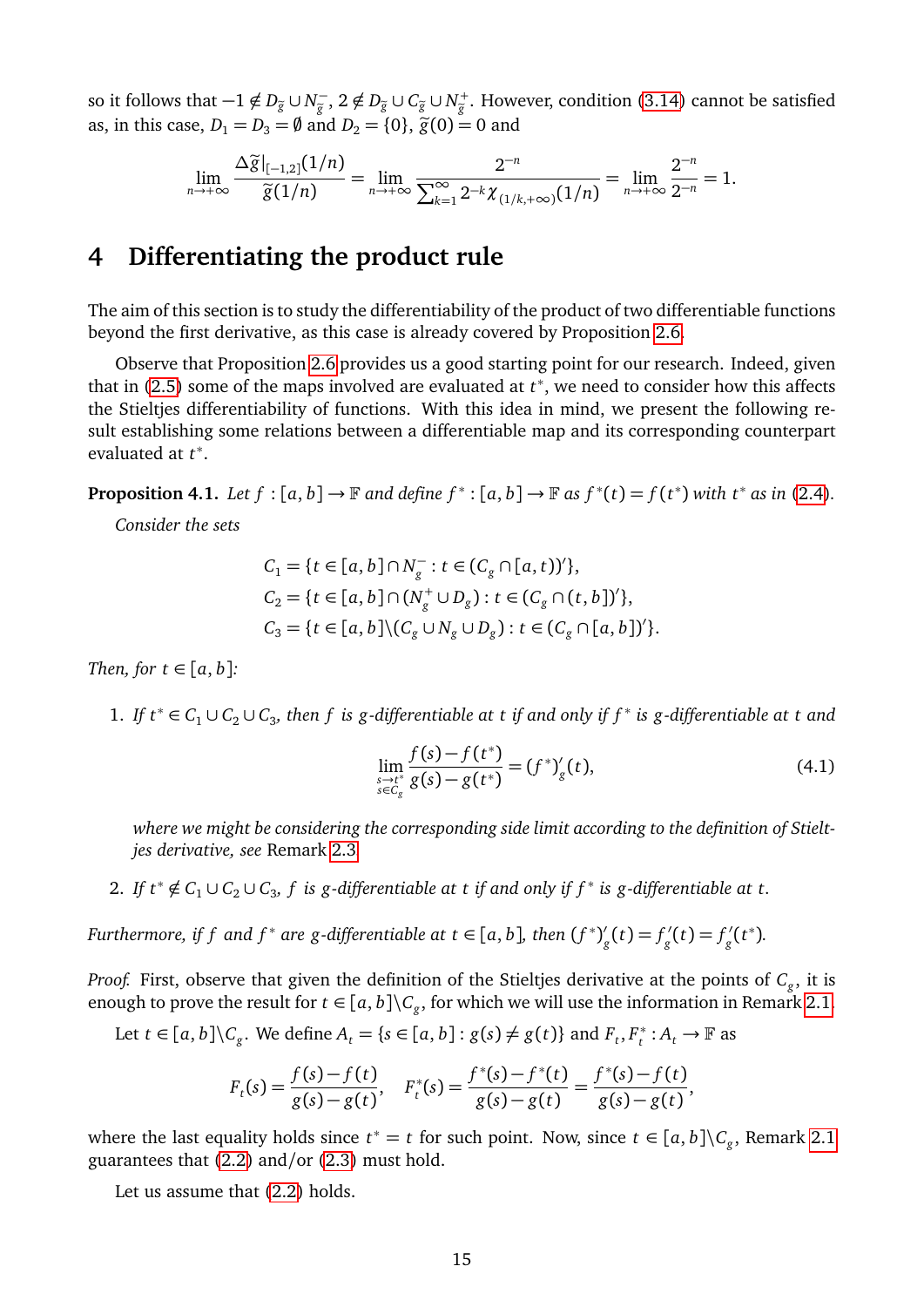so it follows that  $-1 \notin D_{\tilde{g}} \cup N_{\tilde{g}}^ \frac{f_{\tilde{g}}}{\tilde{g}}$ , 2 ∉ *D*<sub> $\tilde{g}$ </sub> ∪  $C_{\tilde{g}}$  ∪ *N*<sup> $+$ </sup><sub> $\tilde{g}$ . However, condition [\(3.14\)](#page-12-2) cannot be satisfied  $P_1 = (0, 2\tilde{g})(0, 2\tilde{g})$ </sub> as, in this case,  $D_1 = D_3 = \emptyset$  and  $D_2 = \{0\}$ ,  $\tilde{g}(0) = 0$  and

$$
\lim_{n \to +\infty} \frac{\Delta \widetilde{g}|_{[-1,2]}(1/n)}{\widetilde{g}(1/n)} = \lim_{n \to +\infty} \frac{2^{-n}}{\sum_{k=1}^{\infty} 2^{-k} \chi_{(1/k, +\infty)}(1/n)} = \lim_{n \to +\infty} \frac{2^{-n}}{2^{-n}} = 1.
$$

### **4 Differentiating the product rule**

The aim of this section is to study the differentiability of the product of two differentiable functions beyond the first derivative, as this case is already covered by Proposition [2.6.](#page-3-2)

Observe that Proposition [2.6](#page-3-2) provides us a good starting point for our research. Indeed, given that in [\(2.5\)](#page-4-1) some of the maps involved are evaluated at *t* ∗ , we need to consider how this affects the Stieltjes differentiability of functions. With this idea in mind, we present the following result establishing some relations between a differentiable map and its corresponding counterpart evaluated at *t* ∗ .

<span id="page-14-1"></span>**Proposition 4.1.** Let  $f : [a, b] \to \mathbb{F}$  and define  $f^* : [a, b] \to \mathbb{F}$  as  $f^*(t) = f(t^*)$  with  $t^*$  as in [\(2.4\)](#page-3-1).

*Consider the sets*

$$
C_1 = \{t \in [a, b] \cap N_g^- : t \in (C_g \cap [a, t))'\},
$$
  
\n
$$
C_2 = \{t \in [a, b] \cap (N_g^+ \cup D_g) : t \in (C_g \cap (t, b])'\},
$$
  
\n
$$
C_3 = \{t \in [a, b] \setminus (C_g \cup N_g \cup D_g) : t \in (C_g \cap [a, b])'\}.
$$

*Then, for*  $t \in [a, b]$ *:* 

1. If  $t^*$  ∈  $C_1 \cup C_2 \cup C_3$ , then f is g-differentiable at t if and only if f<sup>\*</sup> is g-differentiable at t and

<span id="page-14-0"></span>
$$
\lim_{\substack{s \to t^* \\ s \in C_g}} \frac{f(s) - f(t^*)}{g(s) - g(t^*)} = (f^*)'_g(t),\tag{4.1}
$$

*where we might be considering the corresponding side limit according to the definition of Stieltjes derivative, see* Remark [2.3](#page-3-0)*.*

2. If  $t^* \notin C_1 \cup C_2 \cup C_3$ , f is g-differentiable at t if and only if  $f^*$  is g-differentiable at t.

*Furthermore, if*  $f$  *and*  $f^*$  *are*  $g$ *-differentiable at*  $t \in [a, b]$ *, then*  $(f^*)^{\prime}_{g}$  $g'_{g}(t) = f'_{g}$  $g'_{g}(t) = f'_{g}$  $\frac{d}{g}(t^*)$ .

*Proof.* First, observe that given the definition of the Stieltjes derivative at the points of *C<sup>g</sup>* , it is enough to prove the result for  $t\in [a,b]\backslash C_{g},$  for which we will use the information in Remark [2.1.](#page-2-3)

Let 
$$
t \in [a, b] \setminus C_g
$$
. We define  $A_t = \{s \in [a, b] : g(s) \neq g(t)\}$  and  $F_t, F_t^* : A_t \to \mathbb{F}$  as

$$
F_t(s) = \frac{f(s) - f(t)}{g(s) - g(t)}, \quad F_t^*(s) = \frac{f^*(s) - f^*(t)}{g(s) - g(t)} = \frac{f^*(s) - f(t)}{g(s) - g(t)},
$$

where the last equality holds since  $t^* = t$  for such point. Now, since  $t \in [a, b] \backslash C_g$ , Remark [2.1](#page-2-3) guarantees that [\(2.2\)](#page-2-0) and/or [\(2.3\)](#page-2-1) must hold.

Let us assume that [\(2.2\)](#page-2-0) holds.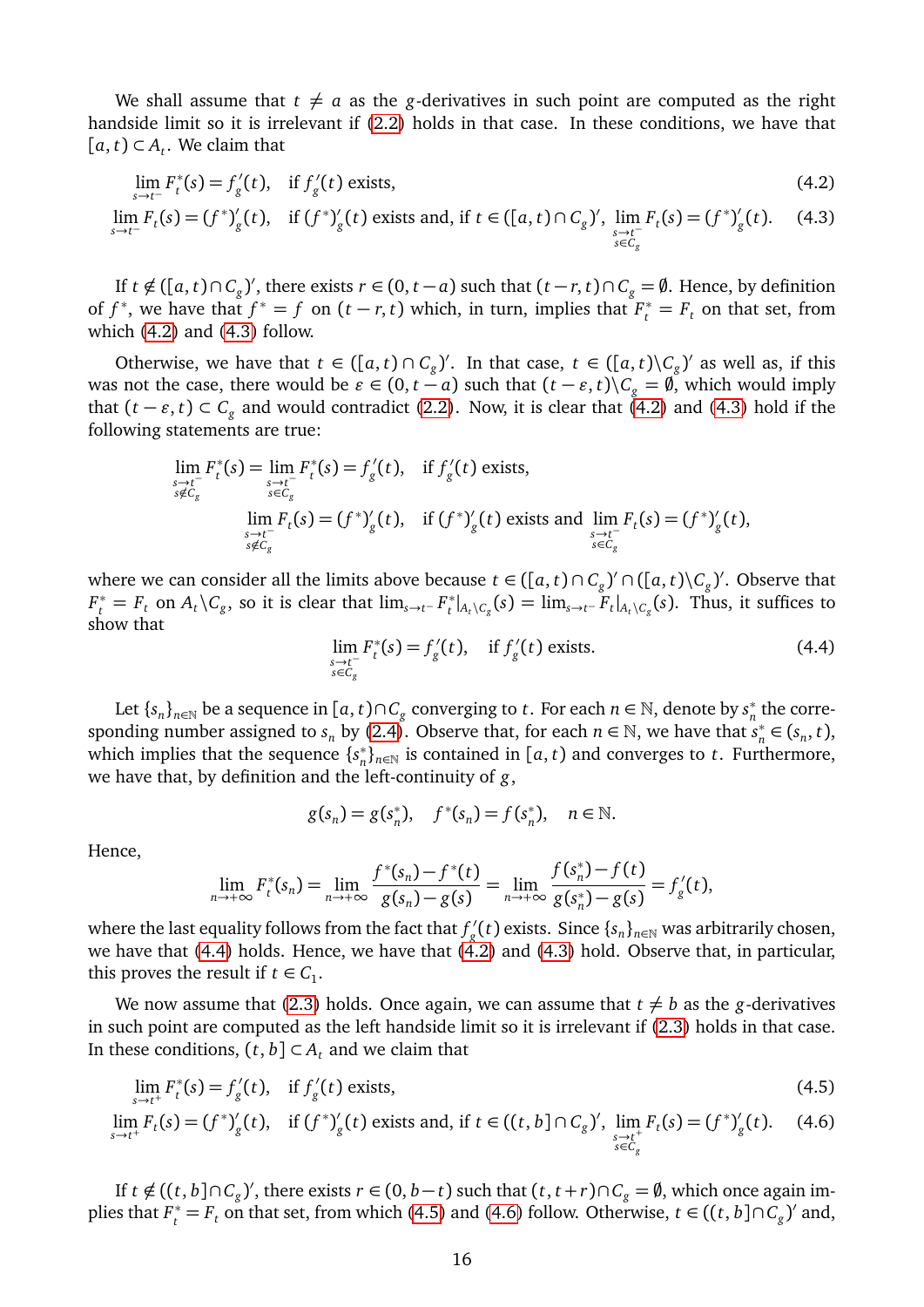We shall assume that  $t \neq a$  as the *g*-derivatives in such point are computed as the right handside limit so it is irrelevant if [\(2.2\)](#page-2-0) holds in that case. In these conditions, we have that  $[a, t)$  ⊂  $A_t$ . We claim that

$$
\lim_{s \to t^{-}} F_t^*(s) = f'_g(t), \quad \text{if } f'_g(t) \text{ exists,}
$$
\n
$$
\lim_{s \to t^{-}} F_t(s) = (f^*)'_g(t), \quad \text{if } (f^*)'_g(t) \text{ exists and, if } t \in ([a, t) \cap C_g)', \lim_{\substack{s \to t^{-} \\ s \in C_g}} F_t(s) = (f^*)'_g(t). \tag{4.3}
$$

If *t* ∉ ([*a*, *t*)∩  $C_g$ )', there exists *r* ∈ (0, *t* − *a*) such that (*t* − *r*, *t*)∩  $C_g = \emptyset$ . Hence, by definition of  $f^*$ , we have that  $f^* = f$  on  $(t - r, t)$  which, in turn, implies that  $F_t^* = F_t$  on that set, from which [\(4.2\)](#page-15-0) and [\(4.3\)](#page-15-1) follow.

Otherwise, we have that  $t \in ([a, t) \cap C_g)'$ . In that case,  $t \in ([a, t) \setminus C_g)'$  as well as, if this was not the case, there would be  $\varepsilon \in (0, t - a)$  such that  $(t - \varepsilon, t) \setminus C_g = \emptyset$ , which would imply that  $(t - \varepsilon, t)$  ⊂  $C_g$  and would contradict [\(2.2\)](#page-2-0). Now, it is clear that [\(4.2\)](#page-15-0) and [\(4.3\)](#page-15-1) hold if the following statements are true:

$$
\lim_{\substack{s \to t^{-} \\ s \notin C_g}} F_t^*(s) = \lim_{\substack{s \to t^{-} \\ s \in C_g}} F_t^*(s) = f'_g(t), \quad \text{if } f'_g(t) \text{ exists,}
$$
\n
$$
\lim_{\substack{s \to t^{-} \\ s \notin C_g}} F_t(s) = (f^*)'_g(t), \quad \text{if } (f^*)'_g(t) \text{ exists and } \lim_{\substack{s \to t^{-} \\ s \in C_g}} F_t(s) = (f^*)'_g(t),
$$

where we can consider all the limits above because  $t \in ([a, t) \cap C_g)' \cap ([a, t) \setminus C_g)'$ . Observe that  $F_t^* = F_t$  on  $A_t \setminus C_g$ , so it is clear that  $\lim_{s \to t^-} F_t^*$  $t^*|_{A_t\setminus C_g}(s) = \lim_{s\to t^-} F_t|_{A_t\setminus C_g}(s)$ . Thus, it suffices to show that

<span id="page-15-2"></span><span id="page-15-1"></span><span id="page-15-0"></span>
$$
\lim_{\substack{s \to t^{-} \\ s \in C_{g}}} F_{t}^{*}(s) = f_{g}'(t), \quad \text{if } f_{g}'(t) \text{ exists.}
$$
\n(4.4)

Let  $\{s_n\}_{n\in\mathbb{N}}$  be a sequence in  $[a, t)\cap C_g$  converging to *t*. For each  $n \in \mathbb{N}$ , denote by  $s_n^*$  $_n^*$  the corresponding number assigned to  $s_n$  by [\(2.4\)](#page-3-1). Observe that, for each  $n \in \mathbb{N}$ , we have that  $s_n^*$  $\frac{x}{n}$  ∈ (s<sub>n</sub>, t), which implies that the sequence {*s* ∗  $n<sub>n</sub><sup>∗</sup>$ )<sub>*n*∈N</sub> is contained in [*a*, *t*) and converges to *t*. Furthermore, we have that, by definition and the left-continuity of *g*,

<span id="page-15-4"></span><span id="page-15-3"></span>
$$
g(s_n) = g(s_n^*),
$$
  $f^*(s_n) = f(s_n^*),$   $n \in \mathbb{N}.$ 

Hence,

$$
\lim_{n \to +\infty} F_t^*(s_n) = \lim_{n \to +\infty} \frac{f^*(s_n) - f^*(t)}{g(s_n) - g(s)} = \lim_{n \to +\infty} \frac{f(s_n^*) - f(t)}{g(s_n^*) - g(s)} = f'_g(t),
$$

where the last equality follows from the fact that  $f'_a$  $g_{g}^{\prime}(t)$  exists. Since  $\left\{s_{n}\right\}_{n\in\mathbb{N}}$  was arbitrarily chosen, we have that [\(4.4\)](#page-15-2) holds. Hence, we have that [\(4.2\)](#page-15-0) and [\(4.3\)](#page-15-1) hold. Observe that, in particular, this proves the result if  $t \in C_1$ .

We now assume that [\(2.3\)](#page-2-1) holds. Once again, we can assume that  $t \neq b$  as the *g*-derivatives in such point are computed as the left handside limit so it is irrelevant if [\(2.3\)](#page-2-1) holds in that case. In these conditions,  $(t, b]$  ⊂  $A_t$  and we claim that

$$
\lim_{s \to t^{+}} F_{t}^{*}(s) = f_{g}'(t), \quad \text{if } f_{g}'(t) \text{ exists,}
$$
\n(4.5)

$$
\lim_{s \to t^{+}} F_{t}(s) = (f^{*})'_{g}(t), \quad \text{if } (f^{*})'_{g}(t) \text{ exists and, if } t \in ((t, b] \cap C_{g})', \lim_{\substack{s \to t^{+} \\ s \in C_{g}}} F_{t}(s) = (f^{*})'_{g}(t). \tag{4.6}
$$

If *t* ∉ ((*t*, *b*]∩*C*<sub>*g*</sub>)', there exists *r* ∈ (0, *b*−*t*) such that (*t*, *t* + *r*)∩*C*<sub>*g*</sub> =  $\emptyset$ , which once again implies that  $F_t^* = F_t$  on that set, from which [\(4.5\)](#page-15-3) and [\(4.6\)](#page-15-4) follow. Otherwise,  $t \in ((t, b] \cap C_g)'$  and,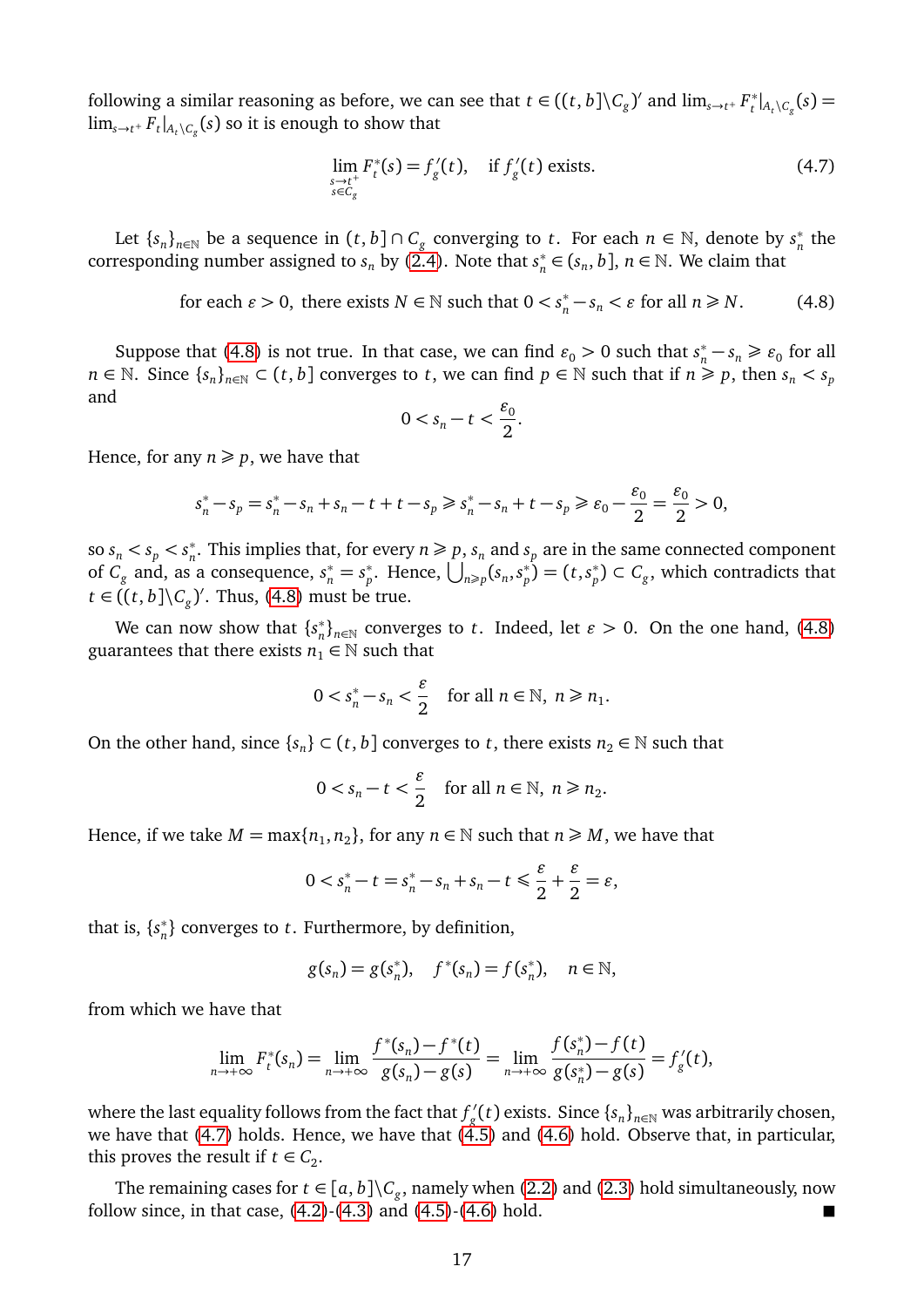following a similar reasoning as before, we can see that  $t \in ((t, b] \backslash C_g)'$  and  $\lim_{s \to t^+} F_t^*$  $t_t^{*}|_{A_t \setminus C_g}(s) =$  $\lim_{s\to t^+} F_t|_{A_t\setminus C_g}(s)$  so it is enough to show that

<span id="page-16-1"></span>
$$
\lim_{\substack{s \to t^+ \\ s \in C_g}} F_t^*(s) = f'_g(t), \quad \text{if } f'_g(t) \text{ exists.}
$$
\n(4.7)

Let  $\{s_n\}_{n\in\mathbb{N}}$  be a sequence in  $(t, b] \cap C_g$  converging to  $t$ . For each  $n \in \mathbb{N}$ , denote by  $s_n^*$  $\frac{*}{n}$  the corresponding number assigned to  $s_n$  by [\(2.4\)](#page-3-1). Note that  $s_n^*$  $n \in (s_n, b]$ ,  $n \in \mathbb{N}$ . We claim that

<span id="page-16-0"></span>for each  $\varepsilon > 0$ , there exists  $N \in \mathbb{N}$  such that  $0 < s_n^* - s_n < \varepsilon$  for all  $n \ge N$ . (4.8)

Suppose that [\(4.8\)](#page-16-0) is not true. In that case, we can find  $\varepsilon_0 > 0$  such that  $s_n^* - s_n \ge \varepsilon_0$  for all *n* ∈ N. Since  ${s_n}_{n \in \mathbb{N}}$  ⊂  $(t, b]$  converges to *t*, we can find  $p \in \mathbb{N}$  such that if  $n \geq p$ , then  $s_n < s_p$ and

$$
0 < s_n - t < \frac{\varepsilon_0}{2}.
$$

Hence, for any  $n \geq p$ , we have that

$$
s_n^* - s_p = s_n^* - s_n + s_n - t + t - s_p \ge s_n^* - s_n + t - s_p \ge \varepsilon_0 - \frac{\varepsilon_0}{2} = \frac{\varepsilon_0}{2} > 0,
$$

so  $s_n < s_p < s_n^*$  $n_{n}^{*}$ . This implies that, for every  $n \geq p$ ,  $s_{n}$  and  $s_{p}$  are in the same connected component of  $C_g$  and, as a consequence,  $s_n^* = s_p^*$ <sup>\*</sup><sub>*p*</sub>. Hence,  $\bigcup_{n\geq p} (s_n, s_p^*)$  $\binom{p}{p}$  = (*t*, *s*<sup>\*</sup><sub>*p*</sub>  $\binom{m}{p} \subset C_g$ , which contradicts that *t* ∈ ((*t*, *b*]\ $C_g$ )'. Thus, [\(4.8\)](#page-16-0) must be true.

We can now show that  $\{s_n^*\}$  $n<sup>*</sup>$ <sub>n</sub></sub> converges to *t*. Indeed, let *ε* > 0. On the one hand, [\(4.8\)](#page-16-0) guarantees that there exists  $n_1 \in \mathbb{N}$  such that

$$
0 < s_n^* - s_n < \frac{\varepsilon}{2} \quad \text{for all } n \in \mathbb{N}, \ n \ge n_1.
$$

On the other hand, since  $\{s_n\} \subset (t, b]$  converges to  $t$ , there exists  $n_2 \in \mathbb{N}$  such that

$$
0 < s_n - t < \frac{\varepsilon}{2} \quad \text{for all } n \in \mathbb{N}, \ n \ge n_2.
$$

Hence, if we take  $M = \max\{n_1, n_2\}$ , for any  $n \in \mathbb{N}$  such that  $n \geq M$ , we have that

$$
0 < s_n^* - t = s_n^* - s_n + s_n - t \le \frac{\varepsilon}{2} + \frac{\varepsilon}{2} = \varepsilon
$$

that is,  $\{s_n^*\}$ *n* } converges to *t*. Furthermore, by definition,

$$
g(s_n) = g(s_n^*),
$$
  $f^*(s_n) = f(s_n^*),$   $n \in \mathbb{N},$ 

from which we have that

$$
\lim_{n \to +\infty} F_t^*(s_n) = \lim_{n \to +\infty} \frac{f^*(s_n) - f^*(t)}{g(s_n) - g(s)} = \lim_{n \to +\infty} \frac{f(s_n^*) - f(t)}{g(s_n^*) - g(s)} = f'_g(t),
$$

where the last equality follows from the fact that  $f'_a$  $g_{g}^{\prime}(t)$  exists. Since  $\{s_{n}\}_{n\in\mathbb{N}}$  was arbitrarily chosen, we have that  $(4.7)$  holds. Hence, we have that  $(4.5)$  and  $(4.6)$  hold. Observe that, in particular, this proves the result if  $t \in C_2$ .

The remaining cases for  $t \in [a, b] \backslash C_g$ , namely when [\(2.2\)](#page-2-0) and [\(2.3\)](#page-2-1) hold simultaneously, now follow since, in that case,  $(4.2)$ - $(4.3)$  and  $(4.5)$ - $(4.6)$  hold.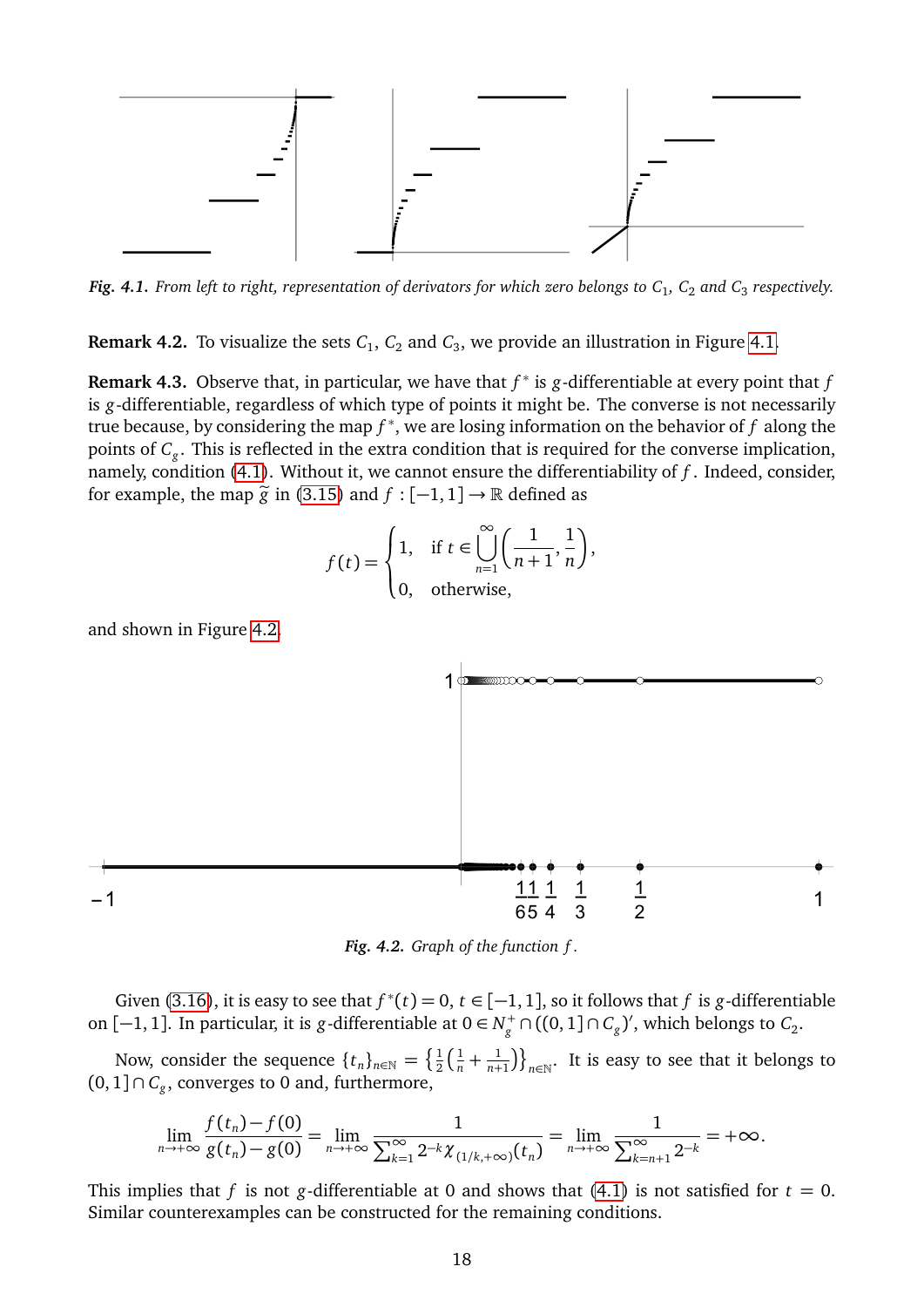<span id="page-17-0"></span>

*Fig. 4.1. From left to right, representation of derivators for which zero belongs to C*<sup>1</sup> *, C*<sup>2</sup> *and C*<sup>3</sup> *respectively.*

**Remark 4.2.** To visualize the sets  $C_1$ ,  $C_2$  and  $C_3$ , we provide an illustration in Figure [4.1.](#page-17-0)

<span id="page-17-2"></span>**Remark 4.3.** Observe that, in particular, we have that *f* ∗ is *g*-differentiable at every point that *f* is *g*-differentiable, regardless of which type of points it might be. The converse is not necessarily true because, by considering the map *f* ∗ , we are losing information on the behavior of *f* along the points of *C<sup>g</sup>* . This is reflected in the extra condition that is required for the converse implication, namely, condition [\(4.1\)](#page-14-0). Without it, we cannot ensure the differentiability of *f* . Indeed, consider, for example, the map  $\tilde{g}$  in [\(3.15\)](#page-13-2) and  $f : [-1, 1] \rightarrow \mathbb{R}$  defined as

$$
f(t) = \begin{cases} 1, & \text{if } t \in \bigcup_{n=1}^{\infty} \left( \frac{1}{n+1}, \frac{1}{n} \right), \\ 0, & \text{otherwise,} \end{cases}
$$

and shown in Figure [4.2.](#page-17-1)

<span id="page-17-1"></span>

*Fig. 4.2. Graph of the function f .*

Given [\(3.16\)](#page-13-3), it is easy to see that  $f^*(t) = 0$ ,  $t \in [-1, 1]$ , so it follows that  $f$  is  $g$ -differentiable on [−1, 1]. In particular, it is *g*-differentiable at  $0 \in N_g^+ \cap ((0,1] \cap C_g)'$ , which belongs to  $C_2$ .

Now, consider the sequence  $\{t_n\}_{n\in\mathbb{N}}=\left\{\frac{1}{2}\right\}$  $\frac{1}{2}(\frac{1}{n} + \frac{1}{n+1})$  $\left\{\frac{1}{n+1}\right\}\right\}_{n\in\mathbb{N}}$ . It is easy to see that it belongs to  $(0, 1] \cap C_g$ , converges to 0 and, furthermore,

$$
\lim_{n \to +\infty} \frac{f(t_n) - f(0)}{g(t_n) - g(0)} = \lim_{n \to +\infty} \frac{1}{\sum_{k=1}^{\infty} 2^{-k} \chi_{(1/k, +\infty)}(t_n)} = \lim_{n \to +\infty} \frac{1}{\sum_{k=n+1}^{\infty} 2^{-k}} = +\infty.
$$

This implies that *f* is not *g*-differentiable at 0 and shows that [\(4.1\)](#page-14-0) is not satisfied for  $t = 0$ . Similar counterexamples can be constructed for the remaining conditions.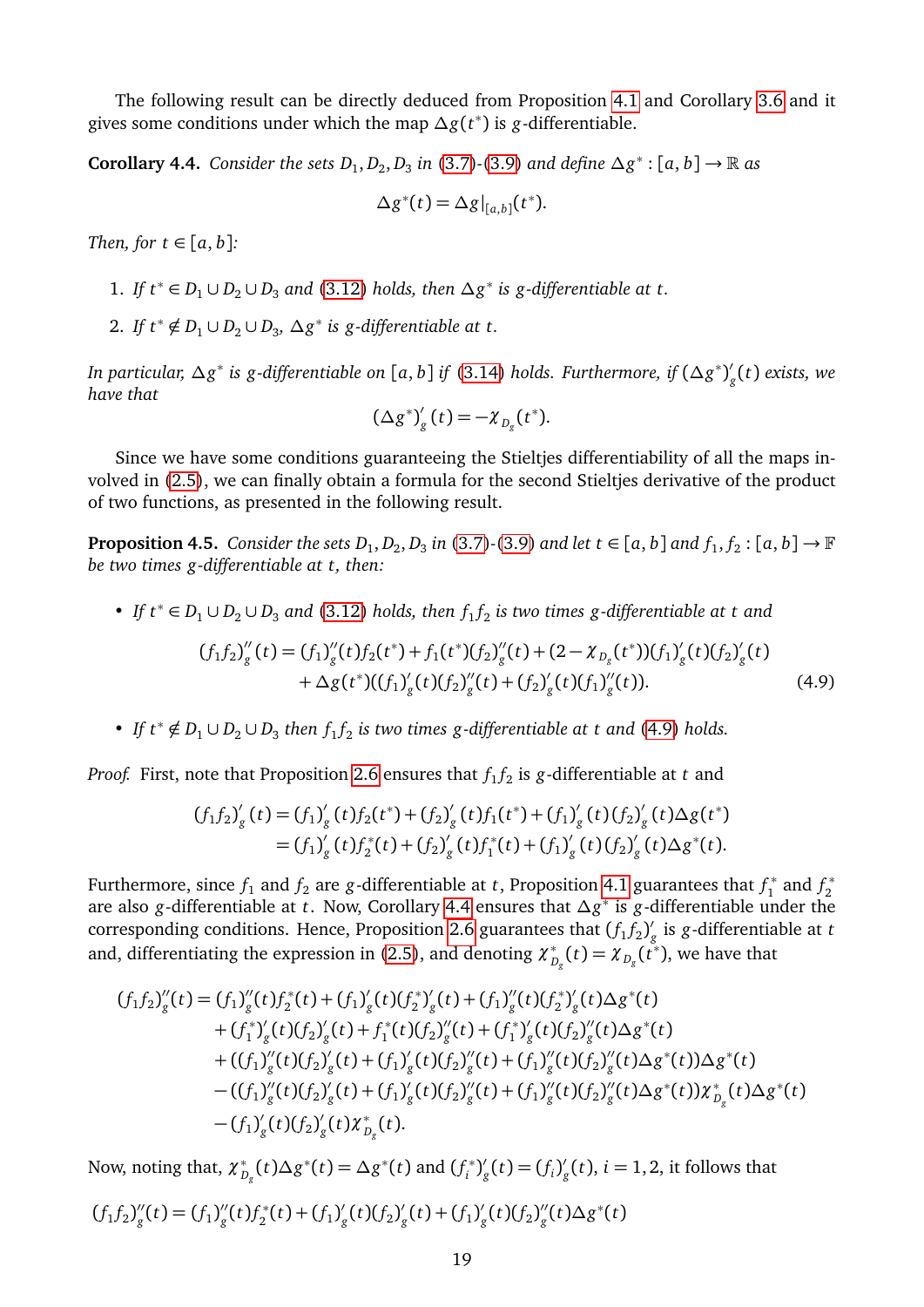The following result can be directly deduced from Proposition [4.1](#page-14-1) and Corollary [3.6](#page-12-4) and it gives some conditions under which the map *∆g*(*t* ∗ ) is *g*-differentiable.

<span id="page-18-1"></span>**Corollary 4.4.** Consider the sets  $D_1, D_2, D_3$  in [\(3.7\)](#page-9-3)-[\(3.9\)](#page-9-4) and define  $\Delta g^*: [a, b] \to \mathbb{R}$  as

$$
\Delta g^*(t) = \Delta g|_{[a,b]}(t^*).
$$

*Then, for*  $t \in [a, b]$ :

- 1. *If*  $t^*$  ∈ *D*<sub>1</sub> ∪ *D*<sub>2</sub> ∪ *D*<sub>3</sub> and [\(3.12\)](#page-12-5) *holds, then*  $\Delta g^*$  *is g*-differentiable at *t*.
- 2. If  $t^* \notin D_1 \cup D_2 \cup D_3$ ,  $\Delta g^*$  is g-differentiable at t.

*In particular, ∆g* ∗ *is g-differentiable on* [*a*, *b*] *if* [\(3.14\)](#page-12-2) *holds. Furthermore, if* (*∆g* ∗ ) 0 *g* (*t*) *exists, we have that*

<span id="page-18-0"></span>
$$
\left(\Delta g^*\right)'_g(t)=-\chi_{D_g}(t^*).
$$

Since we have some conditions guaranteeing the Stieltjes differentiability of all the maps involved in [\(2.5\)](#page-4-1), we can finally obtain a formula for the second Stieltjes derivative of the product of two functions, as presented in the following result.

<span id="page-18-2"></span>**Proposition 4.5.** Consider the sets  $D_1, D_2, D_3$  in [\(3.7\)](#page-9-3)-[\(3.9\)](#page-9-4) and let  $t \in [a, b]$  and  $f_1, f_2$ :  $[a, b] \to \mathbb{F}$ *be two times g-differentiable at t, then:*

• *If*  $t^* \in D_1 \cup D_2 \cup D_3$  and [\(3.12\)](#page-12-5) *holds, then*  $f_1 f_2$  *is two times* g-differentiable at t and

$$
(f_1 f_2)_{g}''(t) = (f_1)_{g}''(t) f_2(t^*) + f_1(t^*) (f_2)_{g}''(t) + (2 - \chi_{D_g}(t^*)) (f_1)_{g}'(t) (f_2)_{g}'(t) + \Delta g(t^*) ((f_1)_{g}'(t) (f_2)_{g}''(t) + (f_2)_{g}'(t) (f_1)_{g}''(t)).
$$
\n(4.9)

• *If*  $t^* \notin D_1 \cup D_2 \cup D_3$  then  $f_1 f_2$  is two times g-differentiable at t and [\(4.9\)](#page-18-0) holds.

*Proof.* First, note that Proposition [2.6](#page-3-2) ensures that  $f_1f_2$  is  $g$  -differentiable at  $t$  and

$$
(f_1 f_2)'_g(t) = (f_1)'_g(t) f_2(t^*) + (f_2)'_g(t) f_1(t^*) + (f_1)'_g(t) (f_2)'_g(t) \Delta g(t^*)
$$
  
=  $(f_1)'_g(t) f_2^*(t) + (f_2)'_g(t) f_1^*(t) + (f_1)'_g(t) (f_2)'_g(t) \Delta g^*(t).$ 

Furthermore, since  $f_1$  and  $f_2$  are *g*-differentiable at *t*, Proposition [4.1](#page-14-1) guarantees that  $f_1^*$  $f_1^*$  and  $f_2^*$ 2 are also *g*-differentiable at *t*. Now, Corollary [4.4](#page-18-1) ensures that *∆g* ∗ is *g*-differentiable under the corresponding conditions. Hence, Proposition [2.6](#page-3-2) guarantees that  $(f_1 f_2)$ *g* is *g*-differentiable at *t* and, differentiating the expression in [\(2.5\)](#page-4-1), and denoting  $\chi_{D_g}^*(t)=\chi_{D_g}(\mathring{\mathfrak{k}}^*),$  we have that

$$
(f_1f_2)''_g(t) = (f_1)''_g(t)f_2^*(t) + (f_1)'_g(t)(f_2^*)'_g(t) + (f_1)''_g(t)(f_2^*)'_g(t)\Delta g^*(t) + (f_1^*)'_g(t)(f_2)'_g(t) + f_1^*(t)(f_2)''_g(t) + (f_1^*)'_g(t)(f_2)''_g(t)\Delta g^*(t) + ((f_1)''_g(t)(f_2)'_g(t) + (f_1)'_g(t)(f_2)''_g(t) + (f_1)''_g(t)(f_2)''_g(t)\Delta g^*(t))\Delta g^*(t) - ((f_1)''_g(t)(f_2)'_g(t) + (f_1)'_g(t)(f_2)''_g(t) + (f_1)'_g(t)(f_2)''_g(t)\Delta g^*(t))\chi_{D_g}^*(t)\Delta g^*(t) - (f_1)'_g(t)(f_2)'_g(t)\chi_{D_g}^*(t).
$$

Now, noting that,  $\chi^*_{D_g}(t)\Delta g^*(t) = \Delta g^*(t)$  and  $(f_i^*)$  $\binom{1}{i}^{\ell}$  $g'_{g}(t) = (f_{i})'_{g}$  $\epsilon_{\rm g}^{\prime}(t),\,i=1,2,$  it follows that

$$
(f_1f_2)'_g(t) = (f_1)'_g(t)f_2^*(t) + (f_1)'_g(t)(f_2)'_g(t) + (f_1)'_g(t)(f_2)'_g(t)\Delta g^*(t)
$$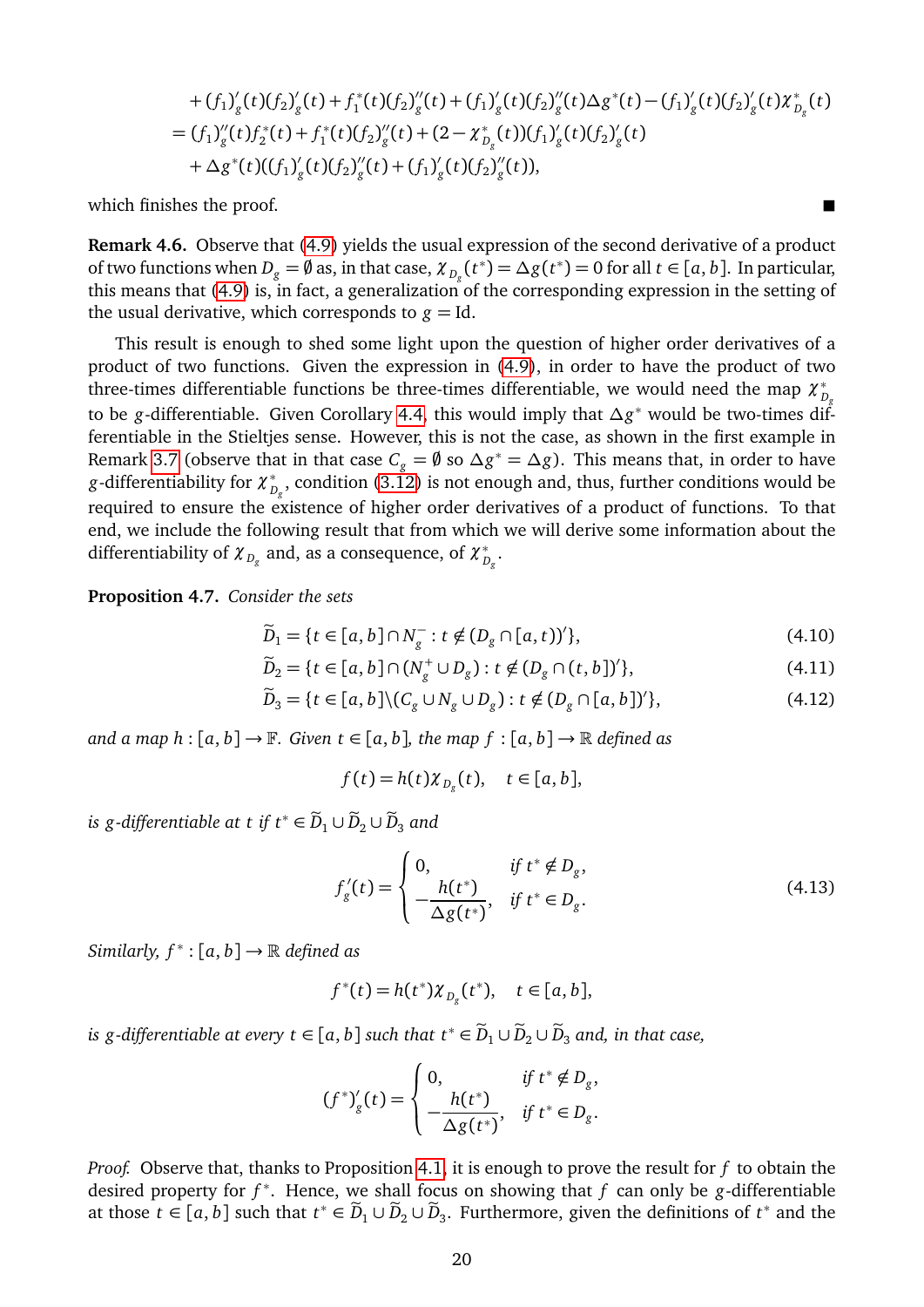+ 
$$
(f_1)'_g(t)(f_2)'_g(t) + f_1^*(t)(f_2)'_g(t) + (f_1)'_g(t)(f_2)'_g(t)\Delta g^*(t) - (f_1)'_g(t)(f_2)'_g(t)\chi_{D_g}^*(t)
$$
  
\n=  $(f_1)''_g(t)f_2^*(t) + f_1^*(t)(f_2)''_g(t) + (2 - \chi_{D_g}^*(t))(f_1)'_g(t)(f_2)'_g(t)$   
\n+  $\Delta g^*(t)((f_1)'_g(t)(f_2)''_g(t) + (f_1)'_g(t)(f_2)''_g(t)),$ 

which finishes the proof.

**Remark 4.6.** Observe that [\(4.9\)](#page-18-0) yields the usual expression of the second derivative of a product of two functions when  $D_g = \emptyset$  as, in that case,  $\chi_{D_g}(t^*) = \Delta g(t^*) = 0$  for all  $t \in [a, b]$ . In particular, this means that [\(4.9\)](#page-18-0) is, in fact, a generalization of the corresponding expression in the setting of the usual derivative, which corresponds to  $g = Id$ .

This result is enough to shed some light upon the question of higher order derivatives of a product of two functions. Given the expression in [\(4.9\)](#page-18-0), in order to have the product of two three-times differentiable functions be three-times differentiable, we would need the map  $\chi_{_{D_g}}^{*}$ to be *g*-differentiable. Given Corollary [4.4,](#page-18-1) this would imply that *∆g* <sup>∗</sup> would be two-times differentiable in the Stieltjes sense. However, this is not the case, as shown in the first example in Remark [3.7](#page-12-3) (observe that in that case  $C_g = \emptyset$  so  $\Delta g^* = \Delta g$ ). This means that, in order to have *g*-differentiability for  $\chi_{D_g}^*$ , condition [\(3.12\)](#page-12-5) is not enough and, thus, further conditions would be required to ensure the existence of higher order derivatives of a product of functions. To that end, we include the following result that from which we will derive some information about the differentiability of  $\chi_{D_g}$  and, as a consequence, of  $\chi_{D_g}^*$ .

<span id="page-19-3"></span>**Proposition 4.7.** *Consider the sets*

$$
\widetilde{D}_1 = \{ t \in [a, b] \cap N_g^- : t \notin (D_g \cap [a, t))' \},\tag{4.10}
$$

$$
\widetilde{D}_2 = \{ t \in [a, b] \cap (N_g^+ \cup D_g) : t \notin (D_g \cap (t, b])' \},\tag{4.11}
$$

$$
\widetilde{D}_3 = \{t \in [a, b] \setminus (C_g \cup N_g \cup D_g) : t \notin (D_g \cap [a, b])'\},\tag{4.12}
$$

*and a map h* :  $[a, b] \rightarrow \mathbb{F}$ *. Given*  $t \in [a, b]$ *, the map*  $f : [a, b] \rightarrow \mathbb{R}$  *defined as* 

<span id="page-19-2"></span><span id="page-19-1"></span>
$$
f(t) = h(t)\chi_{D_g}(t), \quad t \in [a, b],
$$

*is g-differentiable at t if*  $t^* \in \widetilde{D}_1 \cup \widetilde{D}_2 \cup \widetilde{D}_3$  *and* 

<span id="page-19-0"></span>
$$
f'_{g}(t) = \begin{cases} 0, & \text{if } t^* \notin D_g, \\ -\frac{h(t^*)}{\Delta g(t^*)}, & \text{if } t^* \in D_g. \end{cases}
$$
(4.13)

 $Similarly, f^* : [a, b] \rightarrow \mathbb{R}$  *defined as* 

$$
f^*(t) = h(t^*) \chi_{D_g}(t^*), \quad t \in [a, b],
$$

*is g-differentiable at every t*  $\in$  [*a*, *b*] *such that*  $t^* \in \widetilde{D}_1 \cup \widetilde{D}_2 \cup \widetilde{D}_3$  *and, in that case,* 

$$
(f^*)'_g(t) = \begin{cases} 0, & \text{if } t^* \notin D_g, \\ -\frac{h(t^*)}{\Delta g(t^*)}, & \text{if } t^* \in D_g. \end{cases}
$$

*Proof.* Observe that, thanks to Proposition [4.1,](#page-14-1) it is enough to prove the result for *f* to obtain the desired property for *f* ∗ . Hence, we shall focus on showing that *f* can only be *g*-differentiable at those  $t \in [a, b]$  such that  $t^* \in \widetilde{D}_1 \cup \widetilde{D}_2 \cup \widetilde{D}_3$ . Furthermore, given the definitions of  $t^*$  and the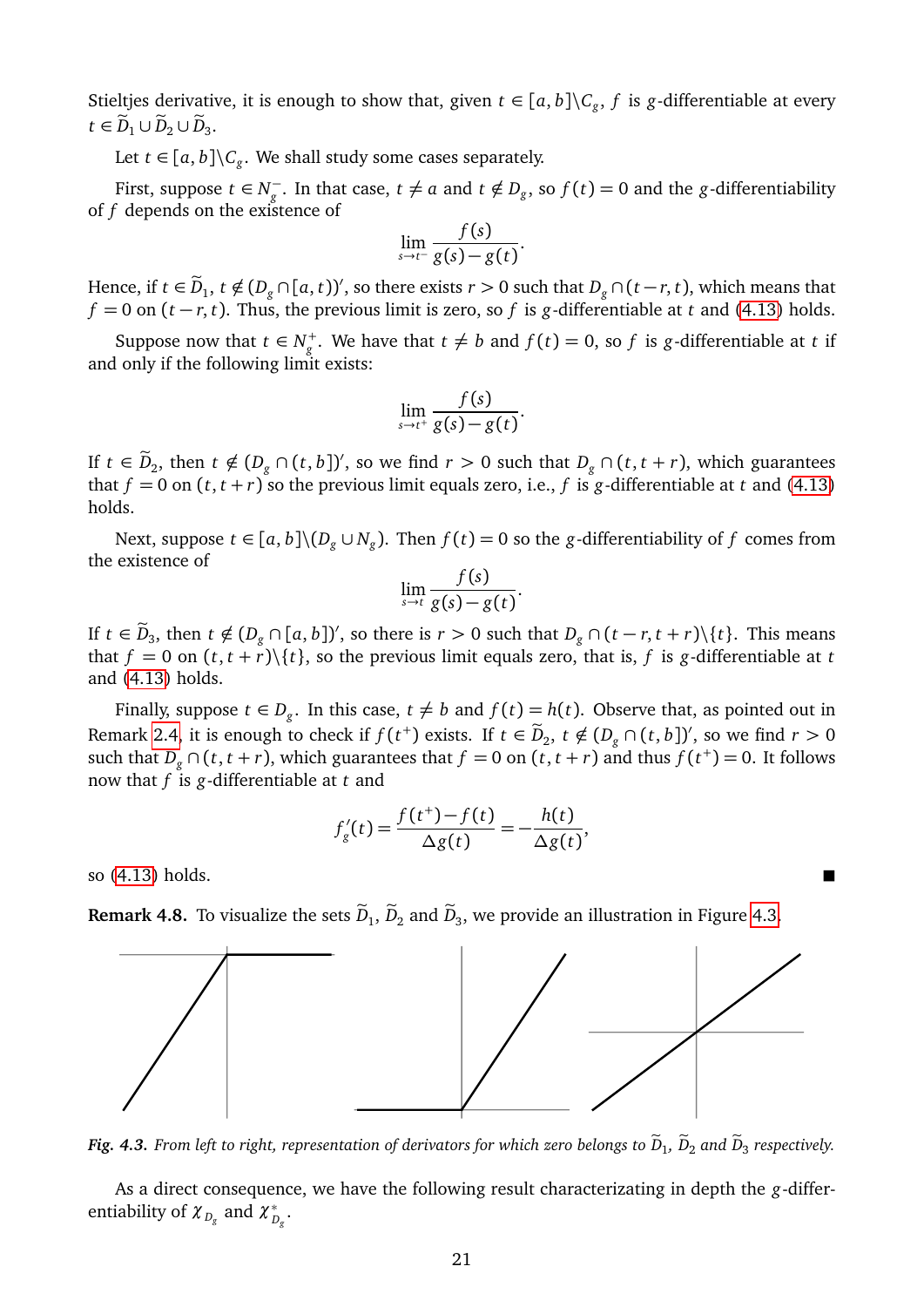Stieltjes derivative, it is enough to show that, given  $t \in [a, b] \backslash C_g$ , f is *g*-differentiable at every  $t \in \widetilde{D}_1 \cup \widetilde{D}_2 \cup \widetilde{D}_3.$ 

Let  $t \in [a, b] \backslash C_g$ . We shall study some cases separately.

First, suppose  $t \in N_{\sigma}^$ *g*<sup>−</sup>. In that case, *t* ≠ *a* and *t* ∉ *D*<sub>*g*</sub>, so *f*(*t*) = 0 and the *g*-differentiability of *f* depends on the existence of

$$
\lim_{s\to t^{-}}\frac{f(s)}{g(s)-g(t)}.
$$

Hence, if  $t \in \tilde{D}_1$ ,  $t \notin (D_g \cap [a, t])'$ , so there exists  $r > 0$  such that  $D_g \cap (t - r, t)$ , which means that  $f = 0$  on  $(t - r, t)$ . Thus, the previous limit is zero, so *f* is *g*-differentiable at *t* and [\(4.13\)](#page-19-0) holds.

Suppose now that  $t \in N_g^+$ . We have that  $t \neq b$  and  $f(t) = 0$ , so  $f$  is  $g$ -differentiable at  $t$  if and only if the following limit exists:

$$
\lim_{s\to t^+}\frac{f(s)}{g(s)-g(t)}.
$$

If *t* ∈  $\widetilde{D}_2$ , then *t* ∉ ( $D_g \cap (t, b]$ )', so we find *r* > 0 such that  $D_g \cap (t, t + r)$ , which guarantees that  $f = 0$  on  $(t, t + r)$  so the previous limit equals zero, i.e., f is g-differentiable at t and [\(4.13\)](#page-19-0) holds.

Next, suppose  $t \in [a, b] \setminus (D_g \cup N_g)$ . Then  $f(t) = 0$  so the *g*-differentiability of *f* comes from the existence of

$$
\lim_{s\to t}\frac{f(s)}{g(s)-g(t)}.
$$

If *t* ∈  $\widetilde{D}_3$ , then *t* ∉  $(D_g \cap [a, b])'$ , so there is  $r > 0$  such that  $D_g \cap (t - r, t + r) \setminus \{t\}$ . This means that  $f = 0$  on  $(t, t + r)$  { $t$ }, so the previous limit equals zero, that is,  $f$  is  $g$ -differentiable at  $t$ and [\(4.13\)](#page-19-0) holds.

Finally, suppose  $t \in D_g$ . In this case,  $t \neq b$  and  $f(t) = h(t)$ . Observe that, as pointed out in Remark [2.4,](#page-3-3) it is enough to check if  $f(t^+)$  exists. If  $t \in \tilde{D}_2$ ,  $t \notin (D_g \cap (t, b])'$ , so we find  $r > 0$ such that  $D_g \cap (t, t + r)$ , which guarantees that  $f = 0$  on  $(t, t + r)$  and thus  $f(t^+) = 0$ . It follows now that *f* is *g*-differentiable at *t* and

$$
f'_{g}(t) = \frac{f(t^{+}) - f(t)}{\Delta g(t)} = -\frac{h(t)}{\Delta g(t)},
$$

so [\(4.13\)](#page-19-0) holds.

**Remark 4.8.** To visualize the sets  $D_1$ ,  $D_2$  and  $D_3$ , we provide an illustration in Figure [4.3.](#page-20-0)

<span id="page-20-0"></span>

*Fig. 4.3. From left to right, representation of derivators for which zero belongs to*  $D_1$ *,*  $D_2$  *and*  $D_3$  *respectively.* 

As a direct consequence, we have the following result characterizating in depth the *g*-differentiability of  $\chi_{D_g}^{\vphantom{\dagger}}$  and  $\chi_{D_g}^{\vphantom{\dagger}}$ .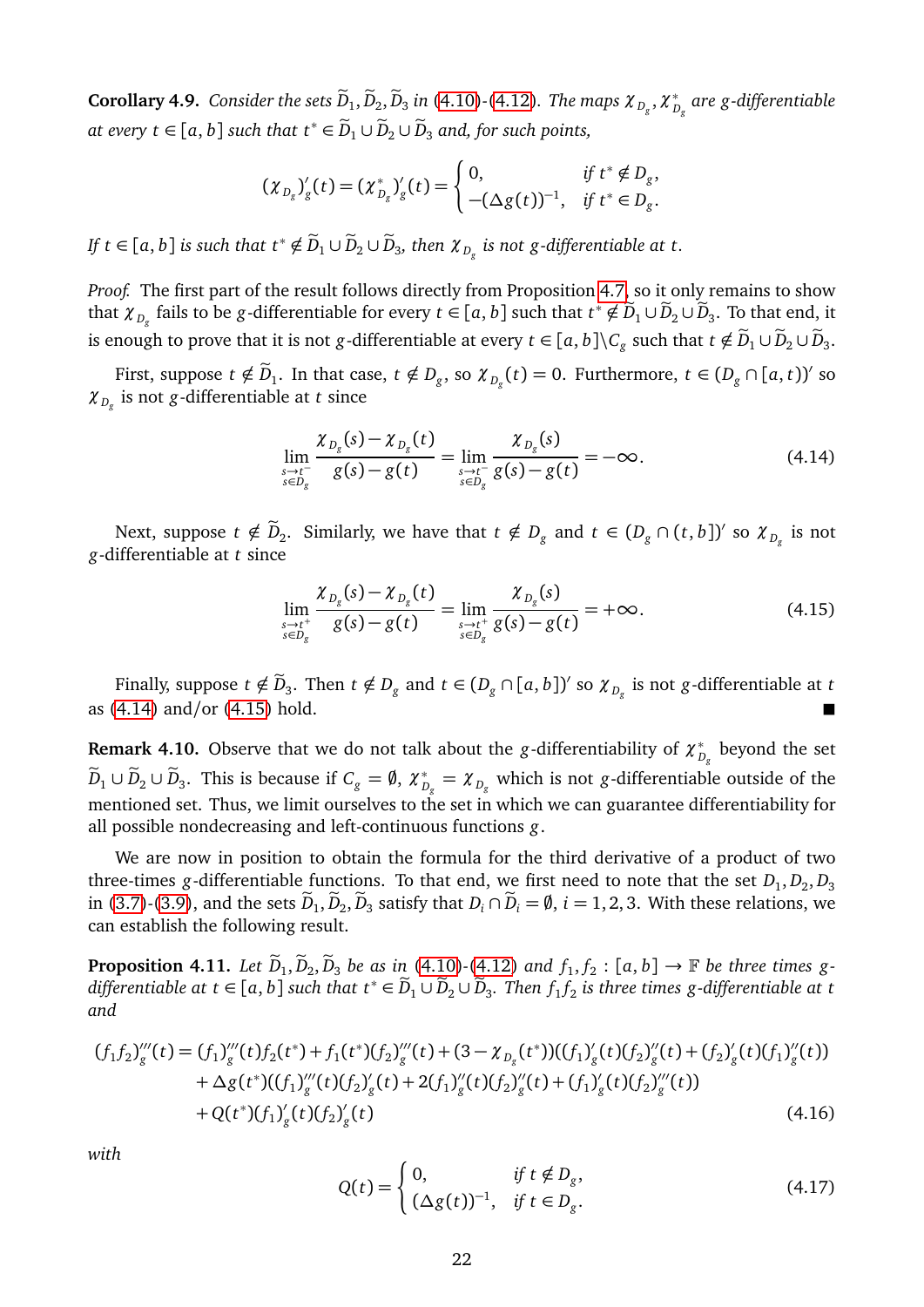<span id="page-21-2"></span> ${\bf Corollary 4.9.}$   $Consider\ the\ sets\ \widetilde{D}_1, \widetilde{D}_2, \widetilde{D}_3$  in [\(4.10\)](#page-19-1)-[\(4.12\)](#page-19-2). The maps  $\chi_{D_g}, \chi_{D_g}^*$  are g-differentiable *at every t* ∈ [*a*, *b*] *such that*  $t^*$  ∈  $\widetilde{D}_1 \cup \widetilde{D}_2 \cup \widetilde{D}_3$  *and, for such points,* 

$$
(\chi_{D_g})'_g(t) = (\chi_{D_g}^*)'_g(t) = \begin{cases} 0, & \text{if } t^* \notin D_g, \\ -(\Delta g(t))^{-1}, & \text{if } t^* \in D_g. \end{cases}
$$

*If t* ∈ [a, b] is such that  $t^* \notin \widetilde{D}_1 \cup \widetilde{D}_2 \cup \widetilde{D}_3$ , then  $\chi_{D_g}$  is not g-differentiable at t.

*Proof.* The first part of the result follows directly from Proposition [4.7,](#page-19-3) so it only remains to show that  $\chi_{D_g}$  fails to be *g*-differentiable for every  $t \in [a, b]$  such that  $t^* \notin \widetilde{D}_1 \cup \widetilde{D}_2 \cup \widetilde{D}_3$ . To that end, it is enough to prove that it is not *g*-differentiable at every  $t \in [a,b] \backslash C_g$  such that  $t \notin \widetilde{D}_1 \cup \widetilde{D}_2 \cup \widetilde{D}_3.$ 

First, suppose  $t \notin \widetilde{D}_1$ . In that case,  $t \notin D_g$ , so  $\chi_{D_g}(t) = 0$ . Furthermore,  $t \in (D_g \cap [a, t))'$  so *χ <sup>D</sup><sup>g</sup>* is not *g*-differentiable at *t* since

<span id="page-21-0"></span>
$$
\lim_{\substack{s \to t^{-} \\ s \in D_{g}}} \frac{\chi_{D_{g}}(s) - \chi_{D_{g}}(t)}{g(s) - g(t)} = \lim_{\substack{s \to t^{-} \\ s \in D_{g}}} \frac{\chi_{D_{g}}(s)}{g(s) - g(t)} = -\infty.
$$
\n(4.14)

Next, suppose  $t \notin \widetilde{D}_2$ . Similarly, we have that  $t \notin D_g$  and  $t \in (D_g \cap (t, b])'$  so  $\chi_{D_g}$  is not *g*-differentiable at *t* since

<span id="page-21-1"></span>
$$
\lim_{\substack{s \to t^+ \\ s \in D_g}} \frac{\chi_{D_g}(s) - \chi_{D_g}(t)}{g(s) - g(t)} = \lim_{\substack{s \to t^+ \\ s \in D_g}} \frac{\chi_{D_g}(s)}{g(s) - g(t)} = +\infty.
$$
\n(4.15)

Finally, suppose  $t \notin \widetilde{D}_3$ . Then  $t \notin D_g$  and  $t \in (D_g \cap [a, b])'$  so  $\chi_{D_g}$  is not *g*-differentiable at *t* as [\(4.14\)](#page-21-0) and/or [\(4.15\)](#page-21-1) hold.

**Remark 4.10.** Observe that we do not talk about the *g*-differentiability of  $\chi_{D_g}^*$  beyond the set  $\widetilde{D}_1\cup\widetilde{D}_2\cup\widetilde{D}_3.$  This is because if  $C_g=\emptyset$ ,  $\chi_{D_g}^*=\chi_{D_g}$  which is not *g*-differentiable outside of the mentioned set. Thus, we limit ourselves to the set in which we can guarantee differentiability for all possible nondecreasing and left-continuous functions *g*.

We are now in position to obtain the formula for the third derivative of a product of two three-times g-differentiable functions. To that end, we first need to note that the set  $D_1, D_2, D_3$ in [\(3.7\)](#page-9-3)-[\(3.9\)](#page-9-4), and the sets  $\widetilde{D}_1$ ,  $\widetilde{D}_2$ ,  $\widetilde{D}_3$  satisfy that  $D_i \cap \widetilde{D}_i = \emptyset$ ,  $i = 1, 2, 3$ . With these relations, we can establish the following result.

**Proposition 4.11.** Let  $\widetilde{D}_1, \widetilde{D}_2, \widetilde{D}_3$  be as in [\(4.10\)](#page-19-1)*-*[\(4.12\)](#page-19-2) and  $f_1, f_2 : [a, b] \rightarrow \mathbb{F}$  be three times g-<br>  $\widetilde{D}_1$  $differential$  *differentiable at t* ∈ [a, *b*] such that  $t^*$  ∈  $\widetilde{D}_1 \cup \widetilde{D}_2 \cup \widetilde{D}_3$ . Then  $f_1f_2$  is three times g-differentiable at t *and*

$$
(f_1 f_2)^{'''}(t) = (f_1)^{'''}(t) f_2(t^*) + f_1(t^*) (f_2)^{'''}(t) + (3 - \chi_{D_g}(t^*) (f_1)^{'}_g(t) (f_2)^{''}(t) + (f_2)^{'}_g(t) (f_1)^{''}(t))
$$
  
+  $\Delta g(t^*)( (f_1)^{'''}(t) (f_2)^{'}_g(t) + 2(f_1)^{''}(t) (f_2)^{''}(t) + (f_1)^{'}_g(t) (f_2)^{'''}(t))$   
+  $Q(t^*)(f_1)^{'}_g(t) (f_2)^{'}_g(t)$  (4.16)

*with*

<span id="page-21-4"></span><span id="page-21-3"></span>
$$
Q(t) = \begin{cases} 0, & \text{if } t \notin D_g, \\ (\Delta g(t))^{-1}, & \text{if } t \in D_g. \end{cases} \tag{4.17}
$$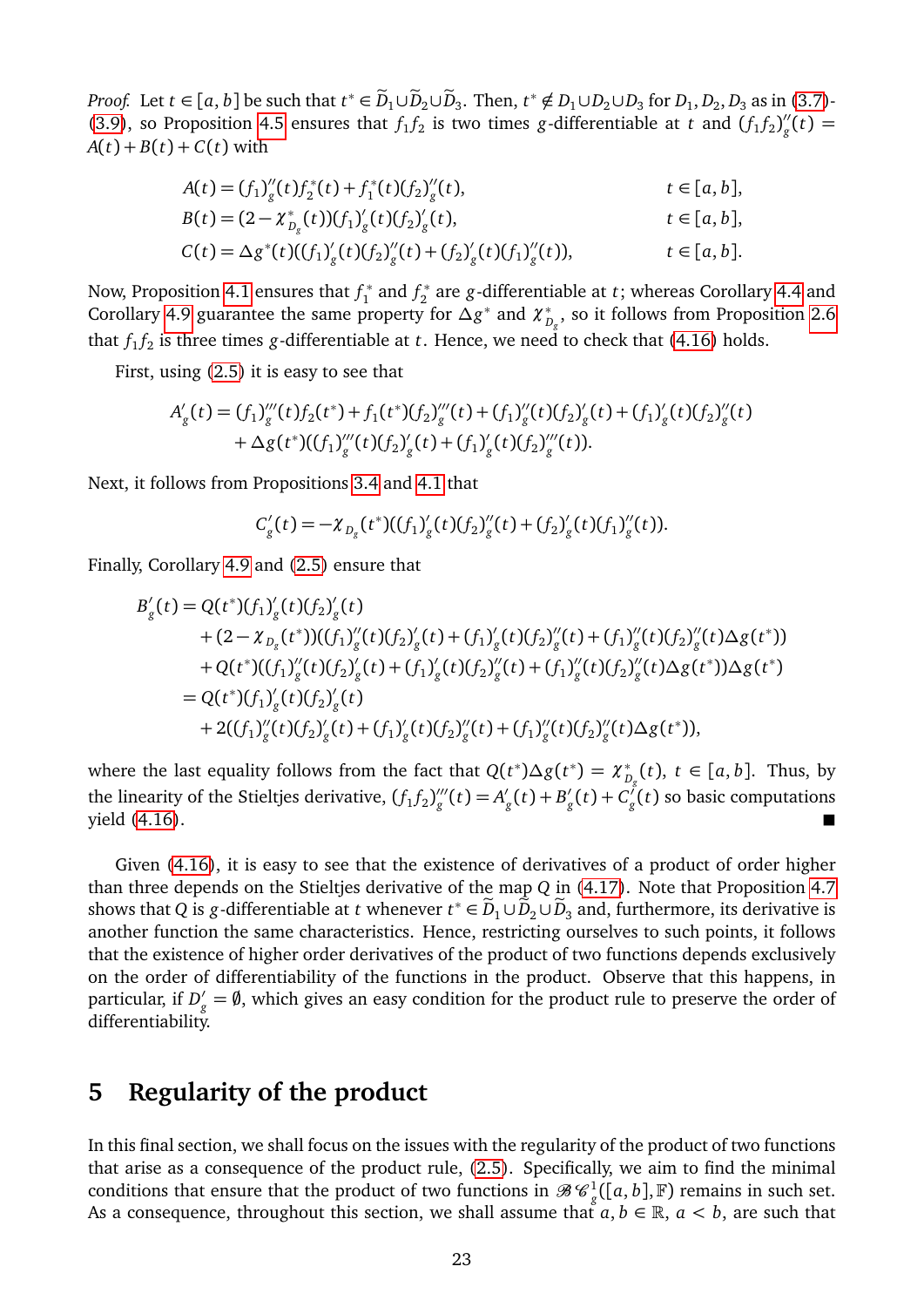*Proof.* Let  $t \in [a, b]$  be such that  $t^* \in \tilde{D}_1 \cup \tilde{D}_2 \cup \tilde{D}_3$ . Then,  $t^* \notin D_1 \cup D_2 \cup D_3$  for  $D_1, D_2, D_3$  as in [\(3.7\)](#page-9-3)-[\(3.9\)](#page-9-4), so Proposition [4.5](#page-18-2) ensures that  $f_1 f_2$  is two times *g*-differentiable at *t* and  $(f_1 f_2)'_g$  $_{g}^{\prime\prime}(t)=$  $A(t) + B(t) + C(t)$  with

$$
A(t) = (f_1)''_g(t) f_2^*(t) + f_1^*(t) (f_2)''_g(t), \t t \in [a, b],
$$
  
\n
$$
B(t) = (2 - \chi_{D_g}^*(t)) (f_1)'_g(t) (f_2)'_g(t), \t t \in [a, b],
$$
  
\n
$$
C(t) = \Delta g^*(t) ((f_1)'_g(t) (f_2)''_g(t) + (f_2)'_g(t) (f_1)''_g(t)), \t t \in [a, b].
$$

Now, Proposition [4.1](#page-14-1) ensures that *f* ∗  $f_1^*$  and  $f_2^*$ 2 are *g*-differentiable at *t*; whereas Corollary [4.4](#page-18-1) and Corollary [4.9](#page-21-2) guarantee the same property for  $\Delta g^*$  and  $\chi^*_{D_g}$ , so it follows from Proposition [2.6](#page-3-2) that  $f_1 f_2$  is three times *g*-differentiable at *t*. Hence, we need to check that [\(4.16\)](#page-21-3) holds.

First, using [\(2.5\)](#page-4-1) it is easy to see that

$$
A'_{g}(t) = (f_{1})_{g}'''(t) f_{2}(t^{*}) + f_{1}(t^{*})(f_{2})_{g}'''(t) + (f_{1})_{g}''(t)(f_{2})_{g}'(t) + (f_{1})_{g}'(t)(f_{2})_{g}''(t) + \Delta g(t^{*})((f_{1})_{g}'''(t)(f_{2})_{g}'(t) + (f_{1})_{g}'(t)(f_{2})_{g}'''(t)).
$$

Next, it follows from Propositions [3.4](#page-9-2) and [4.1](#page-14-1) that

$$
C'_{g}(t) = -\chi_{D_g}(t^*)( (f_1)'_g(t) (f_2)'_g(t) + (f_2)'_g(t) (f_1)'_g(t)).
$$

Finally, Corollary [4.9](#page-21-2) and [\(2.5\)](#page-4-1) ensure that

$$
B'_{g}(t) = Q(t^{*})(f_{1})'_{g}(t)(f_{2})'_{g}(t)
$$
  
+  $(2 - \chi_{D_{g}}(t^{*}))( (f_{1})''_{g}(t)(f_{2})'_{g}(t) + (f_{1})'_{g}(t)(f_{2})''_{g}(t) + (f_{1})''_{g}(t)(f_{2})''_{g}(t)\Delta g(t^{*}))$   
+  $Q(t^{*})( (f_{1})''_{g}(t)(f_{2})'_{g}(t) + (f_{1})'_{g}(t)(f_{2})''_{g}(t) + (f_{1})''_{g}(t)(f_{2})''_{g}(t)\Delta g(t^{*}))\Delta g(t^{*})$   
=  $Q(t^{*})(f_{1})'_{g}(t)(f_{2})'_{g}(t)$   
+  $2((f_{1})''_{g}(t)(f_{2})'_{g}(t) + (f_{1})'_{g}(t)(f_{2})''_{g}(t) + (f_{1})''_{g}(t)(f_{2})''_{g}(t)\Delta g(t^{*})),$ 

where the last equality follows from the fact that  $Q(t^*)\Delta g(t^*) = \chi_{D_g}^*(t)$ ,  $t \in [a, b]$ . Thus, by the linearity of the Stieltjes derivative,  $(f_1 f_2)''_g$  $g''(t) = A'$  $g'_{g}(t) + B'_{g}$  $g'_{g}(t) + C_{g}^{'}$ *g* (*t*) so basic computations  $\frac{1}{2}$  yield [\(4.16\)](#page-21-3).

Given [\(4.16\)](#page-21-3), it is easy to see that the existence of derivatives of a product of order higher than three depends on the Stieltjes derivative of the map *Q* in [\(4.17\)](#page-21-4). Note that Proposition [4.7](#page-19-3) shows that *Q* is *g*-differentiable at *t* whenever  $t^* \in \widetilde{D}_1 \cup \widetilde{D}_2 \cup \widetilde{D}_3$  and, furthermore, its derivative is another function the same characteristics. Hence, restricting ourselves to such points, it follows that the existence of higher order derivatives of the product of two functions depends exclusively on the order of differentiability of the functions in the product. Observe that this happens, in particular, if  $D'_g = \emptyset$ , which gives an easy condition for the product rule to preserve the order of differentiability.

### **5 Regularity of the product**

In this final section, we shall focus on the issues with the regularity of the product of two functions that arise as a consequence of the product rule, [\(2.5\)](#page-4-1). Specifically, we aim to find the minimal conditions that ensure that the product of two functions in  $\mathscr{B}C_g^1([a,b],\mathbb{F})$  remains in such set. As a consequence, throughout this section, we shall assume that  $a, b \in \mathbb{R}$ ,  $a < b$ , are such that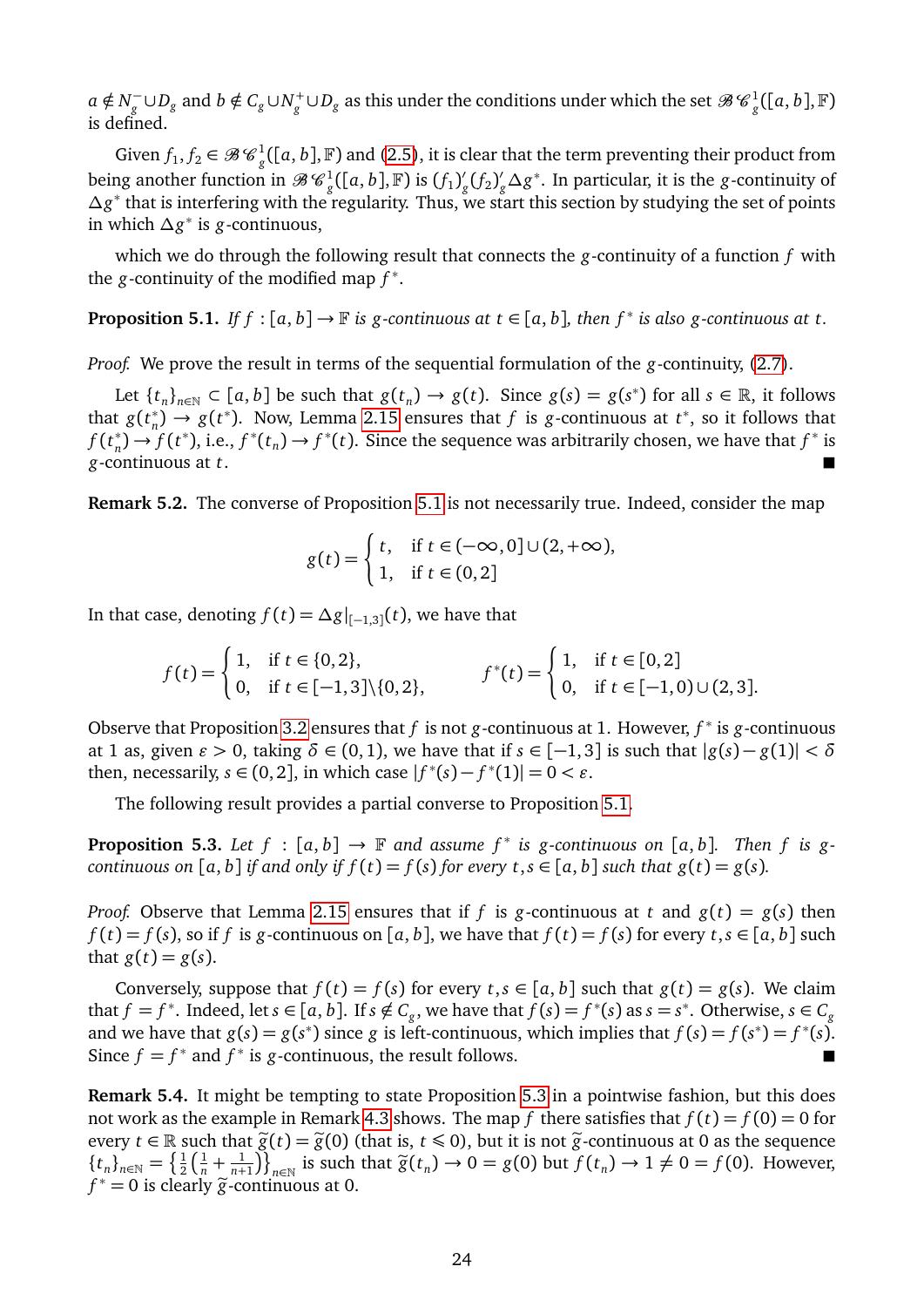$a \notin N^-_q$ *g* ∪ $D_g$  and  $b \notin C_g$  ∪ $N_g^+$ ∪ $D_g$  as this under the conditions under which the set  $\mathscr{B}$   $\mathscr{C}^1_g([a, b], \mathbb{F})$ is defined.

Given  $f_1, f_2 \in \mathcal{B} \mathcal{C}_g^1([a, b], \mathbb{F})$  and [\(2.5\)](#page-4-1), it is clear that the term preventing their product from being another function in  $\mathscr{B}\mathscr{C}_g^1([a,b],{\mathbb F})$  is  $(f_1)_g^0$  $g'(f_2)'_g$ *g ∆g* ∗ . In particular, it is the *g*-continuity of ∆*g*<sup>\*</sup> that is interfering with the regularity. Thus, we start this section by studying the set of points in which *∆g* ∗ is *g*-continuous,

which we do through the following result that connects the *g*-continuity of a function *f* with the *g*-continuity of the modified map *f* ∗ .

<span id="page-23-0"></span>**Proposition 5.1.** *If f* : [a, b]  $\rightarrow$   $\mathbb{F}$  is g-continuous at t  $\in$  [a, b], then f<sup>\*</sup> is also g-continuous at t.

*Proof.* We prove the result in terms of the sequential formulation of the *g*-continuity, [\(2.7\)](#page-5-0).

Let  $\{t_n\}_{n\in\mathbb{N}}\subset [a, b]$  be such that  $g(t_n)\to g(t)$ . Since  $g(s)=g(s^*)$  for all  $s\in\mathbb{R}$ , it follows that  $g(t_n^*) \to g(t^*)$ . Now, Lemma [2.15](#page-6-0) ensures that *f* is *g*-continuous at *t*<sup>\*</sup>, so it follows that  $f(t_n^*) \rightarrow f(t_n^*)$  $f_n^*$ )  $\rightarrow$   $f(t^*)$ , i.e.,  $f^*(t_n) \rightarrow f^*(t)$ . Since the sequence was arbitrarily chosen, we have that  $f^*$  is *g*-continuous at *t*.

**Remark 5.2.** The converse of Proposition [5.1](#page-23-0) is not necessarily true. Indeed, consider the map

$$
g(t) = \begin{cases} t, & \text{if } t \in (-\infty, 0] \cup (2, +\infty), \\ 1, & \text{if } t \in (0, 2] \end{cases}
$$

In that case, denoting  $f(t) = \Delta g|_{[-1,3]}(t)$ , we have that

$$
f(t) = \begin{cases} 1, & \text{if } t \in \{0, 2\}, \\ 0, & \text{if } t \in [-1, 3] \setminus \{0, 2\}, \end{cases} \qquad f^*(t) = \begin{cases} 1, & \text{if } t \in [0, 2] \\ 0, & \text{if } t \in [-1, 0) \cup (2, 3]. \end{cases}
$$

Observe that Proposition [3.2](#page-7-3) ensures that *f* is not *g*-continuous at 1. However, *f* ∗ is *g*-continuous at 1 as, given  $\varepsilon > 0$ , taking  $\delta \in (0, 1)$ , we have that if  $s \in [-1, 3]$  is such that  $|g(s) - g(1)| < \delta$ then, necessarily,  $s \in (0, 2]$ , in which case  $|f^*(s) - f^*(1)| = 0 < \varepsilon$ .

The following result provides a partial converse to Proposition [5.1.](#page-23-0)

<span id="page-23-1"></span>**Proposition 5.3.** Let  $f : [a, b] \rightarrow \mathbb{F}$  and assume  $f^*$  is g-continuous on  $[a, b]$ . Then  $f$  is g*continuous on* [a, b] *if and only if*  $f(t) = f(s)$  *for every*  $t, s \in [a, b]$  *such that*  $g(t) = g(s)$ *.* 

*Proof.* Observe that Lemma [2.15](#page-6-0) ensures that if *f* is *g*-continuous at *t* and  $g(t) = g(s)$  then  $f(t) = f(s)$ , so if *f* is *g*-continuous on [*a*, *b*], we have that  $f(t) = f(s)$  for every  $t, s \in [a, b]$  such that  $g(t) = g(s)$ .

Conversely, suppose that  $f(t) = f(s)$  for every  $t, s \in [a, b]$  such that  $g(t) = g(s)$ . We claim that  $f = f^*$ . Indeed, let  $s \in [a, b]$ . If  $s \notin C_g$ , we have that  $f(s) = f^*(s)$  as  $s = s^*$ . Otherwise,  $s \in C_g$ and we have that  $g(s) = g(s^*)$  since  $g$  is left-continuous, which implies that  $f(s) = f(s^*) = f^*(s)$ . Since  $f = f^*$  and  $f^*$  is *g*-continuous, the result follows.

**Remark 5.4.** It might be tempting to state Proposition [5.3](#page-23-1) in a pointwise fashion, but this does not work as the example in Remark [4.3](#page-17-2) shows. The map *f* there satisfies that  $f(t) = f(0) = 0$  for every  $t \in \mathbb{R}$  such that  $\tilde{g}(t) = \tilde{g}(0)$  (that is,  $t \le 0$ ), but it is not  $\tilde{g}$ -continuous at 0 as the sequence  ${t_n}_{n \in \mathbb{N}} = \left\{ \frac{1}{2} \right\}$  $rac{1}{2}(\frac{1}{n} + \frac{1}{n+1})$  $\left(\frac{1}{n+1}\right)$ , is such that  $\tilde{g}(t_n) \to 0 = g(0)$  but  $f(t_n) \to 1 \neq 0 = f(0)$ . However,  $f^* = 0$  is clearly  $\tilde{g}$ -continuous at 0.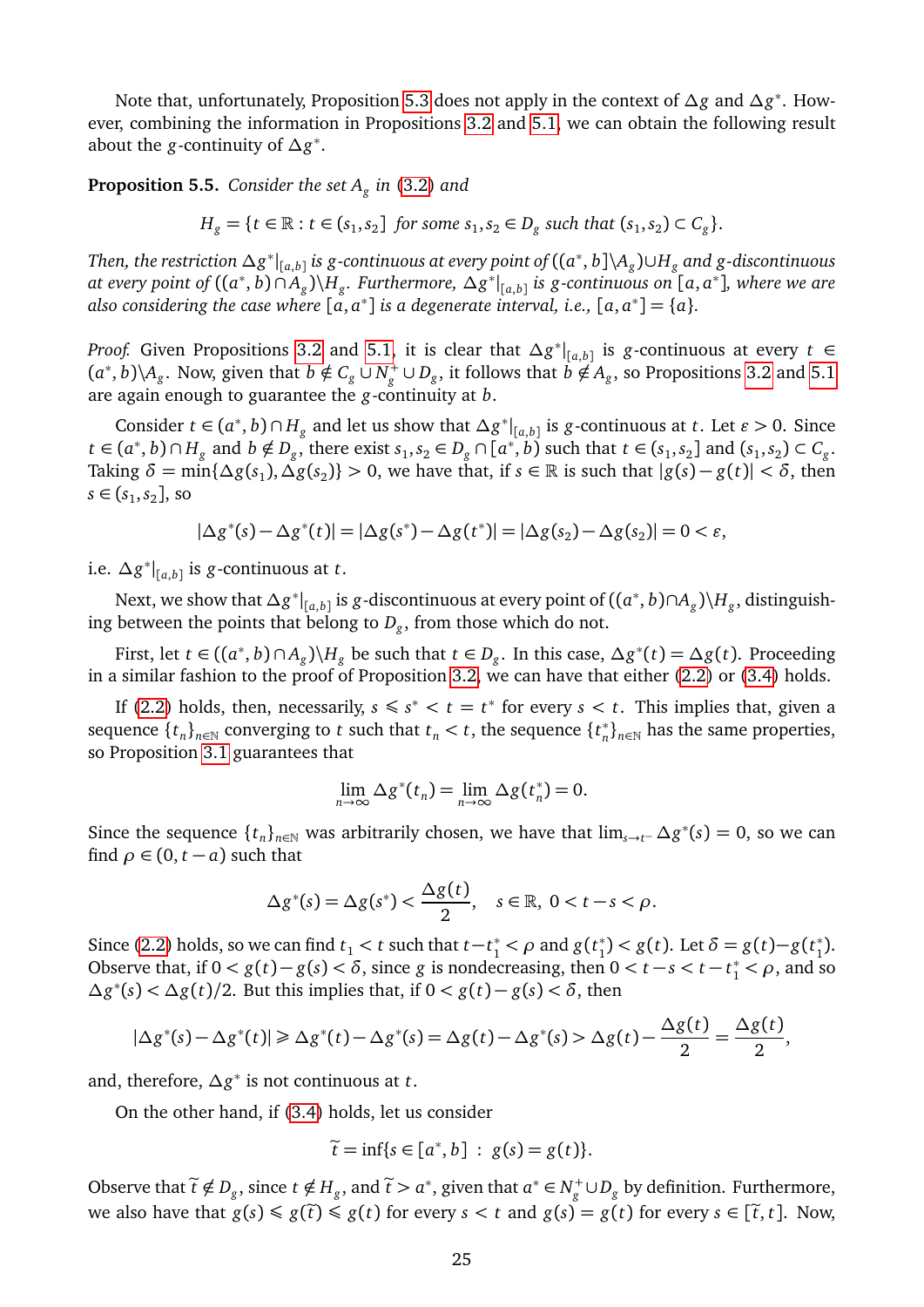Note that, unfortunately, Proposition [5.3](#page-23-1) does not apply in the context of *∆g* and *∆g* ∗ . However, combining the information in Propositions [3.2](#page-7-3) and [5.1,](#page-23-0) we can obtain the following result about the *g*-continuity of *∆g* ∗ .

<span id="page-24-0"></span>**Proposition 5.5.** *Consider the set A<sup>g</sup> in* [\(3.2\)](#page-7-4) *and*

 $H_g = \{ t \in \mathbb{R} : t \in (s_1, s_2] \text{ for some } s_1, s_2 \in D_g \text{ such that } (s_1, s_2) \subset C_g \}.$ 

 $\int$  *Then, the restriction*  $\Delta g^*|_{[a,b]}$  *is*  $g$ *-continuous at every point of*  $((a^*,b]\setminus A_g)$ *∪* $H_g$  *and*  $g$ *-discontinuous*  $\alpha$  *at every point of*  $((a^*, b) \cap A_g) \setminus H_g$ . Furthermore,  $\Delta g^*|_{[a,b]}$  is g-continuous on  $[a, a^*]$ *, where we are* also considering the case where  $[a, a^*]$  is a degenerate interval, i.e.,  $[a, a^*] = \{a\}$ .

*Proof.* Given Propositions [3.2](#page-7-3) and [5.1,](#page-23-0) it is clear that *∆g* ∗ | [*a*,*b*] is *g*-continuous at every *t* ∈  $(a^*, b) \setminus A_g$ . Now, given that  $b \notin C_g \cup N_g^+ \cup D_g$ , it follows that  $b \notin A_g$ , so Propositions [3.2](#page-7-3) and [5.1](#page-23-0) are again enough to guarantee the *g*-continuity at *b*.

Consider *t* ∈ (*a*<sup>\*</sup>, *b*) ∩ *H*<sub>*g*</sub> and let us show that  $\Delta g^*|_{[a,b]}$  is *g*-continuous at *t*. Let *ε* > 0. Since  $t \in (a^*, b) \cap H_g$  and  $b \notin D_g$ , there exist  $s_1, s_2 \in D_g \cap [a^*, b)$  such that  $t \in (s_1, s_2]$  and  $(s_1, s_2) \subset C_g$ . Taking  $\delta = \min\{\Delta g(s_1), \Delta g(s_2)\} > 0$ , we have that, if  $s \in \mathbb{R}$  is such that  $|g(s) - g(t)| < \delta$ , then  $s \in (s_1, s_2]$ , so

$$
|\Delta g^*(s) - \Delta g^*(t)| = |\Delta g(s^*) - \Delta g(t^*)| = |\Delta g(s_2) - \Delta g(s_2)| = 0 < \varepsilon,
$$

i.e. *∆g* ∗ | [*a*,*b*] is *g*-continuous at *t*.

Next, we show that *∆g* ∗ | [*a*,*b*] is *g*-discontinuous at every point of ((*a* ∗ , *b*)∩*A<sup>g</sup>* )\*H<sup>g</sup>* , distinguishing between the points that belong to *D<sup>g</sup>* , from those which do not.

First, let  $t \in ((a^*, b) \cap A_g) \backslash H_g$  be such that  $t \in D_g$ . In this case,  $\Delta g^*(t) = \Delta g(t)$ . Proceeding in a similar fashion to the proof of Proposition [3.2,](#page-7-3) we can have that either [\(2.2\)](#page-2-0) or [\(3.4\)](#page-8-0) holds.

If [\(2.2\)](#page-2-0) holds, then, necessarily,  $s \leq s^* < t = t^*$  for every  $s < t$ . This implies that, given a sequence  $\{t_n\}_{n\in\mathbb{N}}$  converging to *t* such that  $t_n < t$ , the sequence  $\{t_n^*\}$ <sup>\*</sup><sub>n</sub></sub>}<sub>*n*∈N</sub> has the same properties, so Proposition [3.1](#page-7-2) guarantees that

$$
\lim_{n\to\infty}\Delta g^*(t_n)=\lim_{n\to\infty}\Delta g(t_n^*)=0.
$$

Since the sequence  $\{t_n\}_{n\in\mathbb{N}}$  was arbitrarily chosen, we have that  $\lim_{s\to t^-} \Delta g^*(s) = 0$ , so we can find  $\rho \in (0, t - a)$  such that

$$
\Delta g^*(s) = \Delta g(s^*) < \frac{\Delta g(t)}{2}, \quad s \in \mathbb{R}, \ 0 < t - s < \rho.
$$

Since [\(2.2\)](#page-2-0) holds, so we can find  $t_1 < t$  such that  $t-t_1^* < \rho$  and  $g(t_1^*)$ <sup>\*</sup><sub>1</sub></sub> $> g(t)$ . Let  $δ = g(t) - g(t<sup>2</sup>)$  $_{1}^{*}$ ). Observe that, if  $0 < g(t) - g(s) < \delta$ , since *g* is nondecreasing, then  $0 < t - s < t - t_1^* < \rho$ , and so  $\Delta g^*(s)$  <  $\Delta g(t)/2$ . But this implies that, if  $0 < g(t) − g(s) < \delta$ , then

$$
|\Delta g^*(s) - \Delta g^*(t)| \geq \Delta g^*(t) - \Delta g^*(s) = \Delta g(t) - \Delta g^*(s) > \Delta g(t) - \frac{\Delta g(t)}{2} = \frac{\Delta g(t)}{2},
$$

and, therefore, *∆g* ∗ is not continuous at *t*.

On the other hand, if [\(3.4\)](#page-8-0) holds, let us consider

$$
\widetilde{t}=\inf\{s\in[a^*,b]\;:\;g(s)=g(t)\}.
$$

Observe that  $\tilde{t} \notin D_g$ , since  $t \notin H_g$ , and  $\tilde{t} > a^*$ , given that  $a^* \in N_g^+ \cup D_g$  by definition. Furthermore, we also have that  $g(s) \leq g(\tilde{t}) \leq g(t)$  for every  $s < t$  and  $g(s) = g(t)$  for every  $s \in [\tilde{t}, t]$ . Now,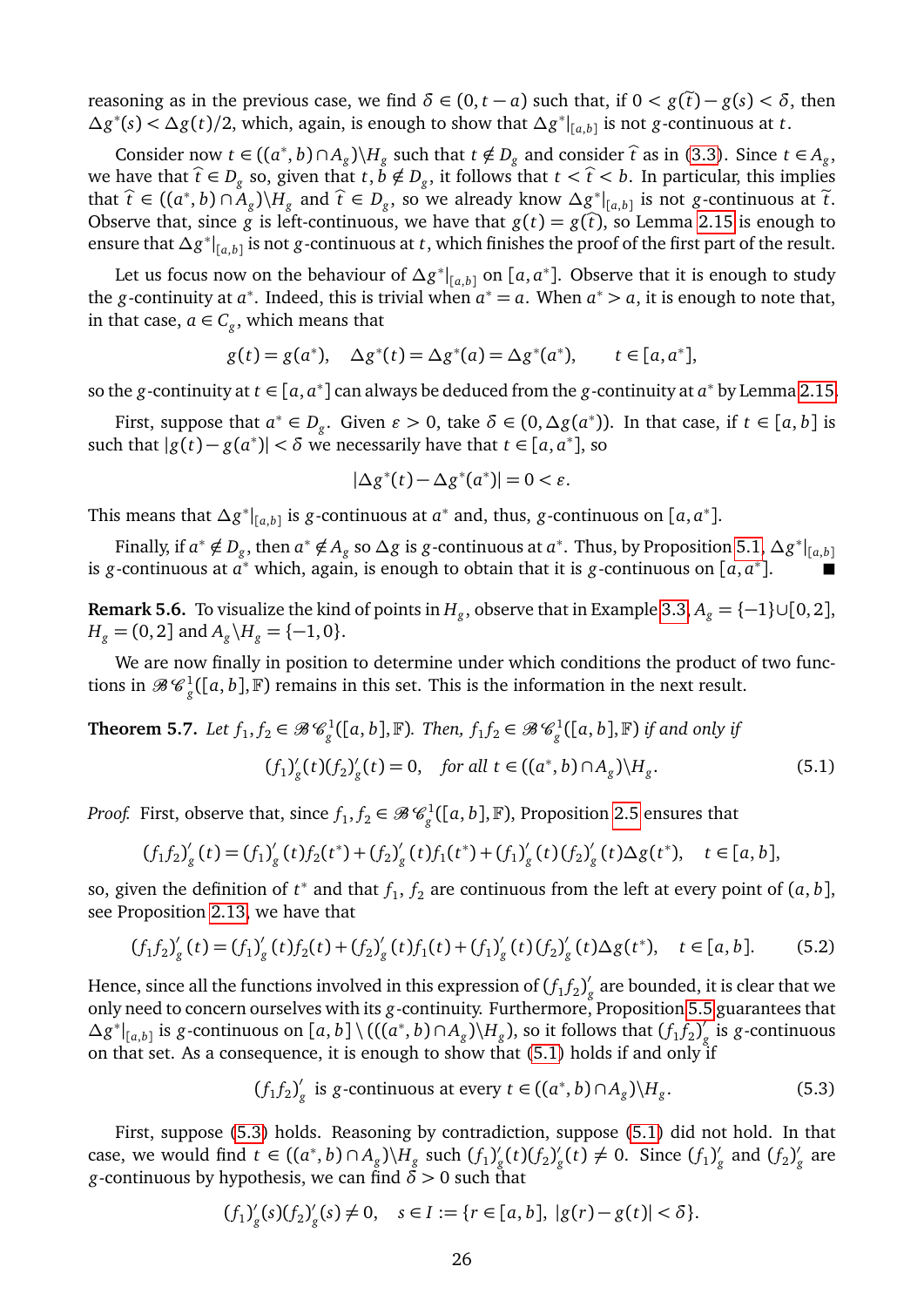reasoning as in the previous case, we find  $\delta \in (0, t - a)$  such that, if  $0 < g(\tilde{t}) - g(s) < \delta$ , then  $\Delta g^*(s) < \Delta g(t)/2$ , which, again, is enough to show that  $\Delta g^*|_{[a,b]}$  is not *g*-continuous at *t*.

Consider now *t* ∈ (( $a^*$ , *b*) ∩ *A*<sub>*g*</sub>)\*H*<sub>*g*</sub> such that *t* ∉ *D*<sub>*g*</sub> and consider  $\hat{t}$  as in [\(3.3\)](#page-7-1). Since *t* ∈ *A*<sub>*g*</sub>, here that  $\hat{t}$  ∈ *D*<sub>*n*</sub> as in  $\hat{t}$  as in (3.3). Since *t* ∈ *A*<sub>*g*</sub>, we have that  $\hat{t} \in D_g$  so, given that  $t, \check{b} \notin D_g$ , it follows that  $t < \hat{t} < b$ . In particular, this implies that  $\hat{t}$  ∈ (( $a^*$ , *b*) ∩  $A_g$ )\ $H_g$  and  $\hat{t}$  ∈  $D_g$ , so we already know  $\Delta g^*|_{[a,b]}$  is not *g*-continuous at  $\tilde{t}$ . Observe that, since *g* is left-continuous, we have that  $g(t) = g(\hat{t})$ , so Lemma [2.15](#page-6-0) is enough to ensure that *∆g* ∗ | [*a*,*b*] is not *g*-continuous at *t*, which finishes the proof of the first part of the result.

Let us focus now on the behaviour of  $\Delta g^*|_{[a,b]}$  on  $[a,a^*]$ . Observe that it is enough to study the *g*-continuity at  $a^*$ . Indeed, this is trivial when  $a^* = a$ . When  $a^* > a$ , it is enough to note that, in that case,  $a \in C_g$ , which means that

$$
g(t) = g(a^*), \quad \Delta g^*(t) = \Delta g^*(a) = \Delta g^*(a^*), \qquad t \in [a, a^*],
$$

so the *g*-continuity at  $t \in [a, a^*]$  can always be deduced from the *g*-continuity at  $a^*$  by Lemma [2.15.](#page-6-0)

First, suppose that  $a^* \in D_g$ . Given  $\varepsilon > 0$ , take  $\delta \in (0, \Delta g(a^*))$ . In that case, if  $t \in [a, b]$  is such that  $|g(t) - g(a^*)| < \delta$  we necessarily have that  $t \in [a, a^*]$ , so

$$
|\Delta g^*(t) - \Delta g^*(a^*)| = 0 < \varepsilon.
$$

This means that  $\Delta g^*|_{[a,b]}$  is *g*-continuous at  $a^*$  and, thus, *g*-continuous on  $[a, a^*]$ .

Finally, if  $a^* \notin D_g$ , then  $a^* \notin A_g$  so  $\Delta g$  is *g*-continuous at  $a^*$ . Thus, by Proposition [5.1,](#page-23-0)  $\Delta g^*|_{[a,b]}$ is *g*-continuous at  $a^*$  which, again, is enough to obtain that it is *g*-continuous on [*a*,  $a^*$ ]. ■

**Remark 5.6.** To visualize the kind of points in  $H_g$ , observe that in Example [3.3,](#page-9-1)  $A_g = \{-1\} \cup [0, 2]$ ,  $H_g = (0, 2]$  and  $A_g \backslash H_g = \{-1, 0\}.$ 

We are now finally in position to determine under which conditions the product of two functions in  $\mathscr{B}\mathscr{C}_g^1([a,b],\mathbb{F})$  remains in this set. This is the information in the next result.

<span id="page-25-3"></span>**Theorem 5.7.** Let 
$$
f_1, f_2 \in \mathcal{B}\mathcal{C}_g^1([a, b], \mathbb{F})
$$
. Then,  $f_1 f_2 \in \mathcal{B}\mathcal{C}_g^1([a, b], \mathbb{F})$  if and only if  
\n
$$
(f_1)'_g(t)(f_2)'_g(t) = 0, \quad \text{for all } t \in ((a^*, b) \cap A_g) \setminus H_g.
$$
\n(5.1)

*Proof.* First, observe that, since  $f_1, f_2 \in \mathscr{B}\mathscr{C}_g^1([a, b], \mathbb{F})$ , Proposition [2.5](#page-4-1) ensures that

<span id="page-25-0"></span>
$$
(f_1f_2)'_g(t) = (f_1)'_g(t)f_2(t^*) + (f_2)'_g(t)f_1(t^*) + (f_1)'_g(t)(f_2)'_g(t)\Delta g(t^*), \quad t \in [a, b],
$$

so, given the definition of  $t^*$  and that  $f_1, f_2$  are continuous from the left at every point of  $(a, b]$ , see Proposition [2.13,](#page-6-1) we have that

<span id="page-25-2"></span>
$$
(f_1 f_2)'_g(t) = (f_1)'_g(t) f_2(t) + (f_2)'_g(t) f_1(t) + (f_1)'_g(t) (f_2)'_g(t) \Delta g(t^*), \quad t \in [a, b].
$$
 (5.2)

Hence, since all the functions involved in this expression of  $(f_1f_2)^{\prime}_{j}$ *g* are bounded, it is clear that we only need to concern ourselves with its *g*-continuity. Furthermore, Proposition [5.5](#page-24-0) guarantees that  $\Delta g^*|_{[a,b]}$  is *g*-continuous on  $[a,b] \setminus (((a^*,b) \cap A_g) \setminus H_g)$ , so it follows that  $(f_1f_2)'_g$ *g* is *g*-continuous on that set. As a consequence, it is enough to show that [\(5.1\)](#page-25-0) holds if and only if

<span id="page-25-1"></span>
$$
(f_1 f_2)'_g
$$
 is g-continuous at every  $t \in ((a^*, b) \cap A_g) \setminus H_g$ . (5.3)

First, suppose [\(5.3\)](#page-25-1) holds. Reasoning by contradiction, suppose [\(5.1\)](#page-25-0) did not hold. In that case, we would find  $t \in ((a^*, b) \cap A_g) \backslash H_g$  such  $(f_1)'_g$  $g'_{g}(t)(f_{2})'_{g}$  $g'_{g}(t) \neq 0$ . Since  $(f_1)'_g$  $g'$  and  $(f_2)g'$ *g* are *g*-continuous by hypothesis, we can find  $\delta > 0$  such that

$$
(f_1)'_g(s)(f_2)'_g(s) \neq 0, \quad s \in I := \{r \in [a, b], |g(r) - g(t)| < \delta\}.
$$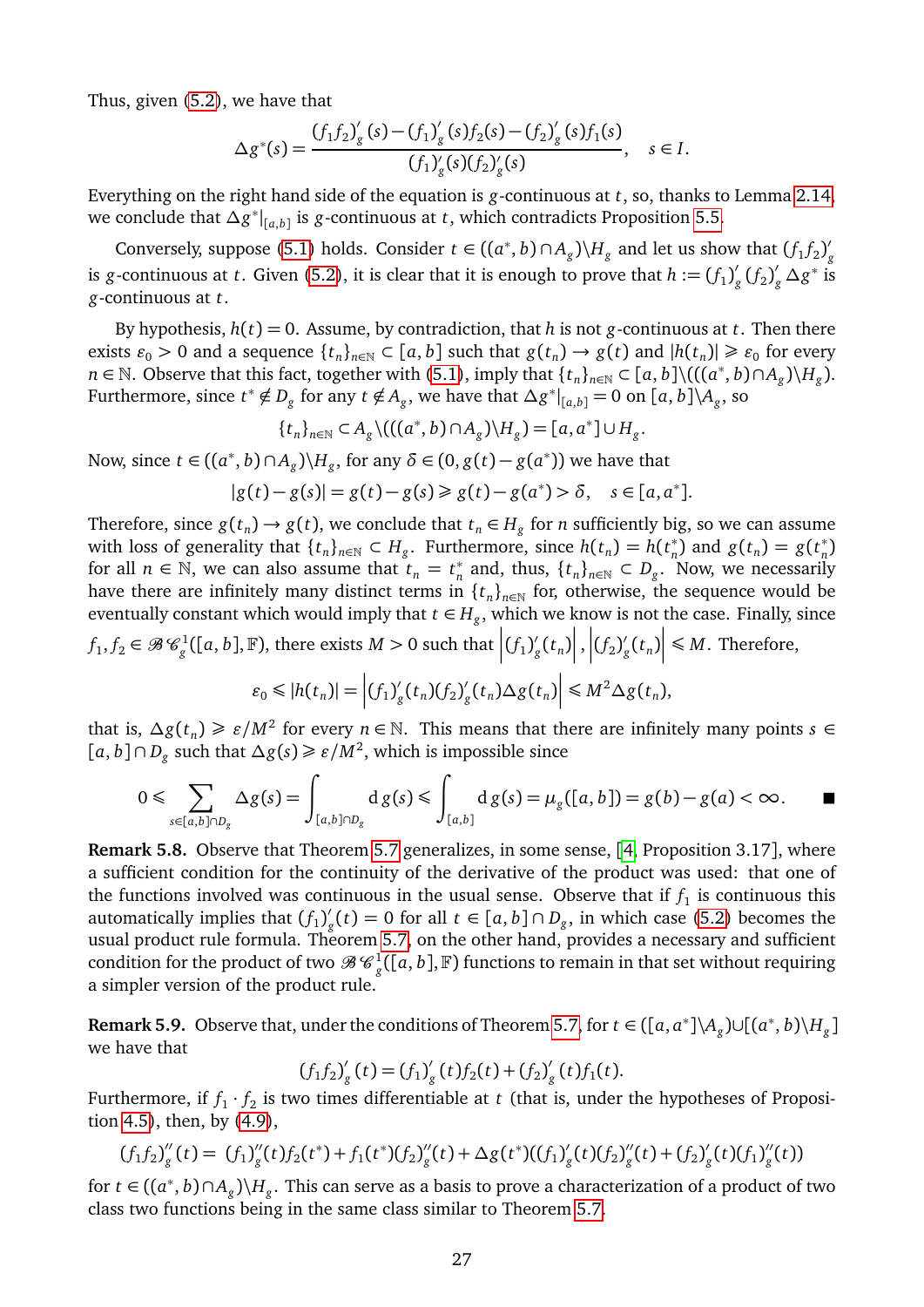Thus, given [\(5.2\)](#page-25-2), we have that

$$
\Delta g^*(s) = \frac{(f_1 f_2)'_g(s) - (f_1)'_g(s) f_2(s) - (f_2)'_g(s) f_1(s)}{(f_1)'_g(s) (f_2)'_g(s)}, \quad s \in I.
$$

Everything on the right hand side of the equation is *g*-continuous at *t*, so, thanks to Lemma [2.14,](#page-6-2) we conclude that *∆g* ∗ | [*a*,*b*] is *g*-continuous at *t*, which contradicts Proposition [5.5.](#page-24-0)

Conversely, suppose [\(5.1\)](#page-25-0) holds. Consider  $t \in ((a^*, b) \cap A_g) \setminus H_g$  and let us show that  $(f_1 f_2)$ , *g* is *g*-continuous at *t*. Given [\(5.2\)](#page-25-2), it is clear that it is enough to prove that  $h := (f_1)^l$  $\int_{g}^{\prime} (f_2)'_g$  $\int_g$  ∆*g*<sup>\*</sup> is *g*-continuous at *t*.

By hypothesis,  $h(t) = 0$ . Assume, by contradiction, that h is not *g*-continuous at *t*. Then there exists  $\varepsilon_0 > 0$  and a sequence  $\{t_n\}_{n \in \mathbb{N}} \subset [a, b]$  such that  $g(t_n) \to g(t)$  and  $|h(t_n)| \geq \varepsilon_0$  for every *n* ∈ N. Observe that this fact, together with [\(5.1\)](#page-25-0), imply that  $\{t_n\}_{n\in\mathbb{N}}$  ⊂ [*a*, *b*] $\setminus$ ((( $(a^*, b) \cap A_g$ ) $\setminus$   $H_g$ ). Furthermore, since  $t^* \notin D_g$  for any  $t \notin A_g$ , we have that  $\Delta g^*|_{[a,b]} = 0$  on  $[a,b] \setminus A_g$ , so

$$
\{t_n\}_{n\in\mathbb{N}}\subset A_g\setminus((a^*,b)\cap A_g)\setminus H_g)=[a,a^*]\cup H_g.
$$

Now, since  $t \in ((a^*, b) \cap A_g) \backslash H_g$ , for any  $\delta \in (0, g(t) - g(a^*))$  we have that

$$
|g(t) - g(s)| = g(t) - g(s) \ge g(t) - g(a^*) > \delta, \quad s \in [a, a^*].
$$

Therefore, since  $g(t_n) \to g(t)$ , we conclude that  $t_n \in H_g$  for *n* sufficiently big, so we can assume with loss of generality that  $\{t_n\}_{n\in\mathbb{N}} \subset H_g$ . Furthermore, since  $h(t_n) = h(t_n)$  $\binom{n}{n}$  and  $g(t_n) = g(t_n)$ *n* ) for all  $n \in \mathbb{N}$ , we can also assume that  $t_n = t_n^*$  $n \atop n$  and, thus,  $\{t_n\}_{n \in \mathbb{N}} \subset D_g$ . Now, we necessarily have there are infinitely many distinct terms in  $\{t_n\}_{n\in\mathbb{N}}$  for, otherwise, the sequence would be eventually constant which would imply that  $t \in H_g$ , which we know is not the case. Finally, since

 $f_1, f_2 \in \mathscr{B}$   $\mathscr{C}^1_g([a, b], \mathbb{F})$ , there exists  $M > 0$  such that  $\Big| (f_1)^{m/2_g}$  $\frac{g}{g}(t_n)$  $\Big|,\Big| (f_2)'_g$  $\int_{g}^{'}(t_n)$  $\vert \leq M$ . Therefore,

$$
\varepsilon_0 \leqslant |h(t_n)| = \left| (f_1)'_g(t_n) (f_2)'_g(t_n) \Delta g(t_n) \right| \leqslant M^2 \Delta g(t_n),
$$

that is,  $\Delta g(t_n) \geq \varepsilon/M^2$  for every  $n \in \mathbb{N}$ . This means that there are infinitely many points  $s \in$  $[a, b] ∩ D<sub>g</sub>$  such that  $\Delta g(s) \ge \varepsilon/M^2$ , which is impossible since

$$
0 \leqslant \sum_{s \in [a,b] \cap D_g} \Delta g(s) = \int_{[a,b] \cap D_g} d g(s) \leqslant \int_{[a,b]} d g(s) = \mu_g([a,b]) = g(b) - g(a) < \infty.
$$

**Remark 5.8.** Observe that Theorem [5.7](#page-25-3) generalizes, in some sense, [[4,](#page-27-9) Proposition 3.17], where a sufficient condition for the continuity of the derivative of the product was used: that one of the functions involved was continuous in the usual sense. Observe that if  $f_1$  is continuous this automatically implies that  $(f_1)'_g$ *g*(*t*) = 0 for all *t* ∈ [*a*, *b*] ∩ *D*<sub>*g*</sub>, in which case [\(5.2\)](#page-25-2) becomes the usual product rule formula. Theorem [5.7,](#page-25-3) on the other hand, provides a necessary and sufficient condition for the product of two  $\mathscr{B} \mathscr{C}^1_g([a,b],\mathbb{F})$  functions to remain in that set without requiring a simpler version of the product rule.

**Remark 5.9.** Observe that, under the conditions of Theorem [5.7,](#page-25-3) for  $t \in (\llbracket a, a^* \rrbracket \setminus A_g) \cup \llbracket (a^*, b) \setminus H_g \rrbracket$ we have that

$$
(f_1f_2)'_g(t) = (f_1)'_g(t)f_2(t) + (f_2)'_g(t)f_1(t).
$$

Furthermore, if  $f_1 \cdot f_2$  is two times differentiable at *t* (that is, under the hypotheses of Proposition [4.5\)](#page-18-2), then, by [\(4.9\)](#page-18-0),

$$
(f_1f_2)''_g(t) = (f_1)''_g(t)f_2(t^*) + f_1(t^*)(f_2)''_g(t) + \Delta g(t^*)(f_1)'_g(t)(f_2)''_g(t) + (f_2)'_g(t)(f_1)''_g(t))
$$

for  $t \in ((a^*, b) \cap A_g) \backslash H_g$ . This can serve as a basis to prove a characterization of a product of two class two functions being in the same class similar to Theorem [5.7.](#page-25-3)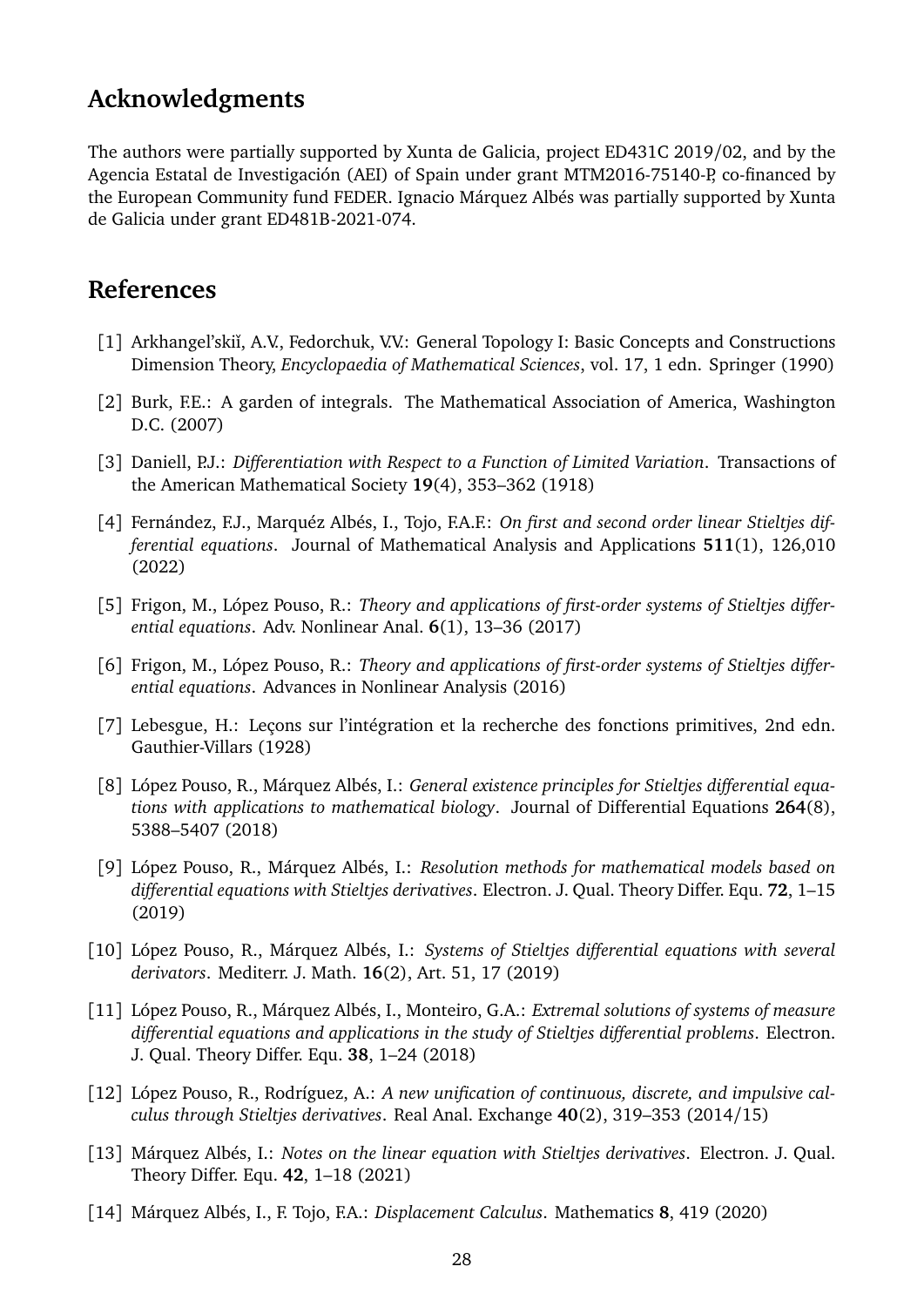## **Acknowledgments**

The authors were partially supported by Xunta de Galicia, project ED431C 2019/02, and by the Agencia Estatal de Investigación (AEI) of Spain under grant MTM2016-75140-P, co-financed by the European Community fund FEDER. Ignacio Márquez Albés was partially supported by Xunta de Galicia under grant ED481B-2021-074.

#### **References**

- <span id="page-27-13"></span>[1] Arkhangel'skii, A.V., Fedorchuk, V.V.: General Topology I: Basic Concepts and Constructions Dimension Theory, *Encyclopaedia of Mathematical Sciences*, vol. 17, 1 edn. Springer (1990)
- <span id="page-27-10"></span>[2] Burk, F.E.: A garden of integrals. The Mathematical Association of America, Washington D.C. (2007)
- <span id="page-27-0"></span>[3] Daniell, P.J.: *Differentiation with Respect to a Function of Limited Variation*. Transactions of the American Mathematical Society **19**(4), 353–362 (1918)
- <span id="page-27-9"></span>[4] Fernández, F.J., Marquéz Albés, I., Tojo, F.A.F.: *On first and second order linear Stieltjes differential equations*. Journal of Mathematical Analysis and Applications **511**(1), 126,010 (2022)
- <span id="page-27-3"></span>[5] Frigon, M., López Pouso, R.: *Theory and applications of first-order systems of Stieltjes differential equations*. Adv. Nonlinear Anal. **6**(1), 13–36 (2017)
- <span id="page-27-8"></span>[6] Frigon, M., López Pouso, R.: *Theory and applications of first-order systems of Stieltjes differential equations*. Advances in Nonlinear Analysis (2016)
- <span id="page-27-1"></span>[7] Lebesgue, H.: Leçons sur l'intégration et la recherche des fonctions primitives, 2nd edn. Gauthier-Villars (1928)
- <span id="page-27-4"></span>[8] López Pouso, R., Márquez Albés, I.: *General existence principles for Stieltjes differential equations with applications to mathematical biology*. Journal of Differential Equations **264**(8), 5388–5407 (2018)
- <span id="page-27-6"></span>[9] López Pouso, R., Márquez Albés, I.: *Resolution methods for mathematical models based on differential equations with Stieltjes derivatives*. Electron. J. Qual. Theory Differ. Equ. **72**, 1–15 (2019)
- <span id="page-27-5"></span>[10] López Pouso, R., Márquez Albés, I.: *Systems of Stieltjes differential equations with several derivators*. Mediterr. J. Math. **16**(2), Art. 51, 17 (2019)
- <span id="page-27-7"></span>[11] López Pouso, R., Márquez Albés, I., Monteiro, G.A.: *Extremal solutions of systems of measure differential equations and applications in the study of Stieltjes differential problems*. Electron. J. Qual. Theory Differ. Equ. **38**, 1–24 (2018)
- <span id="page-27-2"></span>[12] López Pouso, R., Rodríguez, A.: *A new unification of continuous, discrete, and impulsive calculus through Stieltjes derivatives*. Real Anal. Exchange **40**(2), 319–353 (2014/15)
- <span id="page-27-11"></span>[13] Márquez Albés, I.: *Notes on the linear equation with Stieltjes derivatives*. Electron. J. Qual. Theory Differ. Equ. **42**, 1–18 (2021)
- <span id="page-27-12"></span>[14] Márquez Albés, I., F. Tojo, F.A.: *Displacement Calculus*. Mathematics **8**, 419 (2020)